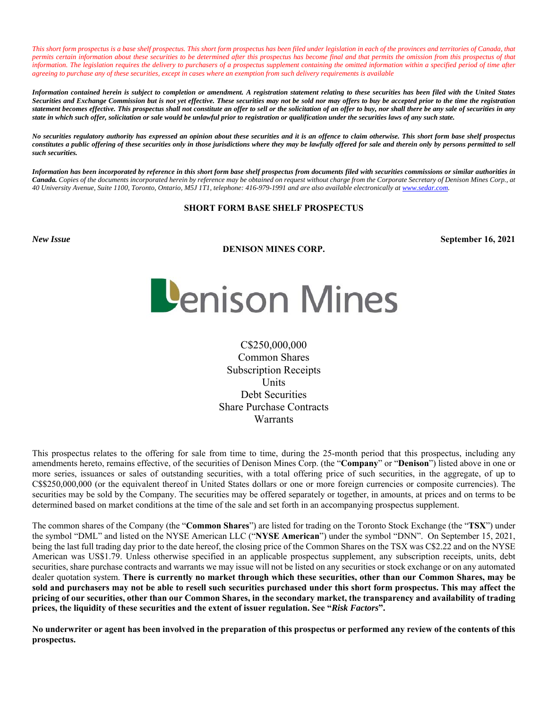*This short form prospectus is a base shelf prospectus. This short form prospectus has been filed under legislation in each of the provinces and territories of Canada, that permits certain information about these securities to be determined after this prospectus has become final and that permits the omission from this prospectus of that information. The legislation requires the delivery to purchasers of a prospectus supplement containing the omitted information within a specified period of time after agreeing to purchase any of these securities, except in cases where an exemption from such delivery requirements is available* 

*Information contained herein is subject to completion or amendment. A registration statement relating to these securities has been filed with the United States Securities and Exchange Commission but is not yet effective. These securities may not be sold nor may offers to buy be accepted prior to the time the registration statement becomes effective. This prospectus shall not constitute an offer to sell or the solicitation of an offer to buy, nor shall there be any sale of securities in any state in which such offer, solicitation or sale would be unlawful prior to registration or qualification under the securities laws of any such state.* 

*No securities regulatory authority has expressed an opinion about these securities and it is an offence to claim otherwise. This short form base shelf prospectus constitutes a public offering of these securities only in those jurisdictions where they may be lawfully offered for sale and therein only by persons permitted to sell such securities.* 

*Information has been incorporated by reference in this short form base shelf prospectus from documents filed with securities commissions or similar authorities in Canada. Copies of the documents incorporated herein by reference may be obtained on request without charge from the Corporate Secretary of Denison Mines Corp., at 40 University Avenue, Suite 1100, Toronto, Ontario, M5J 1T1, telephone: 416-979-1991 and are also available electronically at www.sedar.com.* 

# **SHORT FORM BASE SHELF PROSPECTUS**

#### **DENISON MINES CORP.**

*New Issue* **September 16, 2021** 



C\$250,000,000 Common Shares Subscription Receipts Units Debt Securities Share Purchase Contracts **Warrants** 

This prospectus relates to the offering for sale from time to time, during the 25-month period that this prospectus, including any amendments hereto, remains effective, of the securities of Denison Mines Corp. (the "**Company**" or "**Denison**") listed above in one or more series, issuances or sales of outstanding securities, with a total offering price of such securities, in the aggregate, of up to C\$\$250,000,000 (or the equivalent thereof in United States dollars or one or more foreign currencies or composite currencies). The securities may be sold by the Company. The securities may be offered separately or together, in amounts, at prices and on terms to be determined based on market conditions at the time of the sale and set forth in an accompanying prospectus supplement.

The common shares of the Company (the "**Common Shares**") are listed for trading on the Toronto Stock Exchange (the "**TSX**") under the symbol "DML" and listed on the NYSE American LLC ("**NYSE American**") under the symbol "DNN". On September 15, 2021, being the last full trading day prior to the date hereof, the closing price of the Common Shares on the TSX was C\$2.22 and on the NYSE American was US\$1.79. Unless otherwise specified in an applicable prospectus supplement, any subscription receipts, units, debt securities, share purchase contracts and warrants we may issue will not be listed on any securities or stock exchange or on any automated dealer quotation system. **There is currently no market through which these securities, other than our Common Shares, may be sold and purchasers may not be able to resell such securities purchased under this short form prospectus. This may affect the pricing of our securities, other than our Common Shares, in the secondary market, the transparency and availability of trading prices, the liquidity of these securities and the extent of issuer regulation. See "***Risk Factors***".** 

**No underwriter or agent has been involved in the preparation of this prospectus or performed any review of the contents of this prospectus.**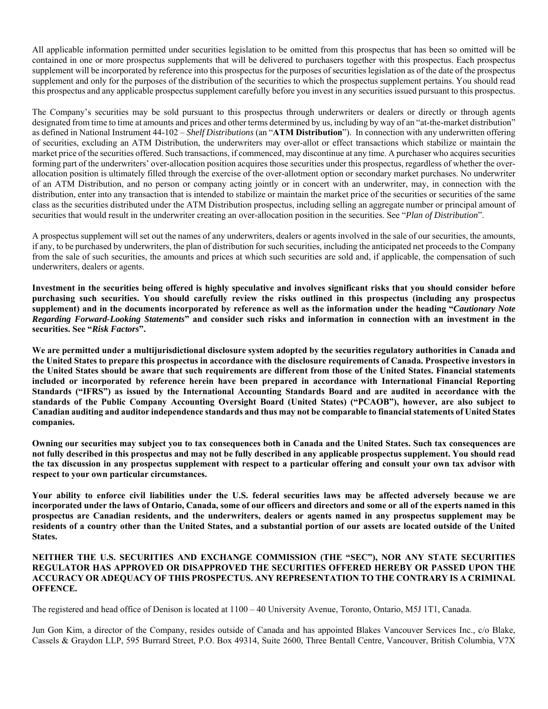All applicable information permitted under securities legislation to be omitted from this prospectus that has been so omitted will be contained in one or more prospectus supplements that will be delivered to purchasers together with this prospectus. Each prospectus supplement will be incorporated by reference into this prospectus for the purposes of securities legislation as of the date of the prospectus supplement and only for the purposes of the distribution of the securities to which the prospectus supplement pertains. You should read this prospectus and any applicable prospectus supplement carefully before you invest in any securities issued pursuant to this prospectus.

The Company's securities may be sold pursuant to this prospectus through underwriters or dealers or directly or through agents designated from time to time at amounts and prices and other terms determined by us, including by way of an "at-the-market distribution" as defined in National Instrument 44-102 – *Shelf Distributions* (an "**ATM Distribution**"). In connection with any underwritten offering of securities, excluding an ATM Distribution, the underwriters may over-allot or effect transactions which stabilize or maintain the market price of the securities offered. Such transactions, if commenced, may discontinue at any time. A purchaser who acquires securities forming part of the underwriters' over-allocation position acquires those securities under this prospectus, regardless of whether the overallocation position is ultimately filled through the exercise of the over-allotment option or secondary market purchases. No underwriter of an ATM Distribution, and no person or company acting jointly or in concert with an underwriter, may, in connection with the distribution, enter into any transaction that is intended to stabilize or maintain the market price of the securities or securities of the same class as the securities distributed under the ATM Distribution prospectus, including selling an aggregate number or principal amount of securities that would result in the underwriter creating an over-allocation position in the securities. See "*Plan of Distribution*".

A prospectus supplement will set out the names of any underwriters, dealers or agents involved in the sale of our securities, the amounts, if any, to be purchased by underwriters, the plan of distribution for such securities, including the anticipated net proceeds to the Company from the sale of such securities, the amounts and prices at which such securities are sold and, if applicable, the compensation of such underwriters, dealers or agents.

**Investment in the securities being offered is highly speculative and involves significant risks that you should consider before purchasing such securities. You should carefully review the risks outlined in this prospectus (including any prospectus supplement) and in the documents incorporated by reference as well as the information under the heading "***Cautionary Note Regarding Forward-Looking Statements***" and consider such risks and information in connection with an investment in the securities. See "***Risk Factors***".** 

**We are permitted under a multijurisdictional disclosure system adopted by the securities regulatory authorities in Canada and the United States to prepare this prospectus in accordance with the disclosure requirements of Canada. Prospective investors in the United States should be aware that such requirements are different from those of the United States. Financial statements included or incorporated by reference herein have been prepared in accordance with International Financial Reporting Standards ("IFRS") as issued by the International Accounting Standards Board and are audited in accordance with the standards of the Public Company Accounting Oversight Board (United States) ("PCAOB"), however, are also subject to Canadian auditing and auditor independence standards and thus may not be comparable to financial statements of United States companies.** 

**Owning our securities may subject you to tax consequences both in Canada and the United States. Such tax consequences are not fully described in this prospectus and may not be fully described in any applicable prospectus supplement. You should read the tax discussion in any prospectus supplement with respect to a particular offering and consult your own tax advisor with respect to your own particular circumstances.** 

**Your ability to enforce civil liabilities under the U.S. federal securities laws may be affected adversely because we are incorporated under the laws of Ontario, Canada, some of our officers and directors and some or all of the experts named in this prospectus are Canadian residents, and the underwriters, dealers or agents named in any prospectus supplement may be residents of a country other than the United States, and a substantial portion of our assets are located outside of the United States.** 

### **NEITHER THE U.S. SECURITIES AND EXCHANGE COMMISSION (THE "SEC"), NOR ANY STATE SECURITIES REGULATOR HAS APPROVED OR DISAPPROVED THE SECURITIES OFFERED HEREBY OR PASSED UPON THE ACCURACY OR ADEQUACY OF THIS PROSPECTUS. ANY REPRESENTATION TO THE CONTRARY IS A CRIMINAL OFFENCE.**

The registered and head office of Denison is located at 1100 – 40 University Avenue, Toronto, Ontario, M5J 1T1, Canada.

Jun Gon Kim, a director of the Company, resides outside of Canada and has appointed Blakes Vancouver Services Inc., c/o Blake, Cassels & Graydon LLP, 595 Burrard Street, P.O. Box 49314, Suite 2600, Three Bentall Centre, Vancouver, British Columbia, V7X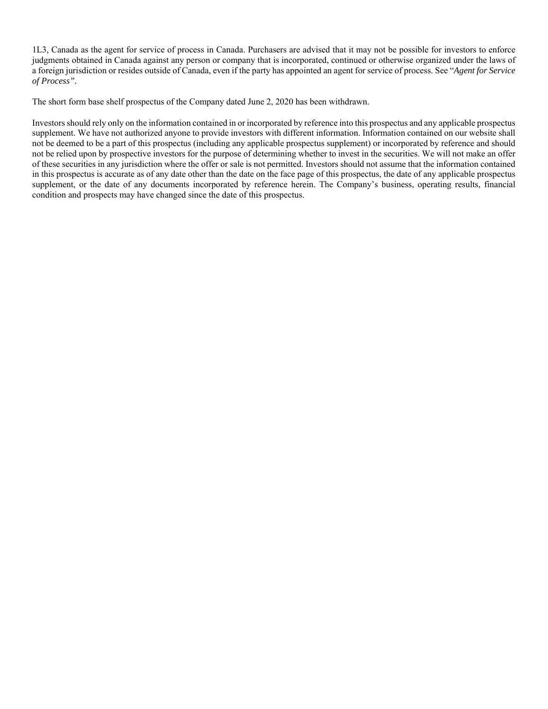1L3, Canada as the agent for service of process in Canada. Purchasers are advised that it may not be possible for investors to enforce judgments obtained in Canada against any person or company that is incorporated, continued or otherwise organized under the laws of a foreign jurisdiction or resides outside of Canada, even if the party has appointed an agent for service of process. See "*Agent for Service of Process".* 

The short form base shelf prospectus of the Company dated June 2, 2020 has been withdrawn.

Investors should rely only on the information contained in or incorporated by reference into this prospectus and any applicable prospectus supplement. We have not authorized anyone to provide investors with different information. Information contained on our website shall not be deemed to be a part of this prospectus (including any applicable prospectus supplement) or incorporated by reference and should not be relied upon by prospective investors for the purpose of determining whether to invest in the securities. We will not make an offer of these securities in any jurisdiction where the offer or sale is not permitted. Investors should not assume that the information contained in this prospectus is accurate as of any date other than the date on the face page of this prospectus, the date of any applicable prospectus supplement, or the date of any documents incorporated by reference herein. The Company's business, operating results, financial condition and prospects may have changed since the date of this prospectus.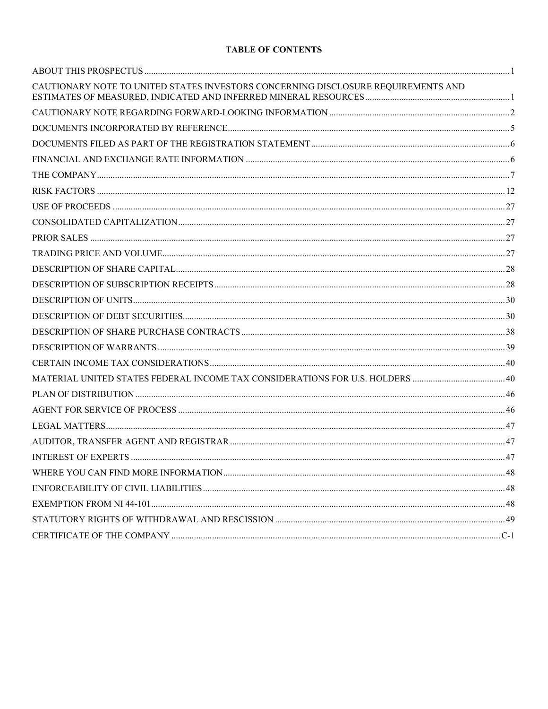# **TABLE OF CONTENTS**

| CAUTIONARY NOTE TO UNITED STATES INVESTORS CONCERNING DISCLOSURE REQUIREMENTS AND |  |
|-----------------------------------------------------------------------------------|--|
|                                                                                   |  |
|                                                                                   |  |
|                                                                                   |  |
|                                                                                   |  |
|                                                                                   |  |
|                                                                                   |  |
|                                                                                   |  |
|                                                                                   |  |
|                                                                                   |  |
|                                                                                   |  |
|                                                                                   |  |
|                                                                                   |  |
|                                                                                   |  |
|                                                                                   |  |
|                                                                                   |  |
|                                                                                   |  |
|                                                                                   |  |
|                                                                                   |  |
|                                                                                   |  |
|                                                                                   |  |
|                                                                                   |  |
|                                                                                   |  |
|                                                                                   |  |
|                                                                                   |  |
|                                                                                   |  |
|                                                                                   |  |
|                                                                                   |  |
|                                                                                   |  |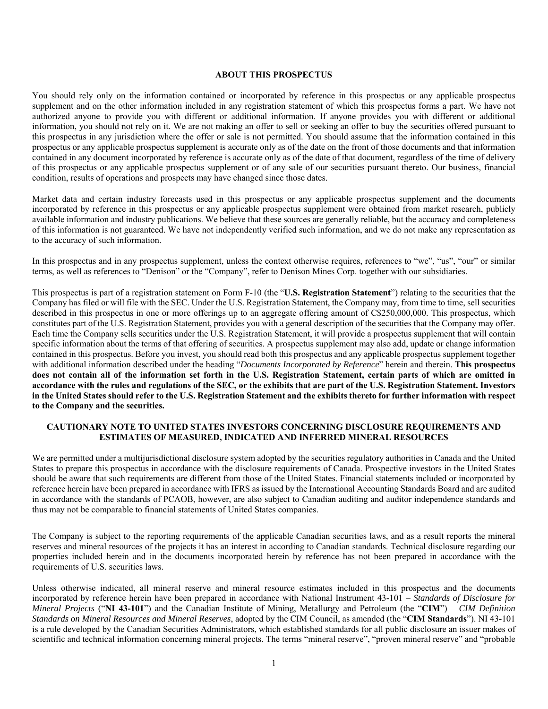#### **ABOUT THIS PROSPECTUS**

You should rely only on the information contained or incorporated by reference in this prospectus or any applicable prospectus supplement and on the other information included in any registration statement of which this prospectus forms a part. We have not authorized anyone to provide you with different or additional information. If anyone provides you with different or additional information, you should not rely on it. We are not making an offer to sell or seeking an offer to buy the securities offered pursuant to this prospectus in any jurisdiction where the offer or sale is not permitted. You should assume that the information contained in this prospectus or any applicable prospectus supplement is accurate only as of the date on the front of those documents and that information contained in any document incorporated by reference is accurate only as of the date of that document, regardless of the time of delivery of this prospectus or any applicable prospectus supplement or of any sale of our securities pursuant thereto. Our business, financial condition, results of operations and prospects may have changed since those dates.

Market data and certain industry forecasts used in this prospectus or any applicable prospectus supplement and the documents incorporated by reference in this prospectus or any applicable prospectus supplement were obtained from market research, publicly available information and industry publications. We believe that these sources are generally reliable, but the accuracy and completeness of this information is not guaranteed. We have not independently verified such information, and we do not make any representation as to the accuracy of such information.

In this prospectus and in any prospectus supplement, unless the context otherwise requires, references to "we", "us", "our" or similar terms, as well as references to "Denison" or the "Company", refer to Denison Mines Corp. together with our subsidiaries.

This prospectus is part of a registration statement on Form F-10 (the "**U.S. Registration Statement**") relating to the securities that the Company has filed or will file with the SEC. Under the U.S. Registration Statement, the Company may, from time to time, sell securities described in this prospectus in one or more offerings up to an aggregate offering amount of C\$250,000,000. This prospectus, which constitutes part of the U.S. Registration Statement, provides you with a general description of the securities that the Company may offer. Each time the Company sells securities under the U.S. Registration Statement, it will provide a prospectus supplement that will contain specific information about the terms of that offering of securities. A prospectus supplement may also add, update or change information contained in this prospectus. Before you invest, you should read both this prospectus and any applicable prospectus supplement together with additional information described under the heading "*Documents Incorporated by Reference*" herein and therein. **This prospectus does not contain all of the information set forth in the U.S. Registration Statement, certain parts of which are omitted in accordance with the rules and regulations of the SEC, or the exhibits that are part of the U.S. Registration Statement. Investors in the United States should refer to the U.S. Registration Statement and the exhibits thereto for further information with respect to the Company and the securities.**

### **CAUTIONARY NOTE TO UNITED STATES INVESTORS CONCERNING DISCLOSURE REQUIREMENTS AND ESTIMATES OF MEASURED, INDICATED AND INFERRED MINERAL RESOURCES**

We are permitted under a multijurisdictional disclosure system adopted by the securities regulatory authorities in Canada and the United States to prepare this prospectus in accordance with the disclosure requirements of Canada. Prospective investors in the United States should be aware that such requirements are different from those of the United States. Financial statements included or incorporated by reference herein have been prepared in accordance with IFRS as issued by the International Accounting Standards Board and are audited in accordance with the standards of PCAOB, however, are also subject to Canadian auditing and auditor independence standards and thus may not be comparable to financial statements of United States companies.

The Company is subject to the reporting requirements of the applicable Canadian securities laws, and as a result reports the mineral reserves and mineral resources of the projects it has an interest in according to Canadian standards. Technical disclosure regarding our properties included herein and in the documents incorporated herein by reference has not been prepared in accordance with the requirements of U.S. securities laws.

Unless otherwise indicated, all mineral reserve and mineral resource estimates included in this prospectus and the documents incorporated by reference herein have been prepared in accordance with National Instrument 43-101 – *Standards of Disclosure for Mineral Projects* ("**NI 43-101**") and the Canadian Institute of Mining, Metallurgy and Petroleum (the "**CIM**") – *CIM Definition Standards on Mineral Resources and Mineral Reserves*, adopted by the CIM Council, as amended (the "**CIM Standards**"). NI 43-101 is a rule developed by the Canadian Securities Administrators, which established standards for all public disclosure an issuer makes of scientific and technical information concerning mineral projects. The terms "mineral reserve", "proven mineral reserve" and "probable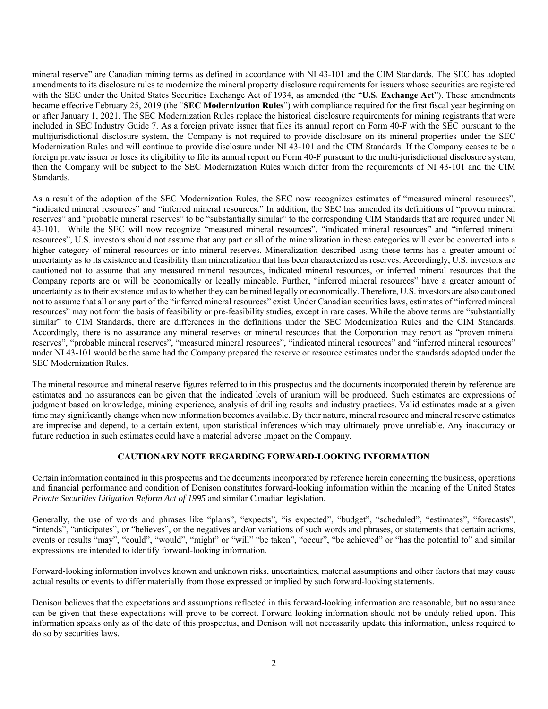mineral reserve" are Canadian mining terms as defined in accordance with NI 43-101 and the CIM Standards. The SEC has adopted amendments to its disclosure rules to modernize the mineral property disclosure requirements for issuers whose securities are registered with the SEC under the United States Securities Exchange Act of 1934, as amended (the "**U.S. Exchange Act**"). These amendments became effective February 25, 2019 (the "**SEC Modernization Rules**") with compliance required for the first fiscal year beginning on or after January 1, 2021. The SEC Modernization Rules replace the historical disclosure requirements for mining registrants that were included in SEC Industry Guide 7. As a foreign private issuer that files its annual report on Form 40-F with the SEC pursuant to the multijurisdictional disclosure system, the Company is not required to provide disclosure on its mineral properties under the SEC Modernization Rules and will continue to provide disclosure under NI 43-101 and the CIM Standards. If the Company ceases to be a foreign private issuer or loses its eligibility to file its annual report on Form 40-F pursuant to the multi-jurisdictional disclosure system, then the Company will be subject to the SEC Modernization Rules which differ from the requirements of NI 43-101 and the CIM Standards.

As a result of the adoption of the SEC Modernization Rules, the SEC now recognizes estimates of "measured mineral resources", "indicated mineral resources" and "inferred mineral resources." In addition, the SEC has amended its definitions of "proven mineral reserves" and "probable mineral reserves" to be "substantially similar" to the corresponding CIM Standards that are required under NI 43-101. While the SEC will now recognize "measured mineral resources", "indicated mineral resources" and "inferred mineral resources", U.S. investors should not assume that any part or all of the mineralization in these categories will ever be converted into a higher category of mineral resources or into mineral reserves. Mineralization described using these terms has a greater amount of uncertainty as to its existence and feasibility than mineralization that has been characterized as reserves. Accordingly, U.S. investors are cautioned not to assume that any measured mineral resources, indicated mineral resources, or inferred mineral resources that the Company reports are or will be economically or legally mineable. Further, "inferred mineral resources" have a greater amount of uncertainty as to their existence and as to whether they can be mined legally or economically. Therefore, U.S. investors are also cautioned not to assume that all or any part of the "inferred mineral resources" exist. Under Canadian securities laws, estimates of "inferred mineral resources" may not form the basis of feasibility or pre-feasibility studies, except in rare cases. While the above terms are "substantially similar" to CIM Standards, there are differences in the definitions under the SEC Modernization Rules and the CIM Standards. Accordingly, there is no assurance any mineral reserves or mineral resources that the Corporation may report as "proven mineral reserves", "probable mineral reserves", "measured mineral resources", "indicated mineral resources" and "inferred mineral resources" under NI 43-101 would be the same had the Company prepared the reserve or resource estimates under the standards adopted under the SEC Modernization Rules.

The mineral resource and mineral reserve figures referred to in this prospectus and the documents incorporated therein by reference are estimates and no assurances can be given that the indicated levels of uranium will be produced. Such estimates are expressions of judgment based on knowledge, mining experience, analysis of drilling results and industry practices. Valid estimates made at a given time may significantly change when new information becomes available. By their nature, mineral resource and mineral reserve estimates are imprecise and depend, to a certain extent, upon statistical inferences which may ultimately prove unreliable. Any inaccuracy or future reduction in such estimates could have a material adverse impact on the Company.

# **CAUTIONARY NOTE REGARDING FORWARD-LOOKING INFORMATION**

Certain information contained in this prospectus and the documents incorporated by reference herein concerning the business, operations and financial performance and condition of Denison constitutes forward-looking information within the meaning of the United States *Private Securities Litigation Reform Act of 1995* and similar Canadian legislation.

Generally, the use of words and phrases like "plans", "expects", "is expected", "budget", "scheduled", "estimates", "forecasts", "intends", "anticipates", or "believes", or the negatives and/or variations of such words and phrases, or statements that certain actions, events or results "may", "could", "would", "might" or "will" "be taken", "occur", "be achieved" or "has the potential to" and similar expressions are intended to identify forward-looking information.

Forward-looking information involves known and unknown risks, uncertainties, material assumptions and other factors that may cause actual results or events to differ materially from those expressed or implied by such forward-looking statements.

Denison believes that the expectations and assumptions reflected in this forward-looking information are reasonable, but no assurance can be given that these expectations will prove to be correct. Forward-looking information should not be unduly relied upon. This information speaks only as of the date of this prospectus, and Denison will not necessarily update this information, unless required to do so by securities laws.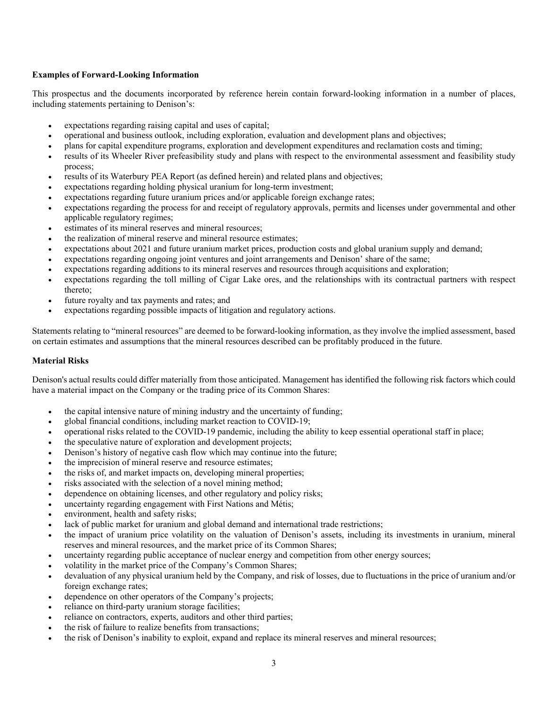### **Examples of Forward-Looking Information**

This prospectus and the documents incorporated by reference herein contain forward-looking information in a number of places, including statements pertaining to Denison's:

- expectations regarding raising capital and uses of capital;
- operational and business outlook, including exploration, evaluation and development plans and objectives;
- plans for capital expenditure programs, exploration and development expenditures and reclamation costs and timing;
- results of its Wheeler River prefeasibility study and plans with respect to the environmental assessment and feasibility study process;
- results of its Waterbury PEA Report (as defined herein) and related plans and objectives;
- expectations regarding holding physical uranium for long-term investment;
- expectations regarding future uranium prices and/or applicable foreign exchange rates;
- expectations regarding the process for and receipt of regulatory approvals, permits and licenses under governmental and other applicable regulatory regimes;
- estimates of its mineral reserves and mineral resources;
- the realization of mineral reserve and mineral resource estimates;
- expectations about 2021 and future uranium market prices, production costs and global uranium supply and demand;
- expectations regarding ongoing joint ventures and joint arrangements and Denison' share of the same;
- expectations regarding additions to its mineral reserves and resources through acquisitions and exploration;
- expectations regarding the toll milling of Cigar Lake ores, and the relationships with its contractual partners with respect thereto;
- future royalty and tax payments and rates; and
- expectations regarding possible impacts of litigation and regulatory actions.

Statements relating to "mineral resources" are deemed to be forward-looking information, as they involve the implied assessment, based on certain estimates and assumptions that the mineral resources described can be profitably produced in the future.

#### **Material Risks**

Denison's actual results could differ materially from those anticipated. Management has identified the following risk factors which could have a material impact on the Company or the trading price of its Common Shares:

- the capital intensive nature of mining industry and the uncertainty of funding;
- global financial conditions, including market reaction to COVID-19;
- operational risks related to the COVID-19 pandemic, including the ability to keep essential operational staff in place;
- the speculative nature of exploration and development projects;
- Denison's history of negative cash flow which may continue into the future;
- the imprecision of mineral reserve and resource estimates;
- the risks of, and market impacts on, developing mineral properties;
- risks associated with the selection of a novel mining method;
- dependence on obtaining licenses, and other regulatory and policy risks;
- uncertainty regarding engagement with First Nations and Métis;
- environment, health and safety risks;
- lack of public market for uranium and global demand and international trade restrictions;
- the impact of uranium price volatility on the valuation of Denison's assets, including its investments in uranium, mineral reserves and mineral resources, and the market price of its Common Shares;
- uncertainty regarding public acceptance of nuclear energy and competition from other energy sources;
- volatility in the market price of the Company's Common Shares;
- devaluation of any physical uranium held by the Company, and risk of losses, due to fluctuations in the price of uranium and/or foreign exchange rates;
- dependence on other operators of the Company's projects;
- reliance on third-party uranium storage facilities;
- reliance on contractors, experts, auditors and other third parties;
- the risk of failure to realize benefits from transactions;
- the risk of Denison's inability to exploit, expand and replace its mineral reserves and mineral resources;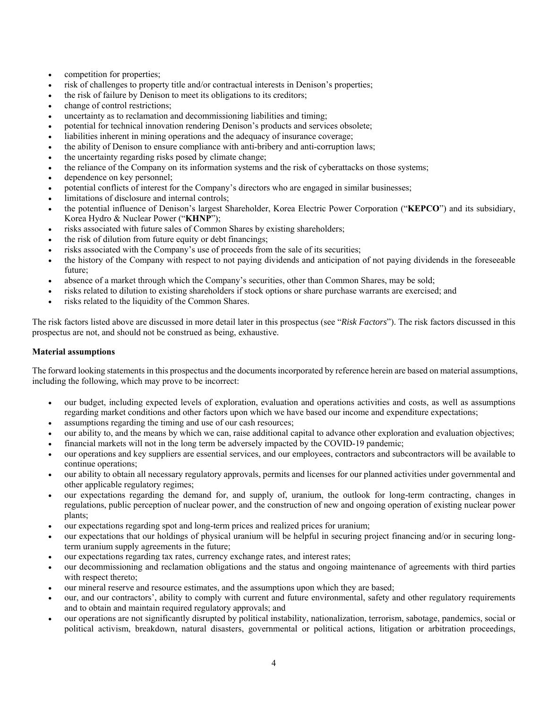- competition for properties;
- risk of challenges to property title and/or contractual interests in Denison's properties;
- the risk of failure by Denison to meet its obligations to its creditors;
- change of control restrictions;
- uncertainty as to reclamation and decommissioning liabilities and timing;
- potential for technical innovation rendering Denison's products and services obsolete;
- liabilities inherent in mining operations and the adequacy of insurance coverage;
- the ability of Denison to ensure compliance with anti-bribery and anti-corruption laws;
- the uncertainty regarding risks posed by climate change;
- the reliance of the Company on its information systems and the risk of cyberattacks on those systems;
- dependence on key personnel;
- potential conflicts of interest for the Company's directors who are engaged in similar businesses;
- limitations of disclosure and internal controls;
- the potential influence of Denison's largest Shareholder, Korea Electric Power Corporation ("**KEPCO**") and its subsidiary, Korea Hydro & Nuclear Power ("**KHNP**");
- risks associated with future sales of Common Shares by existing shareholders;
- the risk of dilution from future equity or debt financings;
- risks associated with the Company's use of proceeds from the sale of its securities;
- the history of the Company with respect to not paying dividends and anticipation of not paying dividends in the foreseeable future;
- absence of a market through which the Company's securities, other than Common Shares, may be sold;
- risks related to dilution to existing shareholders if stock options or share purchase warrants are exercised; and
- risks related to the liquidity of the Common Shares.

The risk factors listed above are discussed in more detail later in this prospectus (see "*Risk Factors*"). The risk factors discussed in this prospectus are not, and should not be construed as being, exhaustive.

#### **Material assumptions**

The forward looking statements in this prospectus and the documents incorporated by reference herein are based on material assumptions, including the following, which may prove to be incorrect:

- our budget, including expected levels of exploration, evaluation and operations activities and costs, as well as assumptions regarding market conditions and other factors upon which we have based our income and expenditure expectations;
- assumptions regarding the timing and use of our cash resources;
- our ability to, and the means by which we can, raise additional capital to advance other exploration and evaluation objectives;
- financial markets will not in the long term be adversely impacted by the COVID-19 pandemic;
- our operations and key suppliers are essential services, and our employees, contractors and subcontractors will be available to continue operations;
- our ability to obtain all necessary regulatory approvals, permits and licenses for our planned activities under governmental and other applicable regulatory regimes;
- our expectations regarding the demand for, and supply of, uranium, the outlook for long-term contracting, changes in regulations, public perception of nuclear power, and the construction of new and ongoing operation of existing nuclear power plants;
- our expectations regarding spot and long-term prices and realized prices for uranium;
- our expectations that our holdings of physical uranium will be helpful in securing project financing and/or in securing longterm uranium supply agreements in the future;
- our expectations regarding tax rates, currency exchange rates, and interest rates;
- our decommissioning and reclamation obligations and the status and ongoing maintenance of agreements with third parties with respect thereto;
- our mineral reserve and resource estimates, and the assumptions upon which they are based;
- our, and our contractors', ability to comply with current and future environmental, safety and other regulatory requirements and to obtain and maintain required regulatory approvals; and
- our operations are not significantly disrupted by political instability, nationalization, terrorism, sabotage, pandemics, social or political activism, breakdown, natural disasters, governmental or political actions, litigation or arbitration proceedings,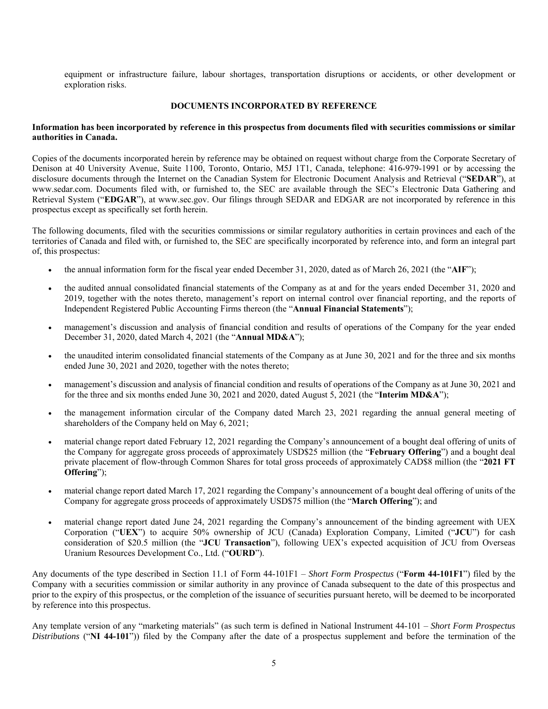equipment or infrastructure failure, labour shortages, transportation disruptions or accidents, or other development or exploration risks.

#### **DOCUMENTS INCORPORATED BY REFERENCE**

### **Information has been incorporated by reference in this prospectus from documents filed with securities commissions or similar authorities in Canada.**

Copies of the documents incorporated herein by reference may be obtained on request without charge from the Corporate Secretary of Denison at 40 University Avenue, Suite 1100, Toronto, Ontario, M5J 1T1, Canada, telephone: 416-979-1991 or by accessing the disclosure documents through the Internet on the Canadian System for Electronic Document Analysis and Retrieval ("**SEDAR**"), at www.sedar.com. Documents filed with, or furnished to, the SEC are available through the SEC's Electronic Data Gathering and Retrieval System ("**EDGAR**"), at www.sec.gov. Our filings through SEDAR and EDGAR are not incorporated by reference in this prospectus except as specifically set forth herein.

The following documents, filed with the securities commissions or similar regulatory authorities in certain provinces and each of the territories of Canada and filed with, or furnished to, the SEC are specifically incorporated by reference into, and form an integral part of, this prospectus:

- the annual information form for the fiscal year ended December 31, 2020, dated as of March 26, 2021 (the "**AIF**");
- the audited annual consolidated financial statements of the Company as at and for the years ended December 31, 2020 and 2019, together with the notes thereto, management's report on internal control over financial reporting, and the reports of Independent Registered Public Accounting Firms thereon (the "**Annual Financial Statements**");
- management's discussion and analysis of financial condition and results of operations of the Company for the year ended December 31, 2020, dated March 4, 2021 (the "**Annual MD&A**");
- the unaudited interim consolidated financial statements of the Company as at June 30, 2021 and for the three and six months ended June 30, 2021 and 2020, together with the notes thereto;
- management's discussion and analysis of financial condition and results of operations of the Company as at June 30, 2021 and for the three and six months ended June 30, 2021 and 2020, dated August 5, 2021 (the "**Interim MD&A**");
- the management information circular of the Company dated March 23, 2021 regarding the annual general meeting of shareholders of the Company held on May 6, 2021;
- material change report dated February 12, 2021 regarding the Company's announcement of a bought deal offering of units of the Company for aggregate gross proceeds of approximately USD\$25 million (the "**February Offering**") and a bought deal private placement of flow-through Common Shares for total gross proceeds of approximately CAD\$8 million (the "**2021 FT Offering**");
- material change report dated March 17, 2021 regarding the Company's announcement of a bought deal offering of units of the Company for aggregate gross proceeds of approximately USD\$75 million (the "**March Offering**"); and
- material change report dated June 24, 2021 regarding the Company's announcement of the binding agreement with UEX Corporation ("**UEX**") to acquire 50% ownership of JCU (Canada) Exploration Company, Limited ("**JCU**") for cash consideration of \$20.5 million (the "**JCU Transaction**"), following UEX's expected acquisition of JCU from Overseas Uranium Resources Development Co., Ltd. ("**OURD**").

Any documents of the type described in Section 11.1 of Form 44-101F1 – *Short Form Prospectus* ("**Form 44-101F1**") filed by the Company with a securities commission or similar authority in any province of Canada subsequent to the date of this prospectus and prior to the expiry of this prospectus, or the completion of the issuance of securities pursuant hereto, will be deemed to be incorporated by reference into this prospectus.

Any template version of any "marketing materials" (as such term is defined in National Instrument 44-101 – *Short Form Prospectus Distributions* ("**NI 44-101**")) filed by the Company after the date of a prospectus supplement and before the termination of the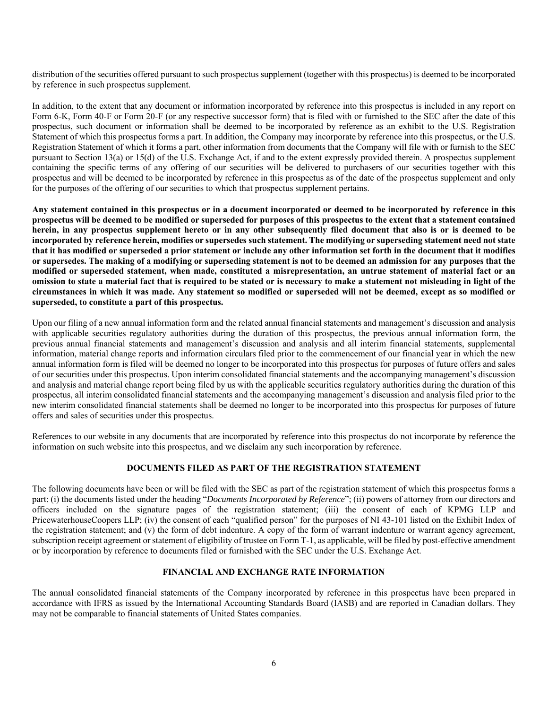distribution of the securities offered pursuant to such prospectus supplement (together with this prospectus) is deemed to be incorporated by reference in such prospectus supplement.

In addition, to the extent that any document or information incorporated by reference into this prospectus is included in any report on Form 6-K, Form 40-F or Form 20-F (or any respective successor form) that is filed with or furnished to the SEC after the date of this prospectus, such document or information shall be deemed to be incorporated by reference as an exhibit to the U.S. Registration Statement of which this prospectus forms a part. In addition, the Company may incorporate by reference into this prospectus, or the U.S. Registration Statement of which it forms a part, other information from documents that the Company will file with or furnish to the SEC pursuant to Section 13(a) or 15(d) of the U.S. Exchange Act, if and to the extent expressly provided therein. A prospectus supplement containing the specific terms of any offering of our securities will be delivered to purchasers of our securities together with this prospectus and will be deemed to be incorporated by reference in this prospectus as of the date of the prospectus supplement and only for the purposes of the offering of our securities to which that prospectus supplement pertains.

**Any statement contained in this prospectus or in a document incorporated or deemed to be incorporated by reference in this prospectus will be deemed to be modified or superseded for purposes of this prospectus to the extent that a statement contained herein, in any prospectus supplement hereto or in any other subsequently filed document that also is or is deemed to be incorporated by reference herein, modifies or supersedes such statement. The modifying or superseding statement need not state that it has modified or superseded a prior statement or include any other information set forth in the document that it modifies or supersedes. The making of a modifying or superseding statement is not to be deemed an admission for any purposes that the modified or superseded statement, when made, constituted a misrepresentation, an untrue statement of material fact or an omission to state a material fact that is required to be stated or is necessary to make a statement not misleading in light of the circumstances in which it was made. Any statement so modified or superseded will not be deemed, except as so modified or superseded, to constitute a part of this prospectus.** 

Upon our filing of a new annual information form and the related annual financial statements and management's discussion and analysis with applicable securities regulatory authorities during the duration of this prospectus, the previous annual information form, the previous annual financial statements and management's discussion and analysis and all interim financial statements, supplemental information, material change reports and information circulars filed prior to the commencement of our financial year in which the new annual information form is filed will be deemed no longer to be incorporated into this prospectus for purposes of future offers and sales of our securities under this prospectus. Upon interim consolidated financial statements and the accompanying management's discussion and analysis and material change report being filed by us with the applicable securities regulatory authorities during the duration of this prospectus, all interim consolidated financial statements and the accompanying management's discussion and analysis filed prior to the new interim consolidated financial statements shall be deemed no longer to be incorporated into this prospectus for purposes of future offers and sales of securities under this prospectus.

References to our website in any documents that are incorporated by reference into this prospectus do not incorporate by reference the information on such website into this prospectus, and we disclaim any such incorporation by reference.

# **DOCUMENTS FILED AS PART OF THE REGISTRATION STATEMENT**

The following documents have been or will be filed with the SEC as part of the registration statement of which this prospectus forms a part: (i) the documents listed under the heading "*Documents Incorporated by Reference*"; (ii) powers of attorney from our directors and officers included on the signature pages of the registration statement; (iii) the consent of each of KPMG LLP and PricewaterhouseCoopers LLP; (iv) the consent of each "qualified person" for the purposes of NI 43-101 listed on the Exhibit Index of the registration statement; and (v) the form of debt indenture. A copy of the form of warrant indenture or warrant agency agreement, subscription receipt agreement or statement of eligibility of trustee on Form T-1, as applicable, will be filed by post-effective amendment or by incorporation by reference to documents filed or furnished with the SEC under the U.S. Exchange Act.

# **FINANCIAL AND EXCHANGE RATE INFORMATION**

The annual consolidated financial statements of the Company incorporated by reference in this prospectus have been prepared in accordance with IFRS as issued by the International Accounting Standards Board (IASB) and are reported in Canadian dollars. They may not be comparable to financial statements of United States companies.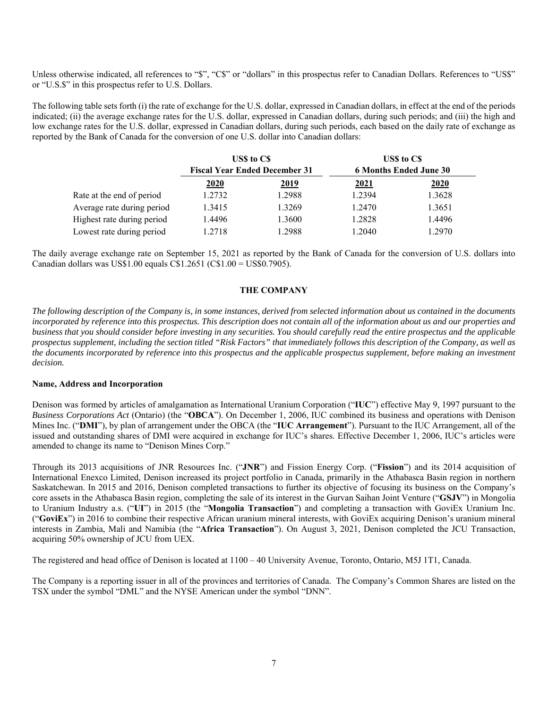Unless otherwise indicated, all references to "\$", "C\$" or "dollars" in this prospectus refer to Canadian Dollars. References to "US\$" or "U.S.\$" in this prospectus refer to U.S. Dollars.

The following table sets forth (i) the rate of exchange for the U.S. dollar, expressed in Canadian dollars, in effect at the end of the periods indicated; (ii) the average exchange rates for the U.S. dollar, expressed in Canadian dollars, during such periods; and (iii) the high and low exchange rates for the U.S. dollar, expressed in Canadian dollars, during such periods, each based on the daily rate of exchange as reported by the Bank of Canada for the conversion of one U.S. dollar into Canadian dollars:

|                            | US\$ to C\$<br><b>Fiscal Year Ended December 31</b> |             | US\$ to C\$<br><b>6 Months Ended June 30</b> |             |
|----------------------------|-----------------------------------------------------|-------------|----------------------------------------------|-------------|
|                            |                                                     |             |                                              |             |
|                            | <u>2020</u>                                         | <u>2019</u> | <u>2021</u>                                  | <u>2020</u> |
| Rate at the end of period  | 1.2732                                              | 1.2988      | 1.2394                                       | 1.3628      |
| Average rate during period | 1.3415                                              | 1.3269      | 1.2470                                       | 1.3651      |
| Highest rate during period | 1.4496                                              | 1.3600      | 1.2828                                       | 1.4496      |
| Lowest rate during period  | 1.2718                                              | 1.2988      | 1.2040                                       | 1.2970      |

The daily average exchange rate on September 15, 2021 as reported by the Bank of Canada for the conversion of U.S. dollars into Canadian dollars was US\$1.00 equals C\$1.2651 (C\$1.00 = US\$0.7905).

# **THE COMPANY**

*The following description of the Company is, in some instances, derived from selected information about us contained in the documents incorporated by reference into this prospectus. This description does not contain all of the information about us and our properties and business that you should consider before investing in any securities. You should carefully read the entire prospectus and the applicable prospectus supplement, including the section titled "Risk Factors" that immediately follows this description of the Company, as well as the documents incorporated by reference into this prospectus and the applicable prospectus supplement, before making an investment decision.* 

#### **Name, Address and Incorporation**

Denison was formed by articles of amalgamation as International Uranium Corporation ("**IUC**") effective May 9, 1997 pursuant to the *Business Corporations Act* (Ontario) (the "**OBCA**"). On December 1, 2006, IUC combined its business and operations with Denison Mines Inc. ("**DMI**"), by plan of arrangement under the OBCA (the "**IUC Arrangement**"). Pursuant to the IUC Arrangement, all of the issued and outstanding shares of DMI were acquired in exchange for IUC's shares. Effective December 1, 2006, IUC's articles were amended to change its name to "Denison Mines Corp."

Through its 2013 acquisitions of JNR Resources Inc. ("**JNR**") and Fission Energy Corp. ("**Fission**") and its 2014 acquisition of International Enexco Limited, Denison increased its project portfolio in Canada, primarily in the Athabasca Basin region in northern Saskatchewan. In 2015 and 2016, Denison completed transactions to further its objective of focusing its business on the Company's core assets in the Athabasca Basin region, completing the sale of its interest in the Gurvan Saihan Joint Venture ("**GSJV**") in Mongolia to Uranium Industry a.s. ("**UI**") in 2015 (the "**Mongolia Transaction**") and completing a transaction with GoviEx Uranium Inc. ("**GoviEx**") in 2016 to combine their respective African uranium mineral interests, with GoviEx acquiring Denison's uranium mineral interests in Zambia, Mali and Namibia (the "**Africa Transaction**"). On August 3, 2021, Denison completed the JCU Transaction, acquiring 50% ownership of JCU from UEX.

The registered and head office of Denison is located at 1100 – 40 University Avenue, Toronto, Ontario, M5J 1T1, Canada.

The Company is a reporting issuer in all of the provinces and territories of Canada. The Company's Common Shares are listed on the TSX under the symbol "DML" and the NYSE American under the symbol "DNN".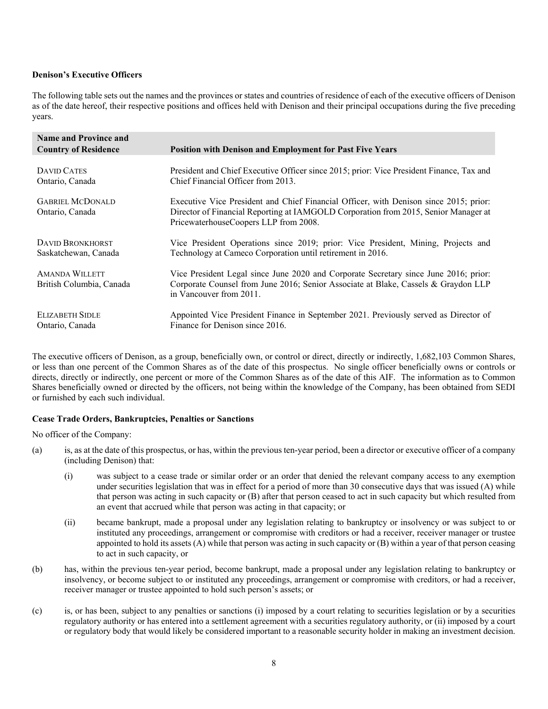# **Denison's Executive Officers**

The following table sets out the names and the provinces or states and countries of residence of each of the executive officers of Denison as of the date hereof, their respective positions and offices held with Denison and their principal occupations during the five preceding years.

| <b>Name and Province and</b>                      |                                                                                                                                                                                                                       |
|---------------------------------------------------|-----------------------------------------------------------------------------------------------------------------------------------------------------------------------------------------------------------------------|
| <b>Country of Residence</b>                       | <b>Position with Denison and Employment for Past Five Years</b>                                                                                                                                                       |
| DAVID CATES<br>Ontario, Canada                    | President and Chief Executive Officer since 2015; prior: Vice President Finance, Tax and<br>Chief Financial Officer from 2013.                                                                                        |
| <b>GABRIEL MCDONALD</b><br>Ontario, Canada        | Executive Vice President and Chief Financial Officer, with Denison since 2015; prior:<br>Director of Financial Reporting at IAMGOLD Corporation from 2015, Senior Manager at<br>PricewaterhouseCoopers LLP from 2008. |
| <b>DAVID BRONKHORST</b><br>Saskatchewan, Canada   | Vice President Operations since 2019; prior: Vice President, Mining, Projects and<br>Technology at Cameco Corporation until retirement in 2016.                                                                       |
| <b>AMANDA WILLETT</b><br>British Columbia, Canada | Vice President Legal since June 2020 and Corporate Secretary since June 2016; prior:<br>Corporate Counsel from June 2016; Senior Associate at Blake, Cassels & Graydon LLP<br>in Vancouver from 2011.                 |
| <b>ELIZABETH SIDLE</b><br>Ontario, Canada         | Appointed Vice President Finance in September 2021. Previously served as Director of<br>Finance for Denison since 2016.                                                                                               |

The executive officers of Denison, as a group, beneficially own, or control or direct, directly or indirectly, 1,682,103 Common Shares, or less than one percent of the Common Shares as of the date of this prospectus. No single officer beneficially owns or controls or directs, directly or indirectly, one percent or more of the Common Shares as of the date of this AIF. The information as to Common Shares beneficially owned or directed by the officers, not being within the knowledge of the Company, has been obtained from SEDI or furnished by each such individual.

#### **Cease Trade Orders, Bankruptcies, Penalties or Sanctions**

No officer of the Company:

- (a) is, as at the date of this prospectus, or has, within the previous ten-year period, been a director or executive officer of a company (including Denison) that:
	- (i) was subject to a cease trade or similar order or an order that denied the relevant company access to any exemption under securities legislation that was in effect for a period of more than 30 consecutive days that was issued (A) while that person was acting in such capacity or (B) after that person ceased to act in such capacity but which resulted from an event that accrued while that person was acting in that capacity; or
	- (ii) became bankrupt, made a proposal under any legislation relating to bankruptcy or insolvency or was subject to or instituted any proceedings, arrangement or compromise with creditors or had a receiver, receiver manager or trustee appointed to hold its assets  $(A)$  while that person was acting in such capacity or  $(B)$  within a year of that person ceasing to act in such capacity, or
- (b) has, within the previous ten-year period, become bankrupt, made a proposal under any legislation relating to bankruptcy or insolvency, or become subject to or instituted any proceedings, arrangement or compromise with creditors, or had a receiver, receiver manager or trustee appointed to hold such person's assets; or
- (c) is, or has been, subject to any penalties or sanctions (i) imposed by a court relating to securities legislation or by a securities regulatory authority or has entered into a settlement agreement with a securities regulatory authority, or (ii) imposed by a court or regulatory body that would likely be considered important to a reasonable security holder in making an investment decision.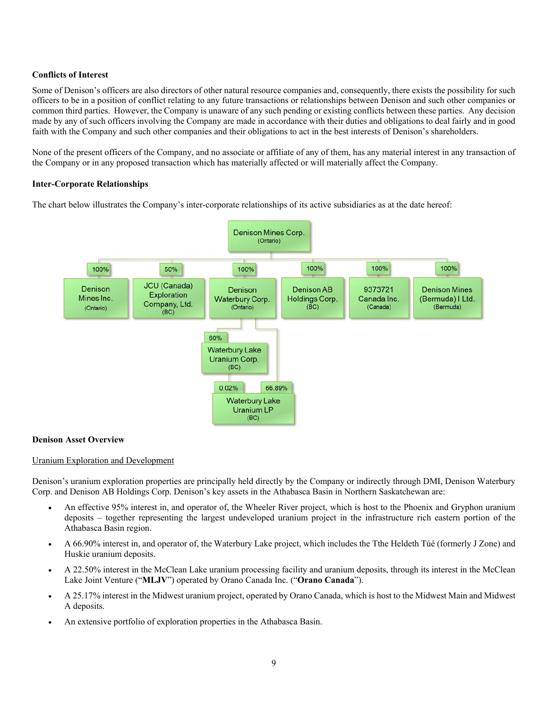# **Conflicts of Interest**

Some of Denison's officers are also directors of other natural resource companies and, consequently, there exists the possibility for such officers to be in a position of conflict relating to any future transactions or relationships between Denison and such other companies or common third parties. However, the Company is unaware of any such pending or existing conflicts between these parties. Any decision made by any of such officers involving the Company are made in accordance with their duties and obligations to deal fairly and in good faith with the Company and such other companies and their obligations to act in the best interests of Denison's shareholders.

None of the present officers of the Company, and no associate or affiliate of any of them, has any material interest in any transaction of the Company or in any proposed transaction which has materially affected or will materially affect the Company.

# **Inter-Corporate Relationships**

The chart below illustrates the Company's inter-corporate relationships of its active subsidiaries as at the date hereof:



# **Denison Asset Overview**

# Uranium Exploration and Development

Denison's uranium exploration properties are principally held directly by the Company or indirectly through DMI, Denison Waterbury Corp. and Denison AB Holdings Corp. Denison's key assets in the Athabasca Basin in Northern Saskatchewan are:

- An effective 95% interest in, and operator of, the Wheeler River project, which is host to the Phoenix and Gryphon uranium deposits – together representing the largest undeveloped uranium project in the infrastructure rich eastern portion of the Athabasca Basin region.
- A 66.90% interest in, and operator of, the Waterbury Lake project, which includes the Tthe Heldeth Túé (formerly J Zone) and Huskie uranium deposits.
- A 22.50% interest in the McClean Lake uranium processing facility and uranium deposits, through its interest in the McClean Lake Joint Venture ("**MLJV**") operated by Orano Canada Inc. ("**Orano Canada**").
- A 25.17% interest in the Midwest uranium project, operated by Orano Canada, which is host to the Midwest Main and Midwest A deposits.
- An extensive portfolio of exploration properties in the Athabasca Basin.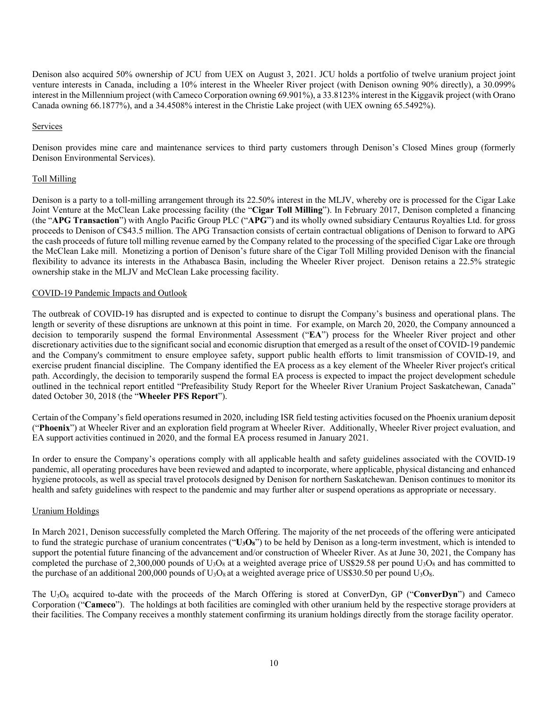Denison also acquired 50% ownership of JCU from UEX on August 3, 2021. JCU holds a portfolio of twelve uranium project joint venture interests in Canada, including a 10% interest in the Wheeler River project (with Denison owning 90% directly), a 30.099% interest in the Millennium project (with Cameco Corporation owning 69.901%), a 33.8123% interest in the Kiggavik project (with Orano Canada owning 66.1877%), and a 34.4508% interest in the Christie Lake project (with UEX owning 65.5492%).

### Services

Denison provides mine care and maintenance services to third party customers through Denison's Closed Mines group (formerly Denison Environmental Services).

### Toll Milling

Denison is a party to a toll-milling arrangement through its 22.50% interest in the MLJV, whereby ore is processed for the Cigar Lake Joint Venture at the McClean Lake processing facility (the "**Cigar Toll Milling**"). In February 2017, Denison completed a financing (the "**APG Transaction**") with Anglo Pacific Group PLC ("**APG**") and its wholly owned subsidiary Centaurus Royalties Ltd. for gross proceeds to Denison of C\$43.5 million. The APG Transaction consists of certain contractual obligations of Denison to forward to APG the cash proceeds of future toll milling revenue earned by the Company related to the processing of the specified Cigar Lake ore through the McClean Lake mill. Monetizing a portion of Denison's future share of the Cigar Toll Milling provided Denison with the financial flexibility to advance its interests in the Athabasca Basin, including the Wheeler River project. Denison retains a 22.5% strategic ownership stake in the MLJV and McClean Lake processing facility.

### COVID-19 Pandemic Impacts and Outlook

The outbreak of COVID-19 has disrupted and is expected to continue to disrupt the Company's business and operational plans. The length or severity of these disruptions are unknown at this point in time. For example, on March 20, 2020, the Company announced a decision to temporarily suspend the formal Environmental Assessment ("**EA**") process for the Wheeler River project and other discretionary activities due to the significant social and economic disruption that emerged as a result of the onset of COVID-19 pandemic and the Company's commitment to ensure employee safety, support public health efforts to limit transmission of COVID-19, and exercise prudent financial discipline. The Company identified the EA process as a key element of the Wheeler River project's critical path. Accordingly, the decision to temporarily suspend the formal EA process is expected to impact the project development schedule outlined in the technical report entitled "Prefeasibility Study Report for the Wheeler River Uranium Project Saskatchewan, Canada" dated October 30, 2018 (the "**Wheeler PFS Report**").

Certain of the Company's field operations resumed in 2020, including ISR field testing activities focused on the Phoenix uranium deposit ("**Phoenix**") at Wheeler River and an exploration field program at Wheeler River. Additionally, Wheeler River project evaluation, and EA support activities continued in 2020, and the formal EA process resumed in January 2021.

In order to ensure the Company's operations comply with all applicable health and safety guidelines associated with the COVID-19 pandemic, all operating procedures have been reviewed and adapted to incorporate, where applicable, physical distancing and enhanced hygiene protocols, as well as special travel protocols designed by Denison for northern Saskatchewan. Denison continues to monitor its health and safety guidelines with respect to the pandemic and may further alter or suspend operations as appropriate or necessary.

#### Uranium Holdings

In March 2021, Denison successfully completed the March Offering. The majority of the net proceeds of the offering were anticipated to fund the strategic purchase of uranium concentrates ("**U3O8**") to be held by Denison as a long-term investment, which is intended to support the potential future financing of the advancement and/or construction of Wheeler River. As at June 30, 2021, the Company has completed the purchase of 2,300,000 pounds of  $U_3O_8$  at a weighted average price of US\$29.58 per pound  $U_3O_8$  and has committed to the purchase of an additional 200,000 pounds of  $U_3O_8$  at a weighted average price of US\$30.50 per pound  $U_3O_8$ .

The U3O8 acquired to-date with the proceeds of the March Offering is stored at ConverDyn, GP ("**ConverDyn**") and Cameco Corporation ("**Cameco**"). The holdings at both facilities are comingled with other uranium held by the respective storage providers at their facilities. The Company receives a monthly statement confirming its uranium holdings directly from the storage facility operator.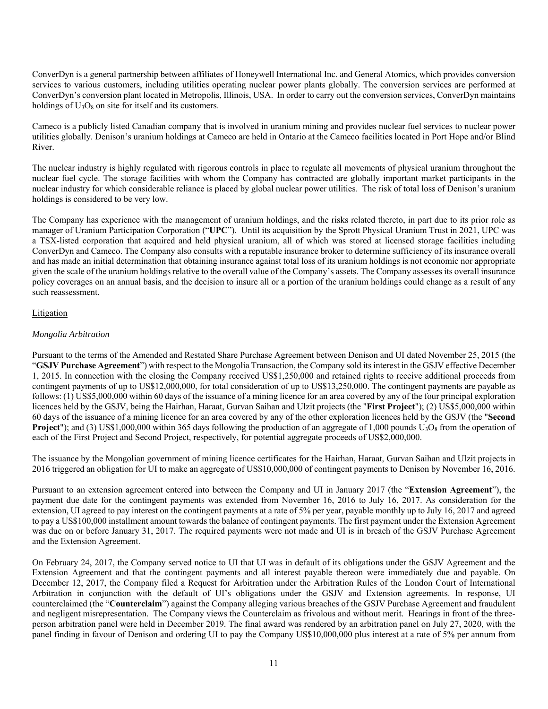ConverDyn is a general partnership between affiliates of Honeywell International Inc. and General Atomics, which provides conversion services to various customers, including utilities operating nuclear power plants globally. The conversion services are performed at ConverDyn's conversion plant located in Metropolis, Illinois, USA. In order to carry out the conversion services, ConverDyn maintains holdings of  $U_3O_8$  on site for itself and its customers.

Cameco is a publicly listed Canadian company that is involved in uranium mining and provides nuclear fuel services to nuclear power utilities globally. Denison's uranium holdings at Cameco are held in Ontario at the Cameco facilities located in Port Hope and/or Blind River.

The nuclear industry is highly regulated with rigorous controls in place to regulate all movements of physical uranium throughout the nuclear fuel cycle. The storage facilities with whom the Company has contracted are globally important market participants in the nuclear industry for which considerable reliance is placed by global nuclear power utilities. The risk of total loss of Denison's uranium holdings is considered to be very low.

The Company has experience with the management of uranium holdings, and the risks related thereto, in part due to its prior role as manager of Uranium Participation Corporation ("**UPC**"). Until its acquisition by the Sprott Physical Uranium Trust in 2021, UPC was a TSX-listed corporation that acquired and held physical uranium, all of which was stored at licensed storage facilities including ConverDyn and Cameco. The Company also consults with a reputable insurance broker to determine sufficiency of its insurance overall and has made an initial determination that obtaining insurance against total loss of its uranium holdings is not economic nor appropriate given the scale of the uranium holdings relative to the overall value of the Company's assets. The Company assesses its overall insurance policy coverages on an annual basis, and the decision to insure all or a portion of the uranium holdings could change as a result of any such reassessment.

# Litigation

### *Mongolia Arbitration*

Pursuant to the terms of the Amended and Restated Share Purchase Agreement between Denison and UI dated November 25, 2015 (the "**GSJV Purchase Agreement**") with respect to the Mongolia Transaction, the Company sold its interest in the GSJV effective December 1, 2015. In connection with the closing the Company received US\$1,250,000 and retained rights to receive additional proceeds from contingent payments of up to US\$12,000,000, for total consideration of up to US\$13,250,000. The contingent payments are payable as follows: (1) US\$5,000,000 within 60 days of the issuance of a mining licence for an area covered by any of the four principal exploration licences held by the GSJV, being the Hairhan, Haraat, Gurvan Saihan and Ulzit projects (the "**First Project**"); (2) US\$5,000,000 within 60 days of the issuance of a mining licence for an area covered by any of the other exploration licences held by the GSJV (the "**Second Project**"); and (3) US\$1,000,000 within 365 days following the production of an aggregate of 1,000 pounds  $U_3O_8$  from the operation of each of the First Project and Second Project, respectively, for potential aggregate proceeds of US\$2,000,000.

The issuance by the Mongolian government of mining licence certificates for the Hairhan, Haraat, Gurvan Saihan and Ulzit projects in 2016 triggered an obligation for UI to make an aggregate of US\$10,000,000 of contingent payments to Denison by November 16, 2016.

Pursuant to an extension agreement entered into between the Company and UI in January 2017 (the "**Extension Agreement**"), the payment due date for the contingent payments was extended from November 16, 2016 to July 16, 2017. As consideration for the extension, UI agreed to pay interest on the contingent payments at a rate of 5% per year, payable monthly up to July 16, 2017 and agreed to pay a US\$100,000 installment amount towards the balance of contingent payments. The first payment under the Extension Agreement was due on or before January 31, 2017. The required payments were not made and UI is in breach of the GSJV Purchase Agreement and the Extension Agreement.

On February 24, 2017, the Company served notice to UI that UI was in default of its obligations under the GSJV Agreement and the Extension Agreement and that the contingent payments and all interest payable thereon were immediately due and payable. On December 12, 2017, the Company filed a Request for Arbitration under the Arbitration Rules of the London Court of International Arbitration in conjunction with the default of UI's obligations under the GSJV and Extension agreements. In response, UI counterclaimed (the "**Counterclaim**") against the Company alleging various breaches of the GSJV Purchase Agreement and fraudulent and negligent misrepresentation. The Company views the Counterclaim as frivolous and without merit. Hearings in front of the threeperson arbitration panel were held in December 2019. The final award was rendered by an arbitration panel on July 27, 2020, with the panel finding in favour of Denison and ordering UI to pay the Company US\$10,000,000 plus interest at a rate of 5% per annum from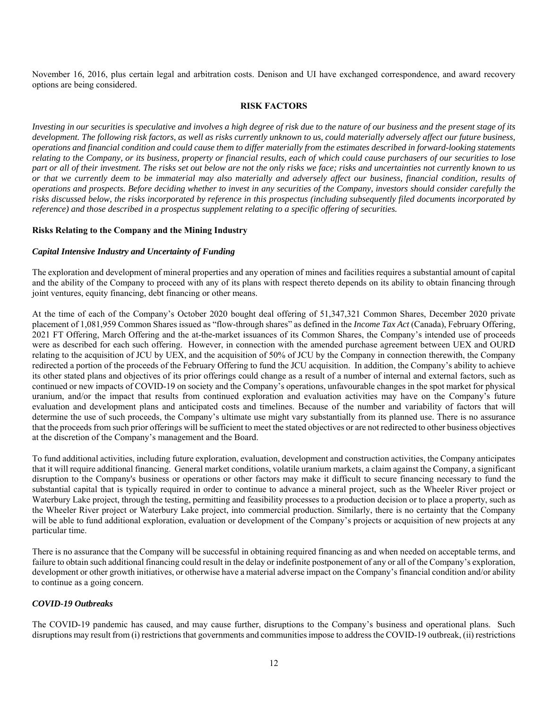November 16, 2016, plus certain legal and arbitration costs. Denison and UI have exchanged correspondence, and award recovery options are being considered.

# **RISK FACTORS**

*Investing in our securities is speculative and involves a high degree of risk due to the nature of our business and the present stage of its development. The following risk factors, as well as risks currently unknown to us, could materially adversely affect our future business, operations and financial condition and could cause them to differ materially from the estimates described in forward-looking statements relating to the Company, or its business, property or financial results, each of which could cause purchasers of our securities to lose part or all of their investment. The risks set out below are not the only risks we face; risks and uncertainties not currently known to us or that we currently deem to be immaterial may also materially and adversely affect our business, financial condition, results of operations and prospects. Before deciding whether to invest in any securities of the Company, investors should consider carefully the risks discussed below, the risks incorporated by reference in this prospectus (including subsequently filed documents incorporated by reference) and those described in a prospectus supplement relating to a specific offering of securities.* 

#### **Risks Relating to the Company and the Mining Industry**

### *Capital Intensive Industry and Uncertainty of Funding*

The exploration and development of mineral properties and any operation of mines and facilities requires a substantial amount of capital and the ability of the Company to proceed with any of its plans with respect thereto depends on its ability to obtain financing through joint ventures, equity financing, debt financing or other means.

At the time of each of the Company's October 2020 bought deal offering of 51,347,321 Common Shares, December 2020 private placement of 1,081,959 Common Shares issued as "flow-through shares" as defined in the *Income Tax Act* (Canada), February Offering, 2021 FT Offering, March Offering and the at-the-market issuances of its Common Shares, the Company's intended use of proceeds were as described for each such offering. However, in connection with the amended purchase agreement between UEX and OURD relating to the acquisition of JCU by UEX, and the acquisition of 50% of JCU by the Company in connection therewith, the Company redirected a portion of the proceeds of the February Offering to fund the JCU acquisition. In addition, the Company's ability to achieve its other stated plans and objectives of its prior offerings could change as a result of a number of internal and external factors, such as continued or new impacts of COVID-19 on society and the Company's operations, unfavourable changes in the spot market for physical uranium, and/or the impact that results from continued exploration and evaluation activities may have on the Company's future evaluation and development plans and anticipated costs and timelines. Because of the number and variability of factors that will determine the use of such proceeds, the Company's ultimate use might vary substantially from its planned use. There is no assurance that the proceeds from such prior offerings will be sufficient to meet the stated objectives or are not redirected to other business objectives at the discretion of the Company's management and the Board.

To fund additional activities, including future exploration, evaluation, development and construction activities, the Company anticipates that it will require additional financing. General market conditions, volatile uranium markets, a claim against the Company, a significant disruption to the Company's business or operations or other factors may make it difficult to secure financing necessary to fund the substantial capital that is typically required in order to continue to advance a mineral project, such as the Wheeler River project or Waterbury Lake project, through the testing, permitting and feasibility processes to a production decision or to place a property, such as the Wheeler River project or Waterbury Lake project, into commercial production. Similarly, there is no certainty that the Company will be able to fund additional exploration, evaluation or development of the Company's projects or acquisition of new projects at any particular time.

There is no assurance that the Company will be successful in obtaining required financing as and when needed on acceptable terms, and failure to obtain such additional financing could result in the delay or indefinite postponement of any or all of the Company's exploration, development or other growth initiatives, or otherwise have a material adverse impact on the Company's financial condition and/or ability to continue as a going concern.

#### *COVID-19 Outbreaks*

The COVID-19 pandemic has caused, and may cause further, disruptions to the Company's business and operational plans. Such disruptions may result from (i) restrictions that governments and communities impose to address the COVID-19 outbreak, (ii) restrictions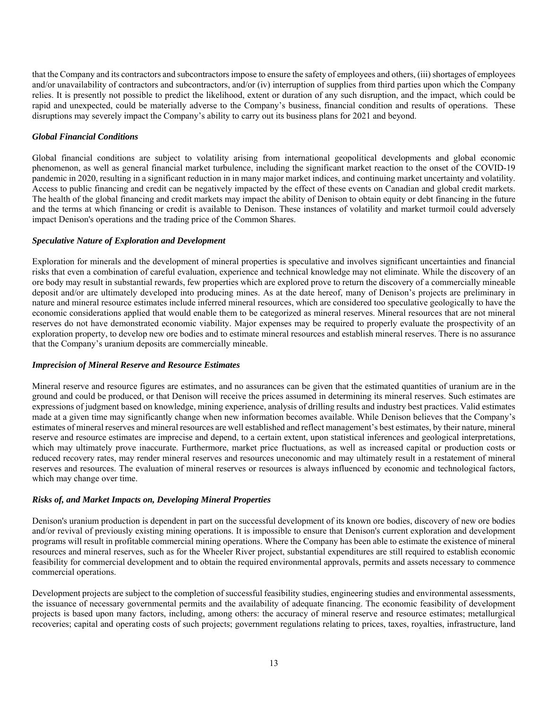that the Company and its contractors and subcontractors impose to ensure the safety of employees and others, (iii) shortages of employees and/or unavailability of contractors and subcontractors, and/or (iv) interruption of supplies from third parties upon which the Company relies. It is presently not possible to predict the likelihood, extent or duration of any such disruption, and the impact, which could be rapid and unexpected, could be materially adverse to the Company's business, financial condition and results of operations. These disruptions may severely impact the Company's ability to carry out its business plans for 2021 and beyond.

# *Global Financial Conditions*

Global financial conditions are subject to volatility arising from international geopolitical developments and global economic phenomenon, as well as general financial market turbulence, including the significant market reaction to the onset of the COVID-19 pandemic in 2020, resulting in a significant reduction in in many major market indices, and continuing market uncertainty and volatility. Access to public financing and credit can be negatively impacted by the effect of these events on Canadian and global credit markets. The health of the global financing and credit markets may impact the ability of Denison to obtain equity or debt financing in the future and the terms at which financing or credit is available to Denison. These instances of volatility and market turmoil could adversely impact Denison's operations and the trading price of the Common Shares.

# *Speculative Nature of Exploration and Development*

Exploration for minerals and the development of mineral properties is speculative and involves significant uncertainties and financial risks that even a combination of careful evaluation, experience and technical knowledge may not eliminate. While the discovery of an ore body may result in substantial rewards, few properties which are explored prove to return the discovery of a commercially mineable deposit and/or are ultimately developed into producing mines. As at the date hereof, many of Denison's projects are preliminary in nature and mineral resource estimates include inferred mineral resources, which are considered too speculative geologically to have the economic considerations applied that would enable them to be categorized as mineral reserves. Mineral resources that are not mineral reserves do not have demonstrated economic viability. Major expenses may be required to properly evaluate the prospectivity of an exploration property, to develop new ore bodies and to estimate mineral resources and establish mineral reserves. There is no assurance that the Company's uranium deposits are commercially mineable.

# *Imprecision of Mineral Reserve and Resource Estimates*

Mineral reserve and resource figures are estimates, and no assurances can be given that the estimated quantities of uranium are in the ground and could be produced, or that Denison will receive the prices assumed in determining its mineral reserves. Such estimates are expressions of judgment based on knowledge, mining experience, analysis of drilling results and industry best practices. Valid estimates made at a given time may significantly change when new information becomes available. While Denison believes that the Company's estimates of mineral reserves and mineral resources are well established and reflect management's best estimates, by their nature, mineral reserve and resource estimates are imprecise and depend, to a certain extent, upon statistical inferences and geological interpretations, which may ultimately prove inaccurate. Furthermore, market price fluctuations, as well as increased capital or production costs or reduced recovery rates, may render mineral reserves and resources uneconomic and may ultimately result in a restatement of mineral reserves and resources. The evaluation of mineral reserves or resources is always influenced by economic and technological factors, which may change over time.

# *Risks of, and Market Impacts on, Developing Mineral Properties*

Denison's uranium production is dependent in part on the successful development of its known ore bodies, discovery of new ore bodies and/or revival of previously existing mining operations. It is impossible to ensure that Denison's current exploration and development programs will result in profitable commercial mining operations. Where the Company has been able to estimate the existence of mineral resources and mineral reserves, such as for the Wheeler River project, substantial expenditures are still required to establish economic feasibility for commercial development and to obtain the required environmental approvals, permits and assets necessary to commence commercial operations.

Development projects are subject to the completion of successful feasibility studies, engineering studies and environmental assessments, the issuance of necessary governmental permits and the availability of adequate financing. The economic feasibility of development projects is based upon many factors, including, among others: the accuracy of mineral reserve and resource estimates; metallurgical recoveries; capital and operating costs of such projects; government regulations relating to prices, taxes, royalties, infrastructure, land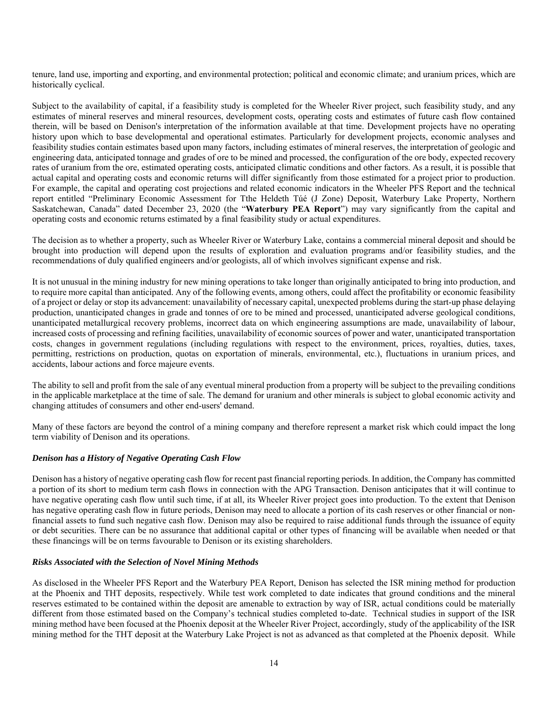tenure, land use, importing and exporting, and environmental protection; political and economic climate; and uranium prices, which are historically cyclical.

Subject to the availability of capital, if a feasibility study is completed for the Wheeler River project, such feasibility study, and any estimates of mineral reserves and mineral resources, development costs, operating costs and estimates of future cash flow contained therein, will be based on Denison's interpretation of the information available at that time. Development projects have no operating history upon which to base developmental and operational estimates. Particularly for development projects, economic analyses and feasibility studies contain estimates based upon many factors, including estimates of mineral reserves, the interpretation of geologic and engineering data, anticipated tonnage and grades of ore to be mined and processed, the configuration of the ore body, expected recovery rates of uranium from the ore, estimated operating costs, anticipated climatic conditions and other factors. As a result, it is possible that actual capital and operating costs and economic returns will differ significantly from those estimated for a project prior to production. For example, the capital and operating cost projections and related economic indicators in the Wheeler PFS Report and the technical report entitled "Preliminary Economic Assessment for Tthe Heldeth Túé (J Zone) Deposit, Waterbury Lake Property, Northern Saskatchewan, Canada" dated December 23, 2020 (the "**Waterbury PEA Report**") may vary significantly from the capital and operating costs and economic returns estimated by a final feasibility study or actual expenditures.

The decision as to whether a property, such as Wheeler River or Waterbury Lake, contains a commercial mineral deposit and should be brought into production will depend upon the results of exploration and evaluation programs and/or feasibility studies, and the recommendations of duly qualified engineers and/or geologists, all of which involves significant expense and risk.

It is not unusual in the mining industry for new mining operations to take longer than originally anticipated to bring into production, and to require more capital than anticipated. Any of the following events, among others, could affect the profitability or economic feasibility of a project or delay or stop its advancement: unavailability of necessary capital, unexpected problems during the start-up phase delaying production, unanticipated changes in grade and tonnes of ore to be mined and processed, unanticipated adverse geological conditions, unanticipated metallurgical recovery problems, incorrect data on which engineering assumptions are made, unavailability of labour, increased costs of processing and refining facilities, unavailability of economic sources of power and water, unanticipated transportation costs, changes in government regulations (including regulations with respect to the environment, prices, royalties, duties, taxes, permitting, restrictions on production, quotas on exportation of minerals, environmental, etc.), fluctuations in uranium prices, and accidents, labour actions and force majeure events.

The ability to sell and profit from the sale of any eventual mineral production from a property will be subject to the prevailing conditions in the applicable marketplace at the time of sale. The demand for uranium and other minerals is subject to global economic activity and changing attitudes of consumers and other end-users' demand.

Many of these factors are beyond the control of a mining company and therefore represent a market risk which could impact the long term viability of Denison and its operations.

# *Denison has a History of Negative Operating Cash Flow*

Denison has a history of negative operating cash flow for recent past financial reporting periods. In addition, the Company has committed a portion of its short to medium term cash flows in connection with the APG Transaction. Denison anticipates that it will continue to have negative operating cash flow until such time, if at all, its Wheeler River project goes into production. To the extent that Denison has negative operating cash flow in future periods, Denison may need to allocate a portion of its cash reserves or other financial or nonfinancial assets to fund such negative cash flow. Denison may also be required to raise additional funds through the issuance of equity or debt securities. There can be no assurance that additional capital or other types of financing will be available when needed or that these financings will be on terms favourable to Denison or its existing shareholders.

# *Risks Associated with the Selection of Novel Mining Methods*

As disclosed in the Wheeler PFS Report and the Waterbury PEA Report, Denison has selected the ISR mining method for production at the Phoenix and THT deposits, respectively. While test work completed to date indicates that ground conditions and the mineral reserves estimated to be contained within the deposit are amenable to extraction by way of ISR, actual conditions could be materially different from those estimated based on the Company's technical studies completed to-date. Technical studies in support of the ISR mining method have been focused at the Phoenix deposit at the Wheeler River Project, accordingly, study of the applicability of the ISR mining method for the THT deposit at the Waterbury Lake Project is not as advanced as that completed at the Phoenix deposit. While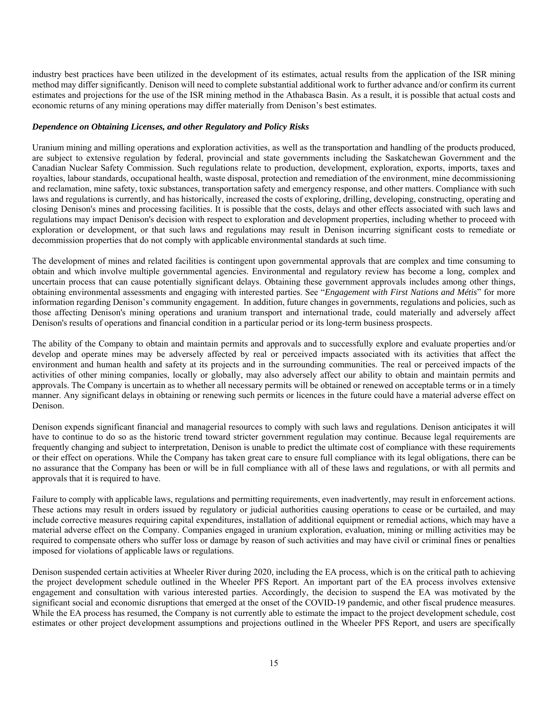industry best practices have been utilized in the development of its estimates, actual results from the application of the ISR mining method may differ significantly. Denison will need to complete substantial additional work to further advance and/or confirm its current estimates and projections for the use of the ISR mining method in the Athabasca Basin. As a result, it is possible that actual costs and economic returns of any mining operations may differ materially from Denison's best estimates.

### *Dependence on Obtaining Licenses, and other Regulatory and Policy Risks*

Uranium mining and milling operations and exploration activities, as well as the transportation and handling of the products produced, are subject to extensive regulation by federal, provincial and state governments including the Saskatchewan Government and the Canadian Nuclear Safety Commission. Such regulations relate to production, development, exploration, exports, imports, taxes and royalties, labour standards, occupational health, waste disposal, protection and remediation of the environment, mine decommissioning and reclamation, mine safety, toxic substances, transportation safety and emergency response, and other matters. Compliance with such laws and regulations is currently, and has historically, increased the costs of exploring, drilling, developing, constructing, operating and closing Denison's mines and processing facilities. It is possible that the costs, delays and other effects associated with such laws and regulations may impact Denison's decision with respect to exploration and development properties, including whether to proceed with exploration or development, or that such laws and regulations may result in Denison incurring significant costs to remediate or decommission properties that do not comply with applicable environmental standards at such time.

The development of mines and related facilities is contingent upon governmental approvals that are complex and time consuming to obtain and which involve multiple governmental agencies. Environmental and regulatory review has become a long, complex and uncertain process that can cause potentially significant delays. Obtaining these government approvals includes among other things, obtaining environmental assessments and engaging with interested parties. See "*Engagement with First Nations and Métis*" for more information regarding Denison's community engagement. In addition, future changes in governments, regulations and policies, such as those affecting Denison's mining operations and uranium transport and international trade, could materially and adversely affect Denison's results of operations and financial condition in a particular period or its long-term business prospects.

The ability of the Company to obtain and maintain permits and approvals and to successfully explore and evaluate properties and/or develop and operate mines may be adversely affected by real or perceived impacts associated with its activities that affect the environment and human health and safety at its projects and in the surrounding communities. The real or perceived impacts of the activities of other mining companies, locally or globally, may also adversely affect our ability to obtain and maintain permits and approvals. The Company is uncertain as to whether all necessary permits will be obtained or renewed on acceptable terms or in a timely manner. Any significant delays in obtaining or renewing such permits or licences in the future could have a material adverse effect on Denison.

Denison expends significant financial and managerial resources to comply with such laws and regulations. Denison anticipates it will have to continue to do so as the historic trend toward stricter government regulation may continue. Because legal requirements are frequently changing and subject to interpretation, Denison is unable to predict the ultimate cost of compliance with these requirements or their effect on operations. While the Company has taken great care to ensure full compliance with its legal obligations, there can be no assurance that the Company has been or will be in full compliance with all of these laws and regulations, or with all permits and approvals that it is required to have.

Failure to comply with applicable laws, regulations and permitting requirements, even inadvertently, may result in enforcement actions. These actions may result in orders issued by regulatory or judicial authorities causing operations to cease or be curtailed, and may include corrective measures requiring capital expenditures, installation of additional equipment or remedial actions, which may have a material adverse effect on the Company. Companies engaged in uranium exploration, evaluation, mining or milling activities may be required to compensate others who suffer loss or damage by reason of such activities and may have civil or criminal fines or penalties imposed for violations of applicable laws or regulations.

Denison suspended certain activities at Wheeler River during 2020, including the EA process, which is on the critical path to achieving the project development schedule outlined in the Wheeler PFS Report. An important part of the EA process involves extensive engagement and consultation with various interested parties. Accordingly, the decision to suspend the EA was motivated by the significant social and economic disruptions that emerged at the onset of the COVID-19 pandemic, and other fiscal prudence measures. While the EA process has resumed, the Company is not currently able to estimate the impact to the project development schedule, cost estimates or other project development assumptions and projections outlined in the Wheeler PFS Report, and users are specifically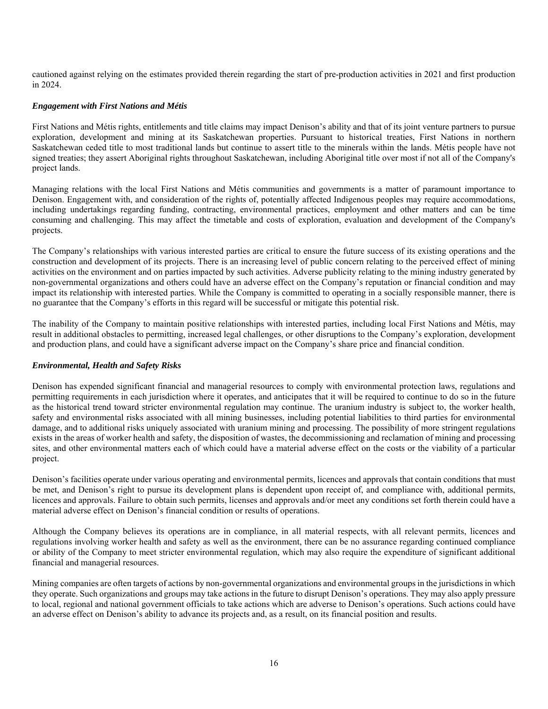cautioned against relying on the estimates provided therein regarding the start of pre-production activities in 2021 and first production in 2024.

# *Engagement with First Nations and Métis*

First Nations and Métis rights, entitlements and title claims may impact Denison's ability and that of its joint venture partners to pursue exploration, development and mining at its Saskatchewan properties. Pursuant to historical treaties, First Nations in northern Saskatchewan ceded title to most traditional lands but continue to assert title to the minerals within the lands. Métis people have not signed treaties; they assert Aboriginal rights throughout Saskatchewan, including Aboriginal title over most if not all of the Company's project lands.

Managing relations with the local First Nations and Métis communities and governments is a matter of paramount importance to Denison. Engagement with, and consideration of the rights of, potentially affected Indigenous peoples may require accommodations, including undertakings regarding funding, contracting, environmental practices, employment and other matters and can be time consuming and challenging. This may affect the timetable and costs of exploration, evaluation and development of the Company's projects.

The Company's relationships with various interested parties are critical to ensure the future success of its existing operations and the construction and development of its projects. There is an increasing level of public concern relating to the perceived effect of mining activities on the environment and on parties impacted by such activities. Adverse publicity relating to the mining industry generated by non-governmental organizations and others could have an adverse effect on the Company's reputation or financial condition and may impact its relationship with interested parties. While the Company is committed to operating in a socially responsible manner, there is no guarantee that the Company's efforts in this regard will be successful or mitigate this potential risk.

The inability of the Company to maintain positive relationships with interested parties, including local First Nations and Métis, may result in additional obstacles to permitting, increased legal challenges, or other disruptions to the Company's exploration, development and production plans, and could have a significant adverse impact on the Company's share price and financial condition.

# *Environmental, Health and Safety Risks*

Denison has expended significant financial and managerial resources to comply with environmental protection laws, regulations and permitting requirements in each jurisdiction where it operates, and anticipates that it will be required to continue to do so in the future as the historical trend toward stricter environmental regulation may continue. The uranium industry is subject to, the worker health, safety and environmental risks associated with all mining businesses, including potential liabilities to third parties for environmental damage, and to additional risks uniquely associated with uranium mining and processing. The possibility of more stringent regulations exists in the areas of worker health and safety, the disposition of wastes, the decommissioning and reclamation of mining and processing sites, and other environmental matters each of which could have a material adverse effect on the costs or the viability of a particular project.

Denison's facilities operate under various operating and environmental permits, licences and approvals that contain conditions that must be met, and Denison's right to pursue its development plans is dependent upon receipt of, and compliance with, additional permits, licences and approvals. Failure to obtain such permits, licenses and approvals and/or meet any conditions set forth therein could have a material adverse effect on Denison's financial condition or results of operations.

Although the Company believes its operations are in compliance, in all material respects, with all relevant permits, licences and regulations involving worker health and safety as well as the environment, there can be no assurance regarding continued compliance or ability of the Company to meet stricter environmental regulation, which may also require the expenditure of significant additional financial and managerial resources.

Mining companies are often targets of actions by non-governmental organizations and environmental groups in the jurisdictions in which they operate. Such organizations and groups may take actions in the future to disrupt Denison's operations. They may also apply pressure to local, regional and national government officials to take actions which are adverse to Denison's operations. Such actions could have an adverse effect on Denison's ability to advance its projects and, as a result, on its financial position and results.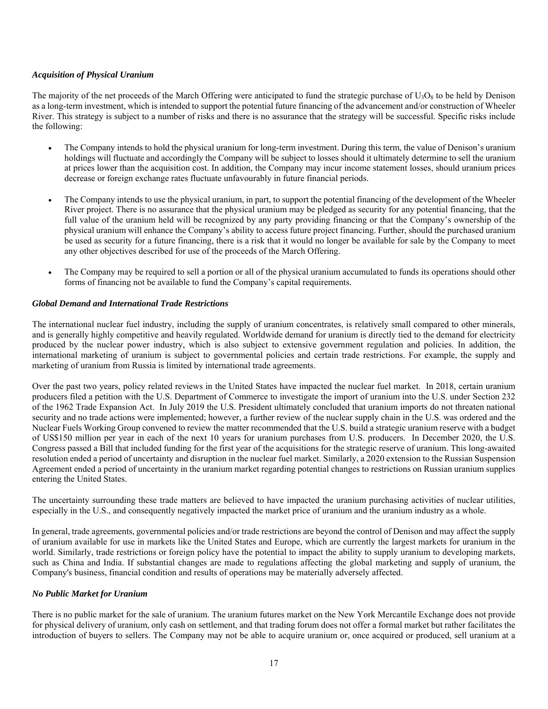# *Acquisition of Physical Uranium*

The majority of the net proceeds of the March Offering were anticipated to fund the strategic purchase of  $U_3O_8$  to be held by Denison as a long-term investment, which is intended to support the potential future financing of the advancement and/or construction of Wheeler River. This strategy is subject to a number of risks and there is no assurance that the strategy will be successful. Specific risks include the following:

- The Company intends to hold the physical uranium for long-term investment. During this term, the value of Denison's uranium holdings will fluctuate and accordingly the Company will be subject to losses should it ultimately determine to sell the uranium at prices lower than the acquisition cost. In addition, the Company may incur income statement losses, should uranium prices decrease or foreign exchange rates fluctuate unfavourably in future financial periods.
- The Company intends to use the physical uranium, in part, to support the potential financing of the development of the Wheeler River project. There is no assurance that the physical uranium may be pledged as security for any potential financing, that the full value of the uranium held will be recognized by any party providing financing or that the Company's ownership of the physical uranium will enhance the Company's ability to access future project financing. Further, should the purchased uranium be used as security for a future financing, there is a risk that it would no longer be available for sale by the Company to meet any other objectives described for use of the proceeds of the March Offering.
- The Company may be required to sell a portion or all of the physical uranium accumulated to funds its operations should other forms of financing not be available to fund the Company's capital requirements.

# *Global Demand and International Trade Restrictions*

The international nuclear fuel industry, including the supply of uranium concentrates, is relatively small compared to other minerals, and is generally highly competitive and heavily regulated. Worldwide demand for uranium is directly tied to the demand for electricity produced by the nuclear power industry, which is also subject to extensive government regulation and policies. In addition, the international marketing of uranium is subject to governmental policies and certain trade restrictions. For example, the supply and marketing of uranium from Russia is limited by international trade agreements.

Over the past two years, policy related reviews in the United States have impacted the nuclear fuel market. In 2018, certain uranium producers filed a petition with the U.S. Department of Commerce to investigate the import of uranium into the U.S. under Section 232 of the 1962 Trade Expansion Act. In July 2019 the U.S. President ultimately concluded that uranium imports do not threaten national security and no trade actions were implemented; however, a further review of the nuclear supply chain in the U.S. was ordered and the Nuclear Fuels Working Group convened to review the matter recommended that the U.S. build a strategic uranium reserve with a budget of US\$150 million per year in each of the next 10 years for uranium purchases from U.S. producers. In December 2020, the U.S. Congress passed a Bill that included funding for the first year of the acquisitions for the strategic reserve of uranium. This long-awaited resolution ended a period of uncertainty and disruption in the nuclear fuel market. Similarly, a 2020 extension to the Russian Suspension Agreement ended a period of uncertainty in the uranium market regarding potential changes to restrictions on Russian uranium supplies entering the United States.

The uncertainty surrounding these trade matters are believed to have impacted the uranium purchasing activities of nuclear utilities, especially in the U.S., and consequently negatively impacted the market price of uranium and the uranium industry as a whole.

In general, trade agreements, governmental policies and/or trade restrictions are beyond the control of Denison and may affect the supply of uranium available for use in markets like the United States and Europe, which are currently the largest markets for uranium in the world. Similarly, trade restrictions or foreign policy have the potential to impact the ability to supply uranium to developing markets, such as China and India. If substantial changes are made to regulations affecting the global marketing and supply of uranium, the Company's business, financial condition and results of operations may be materially adversely affected.

# *No Public Market for Uranium*

There is no public market for the sale of uranium. The uranium futures market on the New York Mercantile Exchange does not provide for physical delivery of uranium, only cash on settlement, and that trading forum does not offer a formal market but rather facilitates the introduction of buyers to sellers. The Company may not be able to acquire uranium or, once acquired or produced, sell uranium at a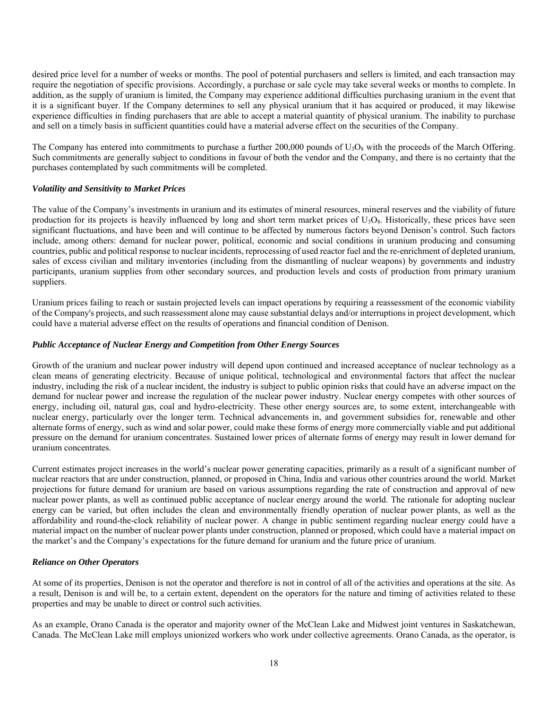desired price level for a number of weeks or months. The pool of potential purchasers and sellers is limited, and each transaction may require the negotiation of specific provisions. Accordingly, a purchase or sale cycle may take several weeks or months to complete. In addition, as the supply of uranium is limited, the Company may experience additional difficulties purchasing uranium in the event that it is a significant buyer. If the Company determines to sell any physical uranium that it has acquired or produced, it may likewise experience difficulties in finding purchasers that are able to accept a material quantity of physical uranium. The inability to purchase and sell on a timely basis in sufficient quantities could have a material adverse effect on the securities of the Company.

The Company has entered into commitments to purchase a further 200,000 pounds of  $U_3O_8$  with the proceeds of the March Offering. Such commitments are generally subject to conditions in favour of both the vendor and the Company, and there is no certainty that the purchases contemplated by such commitments will be completed.

# *Volatility and Sensitivity to Market Prices*

The value of the Company's investments in uranium and its estimates of mineral resources, mineral reserves and the viability of future production for its projects is heavily influenced by long and short term market prices of  $U_3O_8$ . Historically, these prices have seen significant fluctuations, and have been and will continue to be affected by numerous factors beyond Denison's control. Such factors include, among others: demand for nuclear power, political, economic and social conditions in uranium producing and consuming countries, public and political response to nuclear incidents, reprocessing of used reactor fuel and the re-enrichment of depleted uranium, sales of excess civilian and military inventories (including from the dismantling of nuclear weapons) by governments and industry participants, uranium supplies from other secondary sources, and production levels and costs of production from primary uranium suppliers.

Uranium prices failing to reach or sustain projected levels can impact operations by requiring a reassessment of the economic viability of the Company's projects, and such reassessment alone may cause substantial delays and/or interruptions in project development, which could have a material adverse effect on the results of operations and financial condition of Denison.

### *Public Acceptance of Nuclear Energy and Competition from Other Energy Sources*

Growth of the uranium and nuclear power industry will depend upon continued and increased acceptance of nuclear technology as a clean means of generating electricity. Because of unique political, technological and environmental factors that affect the nuclear industry, including the risk of a nuclear incident, the industry is subject to public opinion risks that could have an adverse impact on the demand for nuclear power and increase the regulation of the nuclear power industry. Nuclear energy competes with other sources of energy, including oil, natural gas, coal and hydro-electricity. These other energy sources are, to some extent, interchangeable with nuclear energy, particularly over the longer term. Technical advancements in, and government subsidies for, renewable and other alternate forms of energy, such as wind and solar power, could make these forms of energy more commercially viable and put additional pressure on the demand for uranium concentrates. Sustained lower prices of alternate forms of energy may result in lower demand for uranium concentrates.

Current estimates project increases in the world's nuclear power generating capacities, primarily as a result of a significant number of nuclear reactors that are under construction, planned, or proposed in China, India and various other countries around the world. Market projections for future demand for uranium are based on various assumptions regarding the rate of construction and approval of new nuclear power plants, as well as continued public acceptance of nuclear energy around the world. The rationale for adopting nuclear energy can be varied, but often includes the clean and environmentally friendly operation of nuclear power plants, as well as the affordability and round-the-clock reliability of nuclear power. A change in public sentiment regarding nuclear energy could have a material impact on the number of nuclear power plants under construction, planned or proposed, which could have a material impact on the market's and the Company's expectations for the future demand for uranium and the future price of uranium.

#### *Reliance on Other Operators*

At some of its properties, Denison is not the operator and therefore is not in control of all of the activities and operations at the site. As a result, Denison is and will be, to a certain extent, dependent on the operators for the nature and timing of activities related to these properties and may be unable to direct or control such activities.

As an example, Orano Canada is the operator and majority owner of the McClean Lake and Midwest joint ventures in Saskatchewan, Canada. The McClean Lake mill employs unionized workers who work under collective agreements. Orano Canada, as the operator, is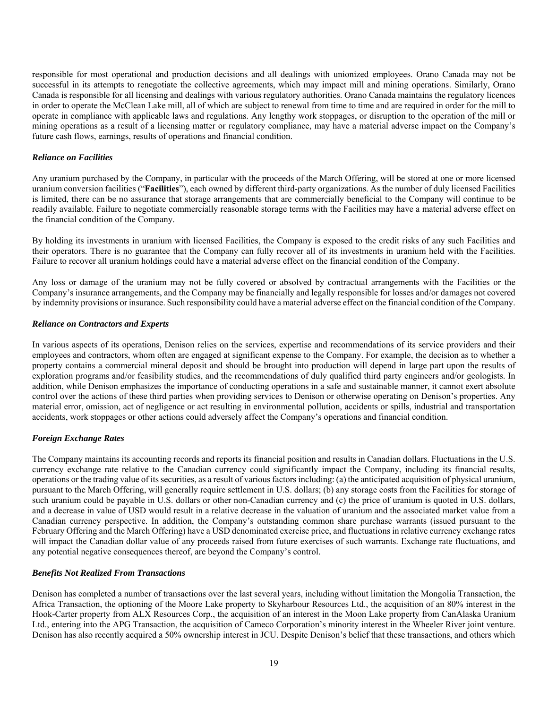responsible for most operational and production decisions and all dealings with unionized employees. Orano Canada may not be successful in its attempts to renegotiate the collective agreements, which may impact mill and mining operations. Similarly, Orano Canada is responsible for all licensing and dealings with various regulatory authorities. Orano Canada maintains the regulatory licences in order to operate the McClean Lake mill, all of which are subject to renewal from time to time and are required in order for the mill to operate in compliance with applicable laws and regulations. Any lengthy work stoppages, or disruption to the operation of the mill or mining operations as a result of a licensing matter or regulatory compliance, may have a material adverse impact on the Company's future cash flows, earnings, results of operations and financial condition.

# *Reliance on Facilities*

Any uranium purchased by the Company, in particular with the proceeds of the March Offering, will be stored at one or more licensed uranium conversion facilities ("**Facilities**"), each owned by different third-party organizations. As the number of duly licensed Facilities is limited, there can be no assurance that storage arrangements that are commercially beneficial to the Company will continue to be readily available. Failure to negotiate commercially reasonable storage terms with the Facilities may have a material adverse effect on the financial condition of the Company.

By holding its investments in uranium with licensed Facilities, the Company is exposed to the credit risks of any such Facilities and their operators. There is no guarantee that the Company can fully recover all of its investments in uranium held with the Facilities. Failure to recover all uranium holdings could have a material adverse effect on the financial condition of the Company.

Any loss or damage of the uranium may not be fully covered or absolved by contractual arrangements with the Facilities or the Company's insurance arrangements, and the Company may be financially and legally responsible for losses and/or damages not covered by indemnity provisions or insurance. Such responsibility could have a material adverse effect on the financial condition of the Company.

### *Reliance on Contractors and Experts*

In various aspects of its operations, Denison relies on the services, expertise and recommendations of its service providers and their employees and contractors, whom often are engaged at significant expense to the Company. For example, the decision as to whether a property contains a commercial mineral deposit and should be brought into production will depend in large part upon the results of exploration programs and/or feasibility studies, and the recommendations of duly qualified third party engineers and/or geologists. In addition, while Denison emphasizes the importance of conducting operations in a safe and sustainable manner, it cannot exert absolute control over the actions of these third parties when providing services to Denison or otherwise operating on Denison's properties. Any material error, omission, act of negligence or act resulting in environmental pollution, accidents or spills, industrial and transportation accidents, work stoppages or other actions could adversely affect the Company's operations and financial condition.

# *Foreign Exchange Rates*

The Company maintains its accounting records and reports its financial position and results in Canadian dollars. Fluctuations in the U.S. currency exchange rate relative to the Canadian currency could significantly impact the Company, including its financial results, operations or the trading value of its securities, as a result of various factors including: (a) the anticipated acquisition of physical uranium, pursuant to the March Offering, will generally require settlement in U.S. dollars; (b) any storage costs from the Facilities for storage of such uranium could be payable in U.S. dollars or other non-Canadian currency and (c) the price of uranium is quoted in U.S. dollars, and a decrease in value of USD would result in a relative decrease in the valuation of uranium and the associated market value from a Canadian currency perspective. In addition, the Company's outstanding common share purchase warrants (issued pursuant to the February Offering and the March Offering) have a USD denominated exercise price, and fluctuations in relative currency exchange rates will impact the Canadian dollar value of any proceeds raised from future exercises of such warrants. Exchange rate fluctuations, and any potential negative consequences thereof, are beyond the Company's control.

# *Benefits Not Realized From Transactions*

Denison has completed a number of transactions over the last several years, including without limitation the Mongolia Transaction, the Africa Transaction, the optioning of the Moore Lake property to Skyharbour Resources Ltd., the acquisition of an 80% interest in the Hook-Carter property from ALX Resources Corp., the acquisition of an interest in the Moon Lake property from CanAlaska Uranium Ltd., entering into the APG Transaction, the acquisition of Cameco Corporation's minority interest in the Wheeler River joint venture. Denison has also recently acquired a 50% ownership interest in JCU. Despite Denison's belief that these transactions, and others which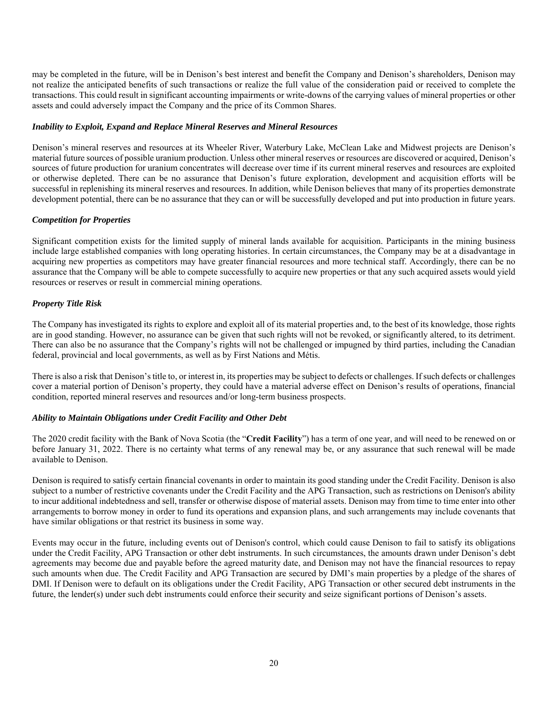may be completed in the future, will be in Denison's best interest and benefit the Company and Denison's shareholders, Denison may not realize the anticipated benefits of such transactions or realize the full value of the consideration paid or received to complete the transactions. This could result in significant accounting impairments or write-downs of the carrying values of mineral properties or other assets and could adversely impact the Company and the price of its Common Shares.

# *Inability to Exploit, Expand and Replace Mineral Reserves and Mineral Resources*

Denison's mineral reserves and resources at its Wheeler River, Waterbury Lake, McClean Lake and Midwest projects are Denison's material future sources of possible uranium production. Unless other mineral reserves or resources are discovered or acquired, Denison's sources of future production for uranium concentrates will decrease over time if its current mineral reserves and resources are exploited or otherwise depleted. There can be no assurance that Denison's future exploration, development and acquisition efforts will be successful in replenishing its mineral reserves and resources. In addition, while Denison believes that many of its properties demonstrate development potential, there can be no assurance that they can or will be successfully developed and put into production in future years.

# *Competition for Properties*

Significant competition exists for the limited supply of mineral lands available for acquisition. Participants in the mining business include large established companies with long operating histories. In certain circumstances, the Company may be at a disadvantage in acquiring new properties as competitors may have greater financial resources and more technical staff. Accordingly, there can be no assurance that the Company will be able to compete successfully to acquire new properties or that any such acquired assets would yield resources or reserves or result in commercial mining operations.

# *Property Title Risk*

The Company has investigated its rights to explore and exploit all of its material properties and, to the best of its knowledge, those rights are in good standing. However, no assurance can be given that such rights will not be revoked, or significantly altered, to its detriment. There can also be no assurance that the Company's rights will not be challenged or impugned by third parties, including the Canadian federal, provincial and local governments, as well as by First Nations and Métis.

There is also a risk that Denison's title to, or interest in, its properties may be subject to defects or challenges. If such defects or challenges cover a material portion of Denison's property, they could have a material adverse effect on Denison's results of operations, financial condition, reported mineral reserves and resources and/or long-term business prospects.

# *Ability to Maintain Obligations under Credit Facility and Other Debt*

The 2020 credit facility with the Bank of Nova Scotia (the "**Credit Facility**") has a term of one year, and will need to be renewed on or before January 31, 2022. There is no certainty what terms of any renewal may be, or any assurance that such renewal will be made available to Denison.

Denison is required to satisfy certain financial covenants in order to maintain its good standing under the Credit Facility. Denison is also subject to a number of restrictive covenants under the Credit Facility and the APG Transaction, such as restrictions on Denison's ability to incur additional indebtedness and sell, transfer or otherwise dispose of material assets. Denison may from time to time enter into other arrangements to borrow money in order to fund its operations and expansion plans, and such arrangements may include covenants that have similar obligations or that restrict its business in some way.

Events may occur in the future, including events out of Denison's control, which could cause Denison to fail to satisfy its obligations under the Credit Facility, APG Transaction or other debt instruments. In such circumstances, the amounts drawn under Denison's debt agreements may become due and payable before the agreed maturity date, and Denison may not have the financial resources to repay such amounts when due. The Credit Facility and APG Transaction are secured by DMI's main properties by a pledge of the shares of DMI. If Denison were to default on its obligations under the Credit Facility, APG Transaction or other secured debt instruments in the future, the lender(s) under such debt instruments could enforce their security and seize significant portions of Denison's assets.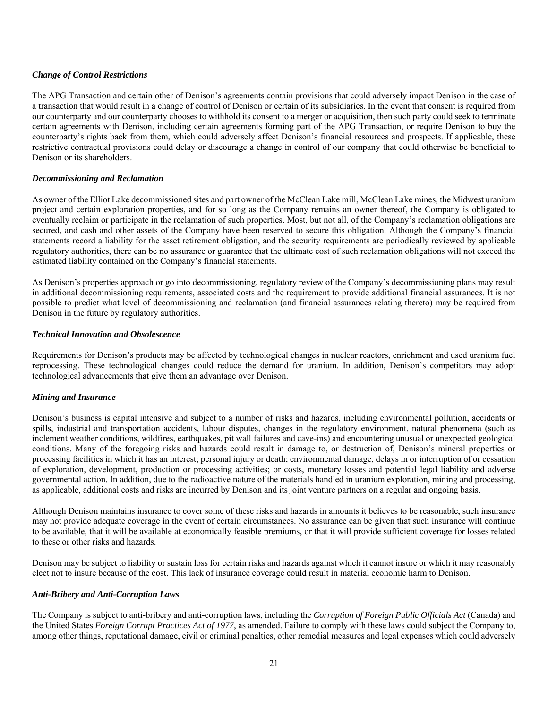# *Change of Control Restrictions*

The APG Transaction and certain other of Denison's agreements contain provisions that could adversely impact Denison in the case of a transaction that would result in a change of control of Denison or certain of its subsidiaries. In the event that consent is required from our counterparty and our counterparty chooses to withhold its consent to a merger or acquisition, then such party could seek to terminate certain agreements with Denison, including certain agreements forming part of the APG Transaction, or require Denison to buy the counterparty's rights back from them, which could adversely affect Denison's financial resources and prospects. If applicable, these restrictive contractual provisions could delay or discourage a change in control of our company that could otherwise be beneficial to Denison or its shareholders.

# *Decommissioning and Reclamation*

As owner of the Elliot Lake decommissioned sites and part owner of the McClean Lake mill, McClean Lake mines, the Midwest uranium project and certain exploration properties, and for so long as the Company remains an owner thereof, the Company is obligated to eventually reclaim or participate in the reclamation of such properties. Most, but not all, of the Company's reclamation obligations are secured, and cash and other assets of the Company have been reserved to secure this obligation. Although the Company's financial statements record a liability for the asset retirement obligation, and the security requirements are periodically reviewed by applicable regulatory authorities, there can be no assurance or guarantee that the ultimate cost of such reclamation obligations will not exceed the estimated liability contained on the Company's financial statements.

As Denison's properties approach or go into decommissioning, regulatory review of the Company's decommissioning plans may result in additional decommissioning requirements, associated costs and the requirement to provide additional financial assurances. It is not possible to predict what level of decommissioning and reclamation (and financial assurances relating thereto) may be required from Denison in the future by regulatory authorities.

### *Technical Innovation and Obsolescence*

Requirements for Denison's products may be affected by technological changes in nuclear reactors, enrichment and used uranium fuel reprocessing. These technological changes could reduce the demand for uranium. In addition, Denison's competitors may adopt technological advancements that give them an advantage over Denison.

# *Mining and Insurance*

Denison's business is capital intensive and subject to a number of risks and hazards, including environmental pollution, accidents or spills, industrial and transportation accidents, labour disputes, changes in the regulatory environment, natural phenomena (such as inclement weather conditions, wildfires, earthquakes, pit wall failures and cave-ins) and encountering unusual or unexpected geological conditions. Many of the foregoing risks and hazards could result in damage to, or destruction of, Denison's mineral properties or processing facilities in which it has an interest; personal injury or death; environmental damage, delays in or interruption of or cessation of exploration, development, production or processing activities; or costs, monetary losses and potential legal liability and adverse governmental action. In addition, due to the radioactive nature of the materials handled in uranium exploration, mining and processing, as applicable, additional costs and risks are incurred by Denison and its joint venture partners on a regular and ongoing basis.

Although Denison maintains insurance to cover some of these risks and hazards in amounts it believes to be reasonable, such insurance may not provide adequate coverage in the event of certain circumstances. No assurance can be given that such insurance will continue to be available, that it will be available at economically feasible premiums, or that it will provide sufficient coverage for losses related to these or other risks and hazards.

Denison may be subject to liability or sustain loss for certain risks and hazards against which it cannot insure or which it may reasonably elect not to insure because of the cost. This lack of insurance coverage could result in material economic harm to Denison.

### *Anti-Bribery and Anti-Corruption Laws*

The Company is subject to anti-bribery and anti-corruption laws, including the *Corruption of Foreign Public Officials Act* (Canada) and the United States *Foreign Corrupt Practices Act of 1977*, as amended. Failure to comply with these laws could subject the Company to, among other things, reputational damage, civil or criminal penalties, other remedial measures and legal expenses which could adversely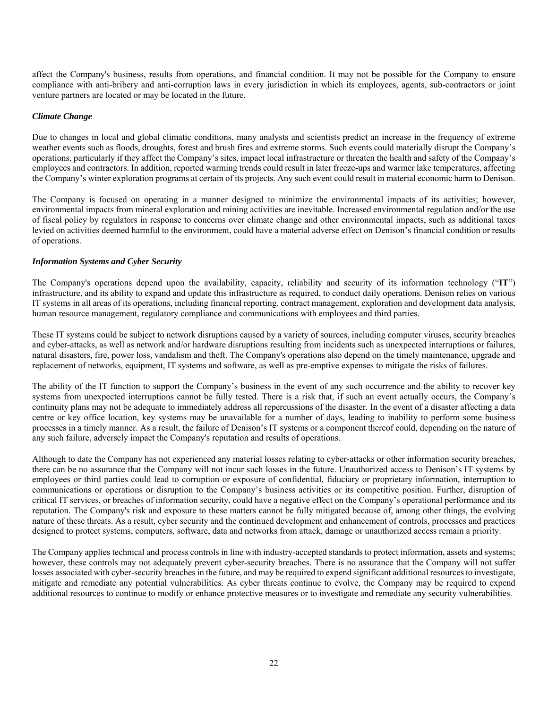affect the Company's business, results from operations, and financial condition. It may not be possible for the Company to ensure compliance with anti-bribery and anti-corruption laws in every jurisdiction in which its employees, agents, sub-contractors or joint venture partners are located or may be located in the future.

### *Climate Change*

Due to changes in local and global climatic conditions, many analysts and scientists predict an increase in the frequency of extreme weather events such as floods, droughts, forest and brush fires and extreme storms. Such events could materially disrupt the Company's operations, particularly if they affect the Company's sites, impact local infrastructure or threaten the health and safety of the Company's employees and contractors. In addition, reported warming trends could result in later freeze-ups and warmer lake temperatures, affecting the Company's winter exploration programs at certain of its projects. Any such event could result in material economic harm to Denison.

The Company is focused on operating in a manner designed to minimize the environmental impacts of its activities; however, environmental impacts from mineral exploration and mining activities are inevitable. Increased environmental regulation and/or the use of fiscal policy by regulators in response to concerns over climate change and other environmental impacts, such as additional taxes levied on activities deemed harmful to the environment, could have a material adverse effect on Denison's financial condition or results of operations.

# *Information Systems and Cyber Security*

The Company's operations depend upon the availability, capacity, reliability and security of its information technology ("**IT**") infrastructure, and its ability to expand and update this infrastructure as required, to conduct daily operations. Denison relies on various IT systems in all areas of its operations, including financial reporting, contract management, exploration and development data analysis, human resource management, regulatory compliance and communications with employees and third parties.

These IT systems could be subject to network disruptions caused by a variety of sources, including computer viruses, security breaches and cyber-attacks, as well as network and/or hardware disruptions resulting from incidents such as unexpected interruptions or failures, natural disasters, fire, power loss, vandalism and theft. The Company's operations also depend on the timely maintenance, upgrade and replacement of networks, equipment, IT systems and software, as well as pre-emptive expenses to mitigate the risks of failures.

The ability of the IT function to support the Company's business in the event of any such occurrence and the ability to recover key systems from unexpected interruptions cannot be fully tested. There is a risk that, if such an event actually occurs, the Company's continuity plans may not be adequate to immediately address all repercussions of the disaster. In the event of a disaster affecting a data centre or key office location, key systems may be unavailable for a number of days, leading to inability to perform some business processes in a timely manner. As a result, the failure of Denison's IT systems or a component thereof could, depending on the nature of any such failure, adversely impact the Company's reputation and results of operations.

Although to date the Company has not experienced any material losses relating to cyber-attacks or other information security breaches, there can be no assurance that the Company will not incur such losses in the future. Unauthorized access to Denison's IT systems by employees or third parties could lead to corruption or exposure of confidential, fiduciary or proprietary information, interruption to communications or operations or disruption to the Company's business activities or its competitive position. Further, disruption of critical IT services, or breaches of information security, could have a negative effect on the Company's operational performance and its reputation. The Company's risk and exposure to these matters cannot be fully mitigated because of, among other things, the evolving nature of these threats. As a result, cyber security and the continued development and enhancement of controls, processes and practices designed to protect systems, computers, software, data and networks from attack, damage or unauthorized access remain a priority.

The Company applies technical and process controls in line with industry-accepted standards to protect information, assets and systems; however, these controls may not adequately prevent cyber-security breaches. There is no assurance that the Company will not suffer losses associated with cyber-security breaches in the future, and may be required to expend significant additional resources to investigate, mitigate and remediate any potential vulnerabilities. As cyber threats continue to evolve, the Company may be required to expend additional resources to continue to modify or enhance protective measures or to investigate and remediate any security vulnerabilities.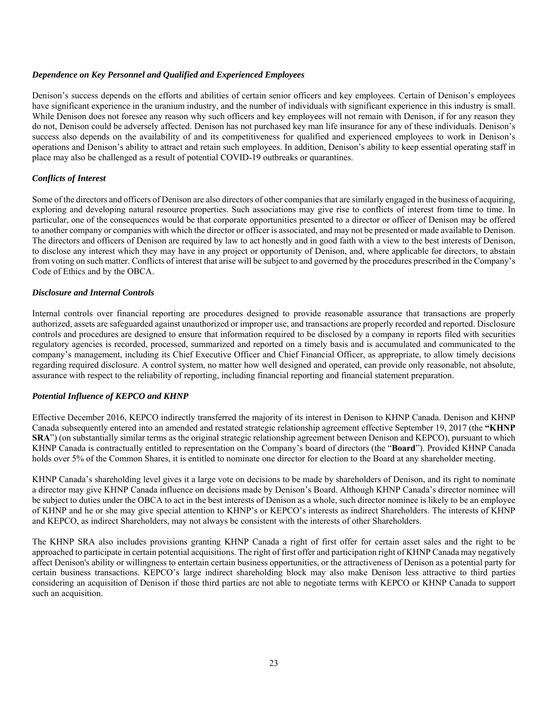# *Dependence on Key Personnel and Qualified and Experienced Employees*

Denison's success depends on the efforts and abilities of certain senior officers and key employees. Certain of Denison's employees have significant experience in the uranium industry, and the number of individuals with significant experience in this industry is small. While Denison does not foresee any reason why such officers and key employees will not remain with Denison, if for any reason they do not, Denison could be adversely affected. Denison has not purchased key man life insurance for any of these individuals. Denison's success also depends on the availability of and its competitiveness for qualified and experienced employees to work in Denison's operations and Denison's ability to attract and retain such employees. In addition, Denison's ability to keep essential operating staff in place may also be challenged as a result of potential COVID-19 outbreaks or quarantines.

# *Conflicts of Interest*

Some of the directors and officers of Denison are also directors of other companies that are similarly engaged in the business of acquiring, exploring and developing natural resource properties. Such associations may give rise to conflicts of interest from time to time. In particular, one of the consequences would be that corporate opportunities presented to a director or officer of Denison may be offered to another company or companies with which the director or officer is associated, and may not be presented or made available to Denison. The directors and officers of Denison are required by law to act honestly and in good faith with a view to the best interests of Denison, to disclose any interest which they may have in any project or opportunity of Denison, and, where applicable for directors, to abstain from voting on such matter. Conflicts of interest that arise will be subject to and governed by the procedures prescribed in the Company's Code of Ethics and by the OBCA.

# *Disclosure and Internal Controls*

Internal controls over financial reporting are procedures designed to provide reasonable assurance that transactions are properly authorized, assets are safeguarded against unauthorized or improper use, and transactions are properly recorded and reported. Disclosure controls and procedures are designed to ensure that information required to be disclosed by a company in reports filed with securities regulatory agencies is recorded, processed, summarized and reported on a timely basis and is accumulated and communicated to the company's management, including its Chief Executive Officer and Chief Financial Officer, as appropriate, to allow timely decisions regarding required disclosure. A control system, no matter how well designed and operated, can provide only reasonable, not absolute, assurance with respect to the reliability of reporting, including financial reporting and financial statement preparation.

# *Potential Influence of KEPCO and KHNP*

Effective December 2016, KEPCO indirectly transferred the majority of its interest in Denison to KHNP Canada. Denison and KHNP Canada subsequently entered into an amended and restated strategic relationship agreement effective September 19, 2017 (the **"KHNP SRA**") (on substantially similar terms as the original strategic relationship agreement between Denison and KEPCO), pursuant to which KHNP Canada is contractually entitled to representation on the Company's board of directors (the "**Board**"). Provided KHNP Canada holds over 5% of the Common Shares, it is entitled to nominate one director for election to the Board at any shareholder meeting.

KHNP Canada's shareholding level gives it a large vote on decisions to be made by shareholders of Denison, and its right to nominate a director may give KHNP Canada influence on decisions made by Denison's Board. Although KHNP Canada's director nominee will be subject to duties under the OBCA to act in the best interests of Denison as a whole, such director nominee is likely to be an employee of KHNP and he or she may give special attention to KHNP's or KEPCO's interests as indirect Shareholders. The interests of KHNP and KEPCO, as indirect Shareholders, may not always be consistent with the interests of other Shareholders.

The KHNP SRA also includes provisions granting KHNP Canada a right of first offer for certain asset sales and the right to be approached to participate in certain potential acquisitions. The right of first offer and participation right of KHNP Canada may negatively affect Denison's ability or willingness to entertain certain business opportunities, or the attractiveness of Denison as a potential party for certain business transactions. KEPCO's large indirect shareholding block may also make Denison less attractive to third parties considering an acquisition of Denison if those third parties are not able to negotiate terms with KEPCO or KHNP Canada to support such an acquisition.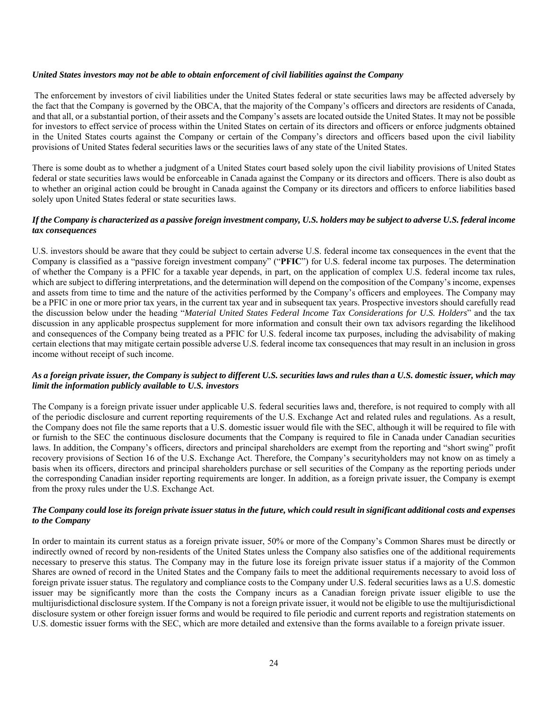#### *United States investors may not be able to obtain enforcement of civil liabilities against the Company*

 The enforcement by investors of civil liabilities under the United States federal or state securities laws may be affected adversely by the fact that the Company is governed by the OBCA, that the majority of the Company's officers and directors are residents of Canada, and that all, or a substantial portion, of their assets and the Company's assets are located outside the United States. It may not be possible for investors to effect service of process within the United States on certain of its directors and officers or enforce judgments obtained in the United States courts against the Company or certain of the Company's directors and officers based upon the civil liability provisions of United States federal securities laws or the securities laws of any state of the United States.

There is some doubt as to whether a judgment of a United States court based solely upon the civil liability provisions of United States federal or state securities laws would be enforceable in Canada against the Company or its directors and officers. There is also doubt as to whether an original action could be brought in Canada against the Company or its directors and officers to enforce liabilities based solely upon United States federal or state securities laws.

### *If the Company is characterized as a passive foreign investment company, U.S. holders may be subject to adverse U.S. federal income tax consequences*

U.S. investors should be aware that they could be subject to certain adverse U.S. federal income tax consequences in the event that the Company is classified as a "passive foreign investment company" ("**PFIC**") for U.S. federal income tax purposes. The determination of whether the Company is a PFIC for a taxable year depends, in part, on the application of complex U.S. federal income tax rules, which are subject to differing interpretations, and the determination will depend on the composition of the Company's income, expenses and assets from time to time and the nature of the activities performed by the Company's officers and employees. The Company may be a PFIC in one or more prior tax years, in the current tax year and in subsequent tax years. Prospective investors should carefully read the discussion below under the heading "*Material United States Federal Income Tax Considerations for U.S. Holders*" and the tax discussion in any applicable prospectus supplement for more information and consult their own tax advisors regarding the likelihood and consequences of the Company being treated as a PFIC for U.S. federal income tax purposes, including the advisability of making certain elections that may mitigate certain possible adverse U.S. federal income tax consequences that may result in an inclusion in gross income without receipt of such income.

### *As a foreign private issuer, the Company is subject to different U.S. securities laws and rules than a U.S. domestic issuer, which may limit the information publicly available to U.S. investors*

The Company is a foreign private issuer under applicable U.S. federal securities laws and, therefore, is not required to comply with all of the periodic disclosure and current reporting requirements of the U.S. Exchange Act and related rules and regulations. As a result, the Company does not file the same reports that a U.S. domestic issuer would file with the SEC, although it will be required to file with or furnish to the SEC the continuous disclosure documents that the Company is required to file in Canada under Canadian securities laws. In addition, the Company's officers, directors and principal shareholders are exempt from the reporting and "short swing" profit recovery provisions of Section 16 of the U.S. Exchange Act. Therefore, the Company's securityholders may not know on as timely a basis when its officers, directors and principal shareholders purchase or sell securities of the Company as the reporting periods under the corresponding Canadian insider reporting requirements are longer. In addition, as a foreign private issuer, the Company is exempt from the proxy rules under the U.S. Exchange Act.

# *The Company could lose its foreign private issuer status in the future, which could result in significant additional costs and expenses to the Company*

In order to maintain its current status as a foreign private issuer, 50% or more of the Company's Common Shares must be directly or indirectly owned of record by non-residents of the United States unless the Company also satisfies one of the additional requirements necessary to preserve this status. The Company may in the future lose its foreign private issuer status if a majority of the Common Shares are owned of record in the United States and the Company fails to meet the additional requirements necessary to avoid loss of foreign private issuer status. The regulatory and compliance costs to the Company under U.S. federal securities laws as a U.S. domestic issuer may be significantly more than the costs the Company incurs as a Canadian foreign private issuer eligible to use the multijurisdictional disclosure system. If the Company is not a foreign private issuer, it would not be eligible to use the multijurisdictional disclosure system or other foreign issuer forms and would be required to file periodic and current reports and registration statements on U.S. domestic issuer forms with the SEC, which are more detailed and extensive than the forms available to a foreign private issuer.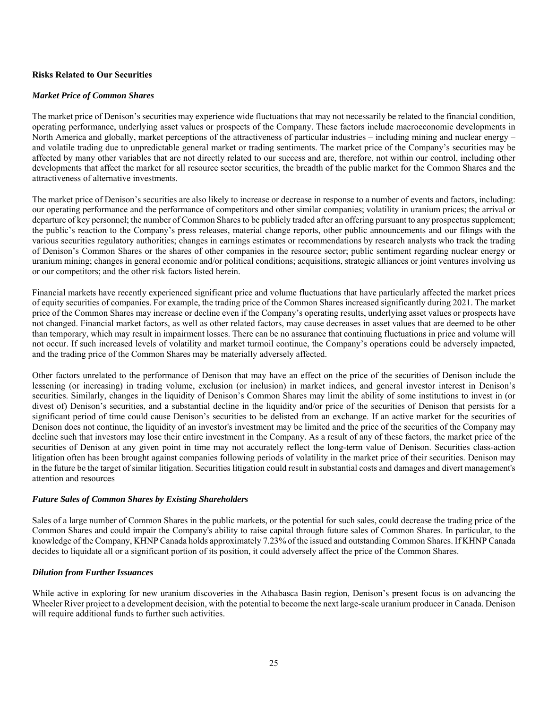# **Risks Related to Our Securities**

#### *Market Price of Common Shares*

The market price of Denison's securities may experience wide fluctuations that may not necessarily be related to the financial condition, operating performance, underlying asset values or prospects of the Company. These factors include macroeconomic developments in North America and globally, market perceptions of the attractiveness of particular industries – including mining and nuclear energy – and volatile trading due to unpredictable general market or trading sentiments. The market price of the Company's securities may be affected by many other variables that are not directly related to our success and are, therefore, not within our control, including other developments that affect the market for all resource sector securities, the breadth of the public market for the Common Shares and the attractiveness of alternative investments.

The market price of Denison's securities are also likely to increase or decrease in response to a number of events and factors, including: our operating performance and the performance of competitors and other similar companies; volatility in uranium prices; the arrival or departure of key personnel; the number of Common Shares to be publicly traded after an offering pursuant to any prospectus supplement; the public's reaction to the Company's press releases, material change reports, other public announcements and our filings with the various securities regulatory authorities; changes in earnings estimates or recommendations by research analysts who track the trading of Denison's Common Shares or the shares of other companies in the resource sector; public sentiment regarding nuclear energy or uranium mining; changes in general economic and/or political conditions; acquisitions, strategic alliances or joint ventures involving us or our competitors; and the other risk factors listed herein.

Financial markets have recently experienced significant price and volume fluctuations that have particularly affected the market prices of equity securities of companies. For example, the trading price of the Common Shares increased significantly during 2021. The market price of the Common Shares may increase or decline even if the Company's operating results, underlying asset values or prospects have not changed. Financial market factors, as well as other related factors, may cause decreases in asset values that are deemed to be other than temporary, which may result in impairment losses. There can be no assurance that continuing fluctuations in price and volume will not occur. If such increased levels of volatility and market turmoil continue, the Company's operations could be adversely impacted, and the trading price of the Common Shares may be materially adversely affected.

Other factors unrelated to the performance of Denison that may have an effect on the price of the securities of Denison include the lessening (or increasing) in trading volume, exclusion (or inclusion) in market indices, and general investor interest in Denison's securities. Similarly, changes in the liquidity of Denison's Common Shares may limit the ability of some institutions to invest in (or divest of) Denison's securities, and a substantial decline in the liquidity and/or price of the securities of Denison that persists for a significant period of time could cause Denison's securities to be delisted from an exchange. If an active market for the securities of Denison does not continue, the liquidity of an investor's investment may be limited and the price of the securities of the Company may decline such that investors may lose their entire investment in the Company. As a result of any of these factors, the market price of the securities of Denison at any given point in time may not accurately reflect the long-term value of Denison. Securities class-action litigation often has been brought against companies following periods of volatility in the market price of their securities. Denison may in the future be the target of similar litigation. Securities litigation could result in substantial costs and damages and divert management's attention and resources

# *Future Sales of Common Shares by Existing Shareholders*

Sales of a large number of Common Shares in the public markets, or the potential for such sales, could decrease the trading price of the Common Shares and could impair the Company's ability to raise capital through future sales of Common Shares. In particular, to the knowledge of the Company, KHNP Canada holds approximately 7.23% of the issued and outstanding Common Shares. If KHNP Canada decides to liquidate all or a significant portion of its position, it could adversely affect the price of the Common Shares.

# *Dilution from Further Issuances*

While active in exploring for new uranium discoveries in the Athabasca Basin region, Denison's present focus is on advancing the Wheeler River project to a development decision, with the potential to become the next large-scale uranium producer in Canada. Denison will require additional funds to further such activities.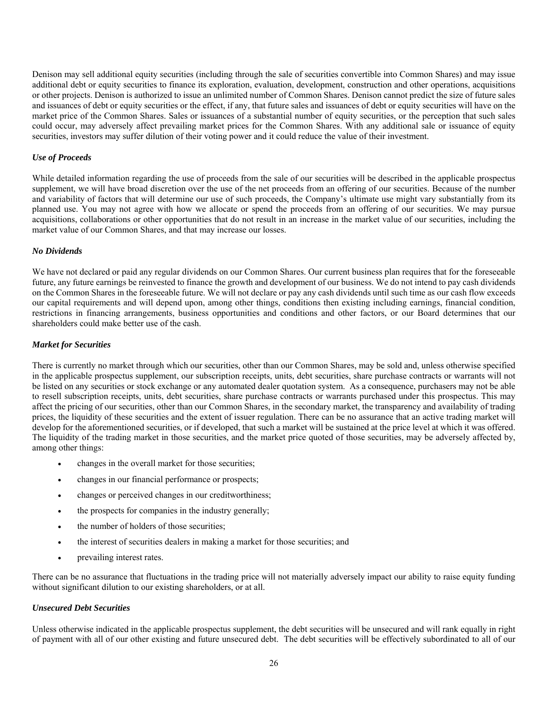Denison may sell additional equity securities (including through the sale of securities convertible into Common Shares) and may issue additional debt or equity securities to finance its exploration, evaluation, development, construction and other operations, acquisitions or other projects. Denison is authorized to issue an unlimited number of Common Shares. Denison cannot predict the size of future sales and issuances of debt or equity securities or the effect, if any, that future sales and issuances of debt or equity securities will have on the market price of the Common Shares. Sales or issuances of a substantial number of equity securities, or the perception that such sales could occur, may adversely affect prevailing market prices for the Common Shares. With any additional sale or issuance of equity securities, investors may suffer dilution of their voting power and it could reduce the value of their investment.

### *Use of Proceeds*

While detailed information regarding the use of proceeds from the sale of our securities will be described in the applicable prospectus supplement, we will have broad discretion over the use of the net proceeds from an offering of our securities. Because of the number and variability of factors that will determine our use of such proceeds, the Company's ultimate use might vary substantially from its planned use. You may not agree with how we allocate or spend the proceeds from an offering of our securities. We may pursue acquisitions, collaborations or other opportunities that do not result in an increase in the market value of our securities, including the market value of our Common Shares, and that may increase our losses.

#### *No Dividends*

We have not declared or paid any regular dividends on our Common Shares. Our current business plan requires that for the foreseeable future, any future earnings be reinvested to finance the growth and development of our business. We do not intend to pay cash dividends on the Common Shares in the foreseeable future. We will not declare or pay any cash dividends until such time as our cash flow exceeds our capital requirements and will depend upon, among other things, conditions then existing including earnings, financial condition, restrictions in financing arrangements, business opportunities and conditions and other factors, or our Board determines that our shareholders could make better use of the cash.

### *Market for Securities*

There is currently no market through which our securities, other than our Common Shares, may be sold and, unless otherwise specified in the applicable prospectus supplement, our subscription receipts, units, debt securities, share purchase contracts or warrants will not be listed on any securities or stock exchange or any automated dealer quotation system. As a consequence, purchasers may not be able to resell subscription receipts, units, debt securities, share purchase contracts or warrants purchased under this prospectus. This may affect the pricing of our securities, other than our Common Shares, in the secondary market, the transparency and availability of trading prices, the liquidity of these securities and the extent of issuer regulation. There can be no assurance that an active trading market will develop for the aforementioned securities, or if developed, that such a market will be sustained at the price level at which it was offered. The liquidity of the trading market in those securities, and the market price quoted of those securities, may be adversely affected by, among other things:

- changes in the overall market for those securities;
- changes in our financial performance or prospects;
- changes or perceived changes in our creditworthiness;
- the prospects for companies in the industry generally;
- the number of holders of those securities;
- the interest of securities dealers in making a market for those securities; and
- prevailing interest rates.

There can be no assurance that fluctuations in the trading price will not materially adversely impact our ability to raise equity funding without significant dilution to our existing shareholders, or at all.

#### *Unsecured Debt Securities*

Unless otherwise indicated in the applicable prospectus supplement, the debt securities will be unsecured and will rank equally in right of payment with all of our other existing and future unsecured debt. The debt securities will be effectively subordinated to all of our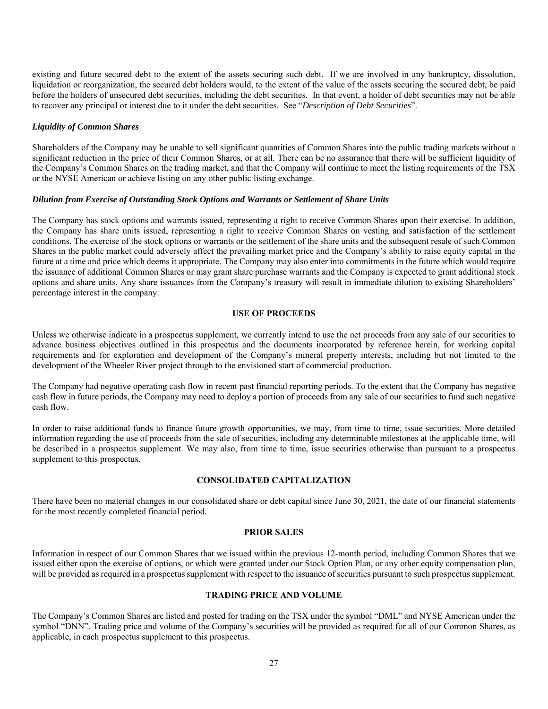existing and future secured debt to the extent of the assets securing such debt. If we are involved in any bankruptcy, dissolution, liquidation or reorganization, the secured debt holders would, to the extent of the value of the assets securing the secured debt, be paid before the holders of unsecured debt securities, including the debt securities. In that event, a holder of debt securities may not be able to recover any principal or interest due to it under the debt securities. See "*Description of Debt Securities*".

### *Liquidity of Common Shares*

Shareholders of the Company may be unable to sell significant quantities of Common Shares into the public trading markets without a significant reduction in the price of their Common Shares, or at all. There can be no assurance that there will be sufficient liquidity of the Company's Common Shares on the trading market, and that the Company will continue to meet the listing requirements of the TSX or the NYSE American or achieve listing on any other public listing exchange.

#### *Dilution from Exercise of Outstanding Stock Options and Warrants or Settlement of Share Units*

The Company has stock options and warrants issued, representing a right to receive Common Shares upon their exercise. In addition, the Company has share units issued, representing a right to receive Common Shares on vesting and satisfaction of the settlement conditions. The exercise of the stock options or warrants or the settlement of the share units and the subsequent resale of such Common Shares in the public market could adversely affect the prevailing market price and the Company's ability to raise equity capital in the future at a time and price which deems it appropriate. The Company may also enter into commitments in the future which would require the issuance of additional Common Shares or may grant share purchase warrants and the Company is expected to grant additional stock options and share units. Any share issuances from the Company's treasury will result in immediate dilution to existing Shareholders' percentage interest in the company.

#### **USE OF PROCEEDS**

Unless we otherwise indicate in a prospectus supplement, we currently intend to use the net proceeds from any sale of our securities to advance business objectives outlined in this prospectus and the documents incorporated by reference herein, for working capital requirements and for exploration and development of the Company's mineral property interests, including but not limited to the development of the Wheeler River project through to the envisioned start of commercial production.

The Company had negative operating cash flow in recent past financial reporting periods. To the extent that the Company has negative cash flow in future periods, the Company may need to deploy a portion of proceeds from any sale of our securities to fund such negative cash flow.

In order to raise additional funds to finance future growth opportunities, we may, from time to time, issue securities. More detailed information regarding the use of proceeds from the sale of securities, including any determinable milestones at the applicable time, will be described in a prospectus supplement. We may also, from time to time, issue securities otherwise than pursuant to a prospectus supplement to this prospectus.

# **CONSOLIDATED CAPITALIZATION**

There have been no material changes in our consolidated share or debt capital since June 30, 2021, the date of our financial statements for the most recently completed financial period.

#### **PRIOR SALES**

Information in respect of our Common Shares that we issued within the previous 12-month period, including Common Shares that we issued either upon the exercise of options, or which were granted under our Stock Option Plan, or any other equity compensation plan, will be provided as required in a prospectus supplement with respect to the issuance of securities pursuant to such prospectus supplement.

### **TRADING PRICE AND VOLUME**

The Company's Common Shares are listed and posted for trading on the TSX under the symbol "DML" and NYSE American under the symbol "DNN". Trading price and volume of the Company's securities will be provided as required for all of our Common Shares, as applicable, in each prospectus supplement to this prospectus.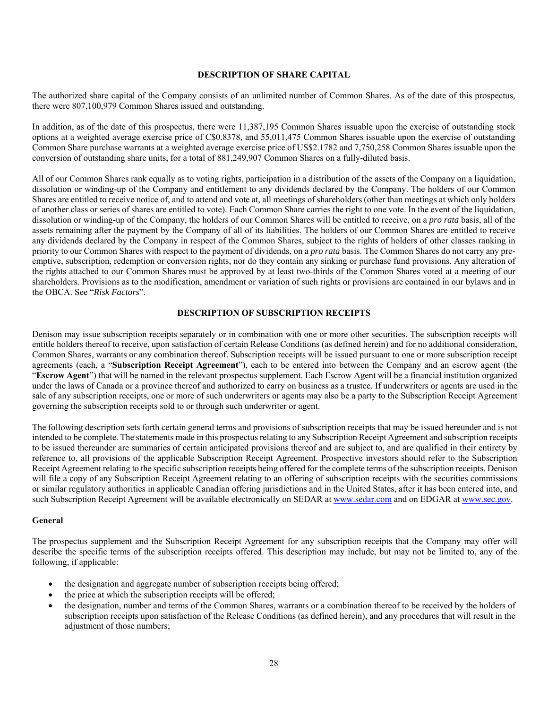### **DESCRIPTION OF SHARE CAPITAL**

The authorized share capital of the Company consists of an unlimited number of Common Shares. As of the date of this prospectus, there were 807,100,979 Common Shares issued and outstanding.

In addition, as of the date of this prospectus, there were 11,387,195 Common Shares issuable upon the exercise of outstanding stock options at a weighted average exercise price of C\$0.8378, and 55,011,475 Common Shares issuable upon the exercise of outstanding Common Share purchase warrants at a weighted average exercise price of US\$2.1782 and 7,750,258 Common Shares issuable upon the conversion of outstanding share units, for a total of 881,249,907 Common Shares on a fully-diluted basis.

All of our Common Shares rank equally as to voting rights, participation in a distribution of the assets of the Company on a liquidation, dissolution or winding-up of the Company and entitlement to any dividends declared by the Company. The holders of our Common Shares are entitled to receive notice of, and to attend and vote at, all meetings of shareholders (other than meetings at which only holders of another class or series of shares are entitled to vote). Each Common Share carries the right to one vote. In the event of the liquidation, dissolution or winding-up of the Company, the holders of our Common Shares will be entitled to receive, on a *pro rata* basis, all of the assets remaining after the payment by the Company of all of its liabilities. The holders of our Common Shares are entitled to receive any dividends declared by the Company in respect of the Common Shares, subject to the rights of holders of other classes ranking in priority to our Common Shares with respect to the payment of dividends, on a *pro rata* basis. The Common Shares do not carry any preemptive, subscription, redemption or conversion rights, nor do they contain any sinking or purchase fund provisions. Any alteration of the rights attached to our Common Shares must be approved by at least two-thirds of the Common Shares voted at a meeting of our shareholders. Provisions as to the modification, amendment or variation of such rights or provisions are contained in our bylaws and in the OBCA. See "*Risk Factors*".

### **DESCRIPTION OF SUBSCRIPTION RECEIPTS**

Denison may issue subscription receipts separately or in combination with one or more other securities. The subscription receipts will entitle holders thereof to receive, upon satisfaction of certain Release Conditions (as defined herein) and for no additional consideration, Common Shares, warrants or any combination thereof. Subscription receipts will be issued pursuant to one or more subscription receipt agreements (each, a "**Subscription Receipt Agreement**"), each to be entered into between the Company and an escrow agent (the "**Escrow Agent**") that will be named in the relevant prospectus supplement. Each Escrow Agent will be a financial institution organized under the laws of Canada or a province thereof and authorized to carry on business as a trustee. If underwriters or agents are used in the sale of any subscription receipts, one or more of such underwriters or agents may also be a party to the Subscription Receipt Agreement governing the subscription receipts sold to or through such underwriter or agent.

The following description sets forth certain general terms and provisions of subscription receipts that may be issued hereunder and is not intended to be complete. The statements made in this prospectus relating to any Subscription Receipt Agreement and subscription receipts to be issued thereunder are summaries of certain anticipated provisions thereof and are subject to, and are qualified in their entirety by reference to, all provisions of the applicable Subscription Receipt Agreement. Prospective investors should refer to the Subscription Receipt Agreement relating to the specific subscription receipts being offered for the complete terms of the subscription receipts. Denison will file a copy of any Subscription Receipt Agreement relating to an offering of subscription receipts with the securities commissions or similar regulatory authorities in applicable Canadian offering jurisdictions and in the United States, after it has been entered into, and such Subscription Receipt Agreement will be available electronically on SEDAR at www.sedar.com and on EDGAR at www.sec.gov.

#### **General**

The prospectus supplement and the Subscription Receipt Agreement for any subscription receipts that the Company may offer will describe the specific terms of the subscription receipts offered. This description may include, but may not be limited to, any of the following, if applicable:

- the designation and aggregate number of subscription receipts being offered;
- the price at which the subscription receipts will be offered;
- the designation, number and terms of the Common Shares, warrants or a combination thereof to be received by the holders of subscription receipts upon satisfaction of the Release Conditions (as defined herein), and any procedures that will result in the adjustment of those numbers;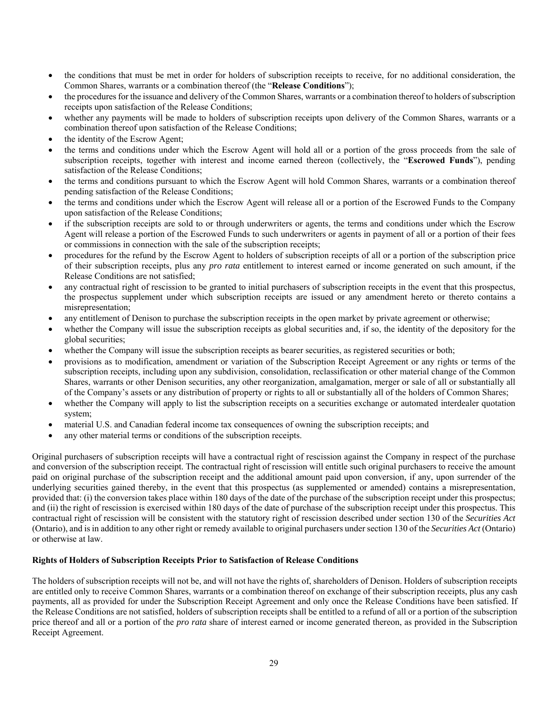- the conditions that must be met in order for holders of subscription receipts to receive, for no additional consideration, the Common Shares, warrants or a combination thereof (the "**Release Conditions**");
- the procedures for the issuance and delivery of the Common Shares, warrants or a combination thereof to holders of subscription receipts upon satisfaction of the Release Conditions;
- whether any payments will be made to holders of subscription receipts upon delivery of the Common Shares, warrants or a combination thereof upon satisfaction of the Release Conditions;
- the identity of the Escrow Agent;
- the terms and conditions under which the Escrow Agent will hold all or a portion of the gross proceeds from the sale of subscription receipts, together with interest and income earned thereon (collectively, the "**Escrowed Funds**"), pending satisfaction of the Release Conditions;
- the terms and conditions pursuant to which the Escrow Agent will hold Common Shares, warrants or a combination thereof pending satisfaction of the Release Conditions;
- the terms and conditions under which the Escrow Agent will release all or a portion of the Escrowed Funds to the Company upon satisfaction of the Release Conditions;
- if the subscription receipts are sold to or through underwriters or agents, the terms and conditions under which the Escrow Agent will release a portion of the Escrowed Funds to such underwriters or agents in payment of all or a portion of their fees or commissions in connection with the sale of the subscription receipts;
- procedures for the refund by the Escrow Agent to holders of subscription receipts of all or a portion of the subscription price of their subscription receipts, plus any *pro rata* entitlement to interest earned or income generated on such amount, if the Release Conditions are not satisfied;
- any contractual right of rescission to be granted to initial purchasers of subscription receipts in the event that this prospectus, the prospectus supplement under which subscription receipts are issued or any amendment hereto or thereto contains a misrepresentation;
- any entitlement of Denison to purchase the subscription receipts in the open market by private agreement or otherwise;
- whether the Company will issue the subscription receipts as global securities and, if so, the identity of the depository for the global securities;
- whether the Company will issue the subscription receipts as bearer securities, as registered securities or both;
- provisions as to modification, amendment or variation of the Subscription Receipt Agreement or any rights or terms of the subscription receipts, including upon any subdivision, consolidation, reclassification or other material change of the Common Shares, warrants or other Denison securities, any other reorganization, amalgamation, merger or sale of all or substantially all of the Company's assets or any distribution of property or rights to all or substantially all of the holders of Common Shares;
- whether the Company will apply to list the subscription receipts on a securities exchange or automated interdealer quotation system;
- material U.S. and Canadian federal income tax consequences of owning the subscription receipts; and
- any other material terms or conditions of the subscription receipts.

Original purchasers of subscription receipts will have a contractual right of rescission against the Company in respect of the purchase and conversion of the subscription receipt. The contractual right of rescission will entitle such original purchasers to receive the amount paid on original purchase of the subscription receipt and the additional amount paid upon conversion, if any, upon surrender of the underlying securities gained thereby, in the event that this prospectus (as supplemented or amended) contains a misrepresentation, provided that: (i) the conversion takes place within 180 days of the date of the purchase of the subscription receipt under this prospectus; and (ii) the right of rescission is exercised within 180 days of the date of purchase of the subscription receipt under this prospectus. This contractual right of rescission will be consistent with the statutory right of rescission described under section 130 of the *Securities Act* (Ontario), and is in addition to any other right or remedy available to original purchasers under section 130 of the *Securities Act* (Ontario) or otherwise at law.

#### **Rights of Holders of Subscription Receipts Prior to Satisfaction of Release Conditions**

The holders of subscription receipts will not be, and will not have the rights of, shareholders of Denison. Holders of subscription receipts are entitled only to receive Common Shares, warrants or a combination thereof on exchange of their subscription receipts, plus any cash payments, all as provided for under the Subscription Receipt Agreement and only once the Release Conditions have been satisfied. If the Release Conditions are not satisfied, holders of subscription receipts shall be entitled to a refund of all or a portion of the subscription price thereof and all or a portion of the *pro rata* share of interest earned or income generated thereon, as provided in the Subscription Receipt Agreement.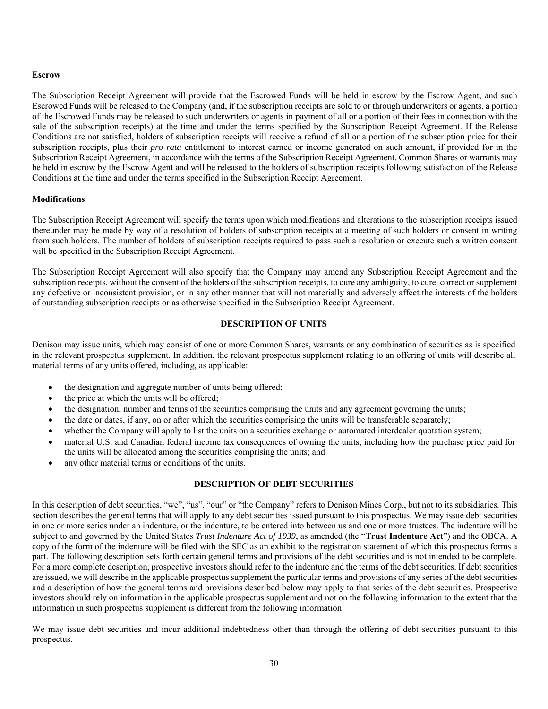#### **Escrow**

The Subscription Receipt Agreement will provide that the Escrowed Funds will be held in escrow by the Escrow Agent, and such Escrowed Funds will be released to the Company (and, if the subscription receipts are sold to or through underwriters or agents, a portion of the Escrowed Funds may be released to such underwriters or agents in payment of all or a portion of their fees in connection with the sale of the subscription receipts) at the time and under the terms specified by the Subscription Receipt Agreement. If the Release Conditions are not satisfied, holders of subscription receipts will receive a refund of all or a portion of the subscription price for their subscription receipts, plus their *pro rata* entitlement to interest earned or income generated on such amount, if provided for in the Subscription Receipt Agreement, in accordance with the terms of the Subscription Receipt Agreement. Common Shares or warrants may be held in escrow by the Escrow Agent and will be released to the holders of subscription receipts following satisfaction of the Release Conditions at the time and under the terms specified in the Subscription Receipt Agreement.

### **Modifications**

The Subscription Receipt Agreement will specify the terms upon which modifications and alterations to the subscription receipts issued thereunder may be made by way of a resolution of holders of subscription receipts at a meeting of such holders or consent in writing from such holders. The number of holders of subscription receipts required to pass such a resolution or execute such a written consent will be specified in the Subscription Receipt Agreement.

The Subscription Receipt Agreement will also specify that the Company may amend any Subscription Receipt Agreement and the subscription receipts, without the consent of the holders of the subscription receipts, to cure any ambiguity, to cure, correct or supplement any defective or inconsistent provision, or in any other manner that will not materially and adversely affect the interests of the holders of outstanding subscription receipts or as otherwise specified in the Subscription Receipt Agreement.

# **DESCRIPTION OF UNITS**

Denison may issue units, which may consist of one or more Common Shares, warrants or any combination of securities as is specified in the relevant prospectus supplement. In addition, the relevant prospectus supplement relating to an offering of units will describe all material terms of any units offered, including, as applicable:

- the designation and aggregate number of units being offered;
- the price at which the units will be offered;
- the designation, number and terms of the securities comprising the units and any agreement governing the units;
- the date or dates, if any, on or after which the securities comprising the units will be transferable separately;
- whether the Company will apply to list the units on a securities exchange or automated interdealer quotation system;
- material U.S. and Canadian federal income tax consequences of owning the units, including how the purchase price paid for the units will be allocated among the securities comprising the units; and
- any other material terms or conditions of the units.

# **DESCRIPTION OF DEBT SECURITIES**

In this description of debt securities, "we", "us", "our" or "the Company" refers to Denison Mines Corp., but not to its subsidiaries. This section describes the general terms that will apply to any debt securities issued pursuant to this prospectus. We may issue debt securities in one or more series under an indenture, or the indenture, to be entered into between us and one or more trustees. The indenture will be subject to and governed by the United States *Trust Indenture Act of 1939*, as amended (the "**Trust Indenture Act**") and the OBCA. A copy of the form of the indenture will be filed with the SEC as an exhibit to the registration statement of which this prospectus forms a part. The following description sets forth certain general terms and provisions of the debt securities and is not intended to be complete. For a more complete description, prospective investors should refer to the indenture and the terms of the debt securities. If debt securities are issued, we will describe in the applicable prospectus supplement the particular terms and provisions of any series of the debt securities and a description of how the general terms and provisions described below may apply to that series of the debt securities. Prospective investors should rely on information in the applicable prospectus supplement and not on the following information to the extent that the information in such prospectus supplement is different from the following information.

We may issue debt securities and incur additional indebtedness other than through the offering of debt securities pursuant to this prospectus.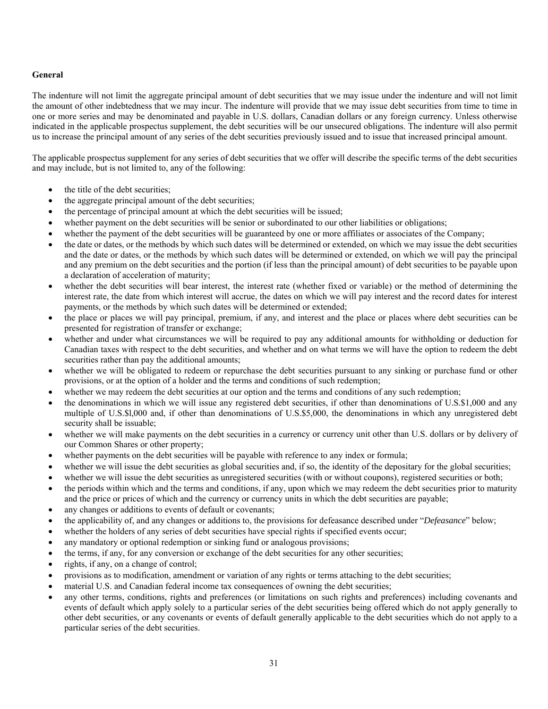# **General**

The indenture will not limit the aggregate principal amount of debt securities that we may issue under the indenture and will not limit the amount of other indebtedness that we may incur. The indenture will provide that we may issue debt securities from time to time in one or more series and may be denominated and payable in U.S. dollars, Canadian dollars or any foreign currency. Unless otherwise indicated in the applicable prospectus supplement, the debt securities will be our unsecured obligations. The indenture will also permit us to increase the principal amount of any series of the debt securities previously issued and to issue that increased principal amount.

The applicable prospectus supplement for any series of debt securities that we offer will describe the specific terms of the debt securities and may include, but is not limited to, any of the following:

- the title of the debt securities;
- the aggregate principal amount of the debt securities;
- the percentage of principal amount at which the debt securities will be issued;
- whether payment on the debt securities will be senior or subordinated to our other liabilities or obligations;
- whether the payment of the debt securities will be guaranteed by one or more affiliates or associates of the Company;
- the date or dates, or the methods by which such dates will be determined or extended, on which we may issue the debt securities and the date or dates, or the methods by which such dates will be determined or extended, on which we will pay the principal and any premium on the debt securities and the portion (if less than the principal amount) of debt securities to be payable upon a declaration of acceleration of maturity;
- whether the debt securities will bear interest, the interest rate (whether fixed or variable) or the method of determining the interest rate, the date from which interest will accrue, the dates on which we will pay interest and the record dates for interest payments, or the methods by which such dates will be determined or extended;
- the place or places we will pay principal, premium, if any, and interest and the place or places where debt securities can be presented for registration of transfer or exchange;
- whether and under what circumstances we will be required to pay any additional amounts for withholding or deduction for Canadian taxes with respect to the debt securities, and whether and on what terms we will have the option to redeem the debt securities rather than pay the additional amounts;
- whether we will be obligated to redeem or repurchase the debt securities pursuant to any sinking or purchase fund or other provisions, or at the option of a holder and the terms and conditions of such redemption;
- whether we may redeem the debt securities at our option and the terms and conditions of any such redemption;
- the denominations in which we will issue any registered debt securities, if other than denominations of U.S.\$1,000 and any multiple of U.S.\$l,000 and, if other than denominations of U.S.\$5,000, the denominations in which any unregistered debt security shall be issuable;
- whether we will make payments on the debt securities in a currency or currency unit other than U.S. dollars or by delivery of our Common Shares or other property;
- whether payments on the debt securities will be payable with reference to any index or formula;
- whether we will issue the debt securities as global securities and, if so, the identity of the depositary for the global securities;
- whether we will issue the debt securities as unregistered securities (with or without coupons), registered securities or both;
- the periods within which and the terms and conditions, if any, upon which we may redeem the debt securities prior to maturity and the price or prices of which and the currency or currency units in which the debt securities are payable;
- any changes or additions to events of default or covenants;
- the applicability of, and any changes or additions to, the provisions for defeasance described under "*Defeasance*" below;
- whether the holders of any series of debt securities have special rights if specified events occur;
- any mandatory or optional redemption or sinking fund or analogous provisions;
- the terms, if any, for any conversion or exchange of the debt securities for any other securities;
- rights, if any, on a change of control;
- provisions as to modification, amendment or variation of any rights or terms attaching to the debt securities;
- material U.S. and Canadian federal income tax consequences of owning the debt securities;
- any other terms, conditions, rights and preferences (or limitations on such rights and preferences) including covenants and events of default which apply solely to a particular series of the debt securities being offered which do not apply generally to other debt securities, or any covenants or events of default generally applicable to the debt securities which do not apply to a particular series of the debt securities.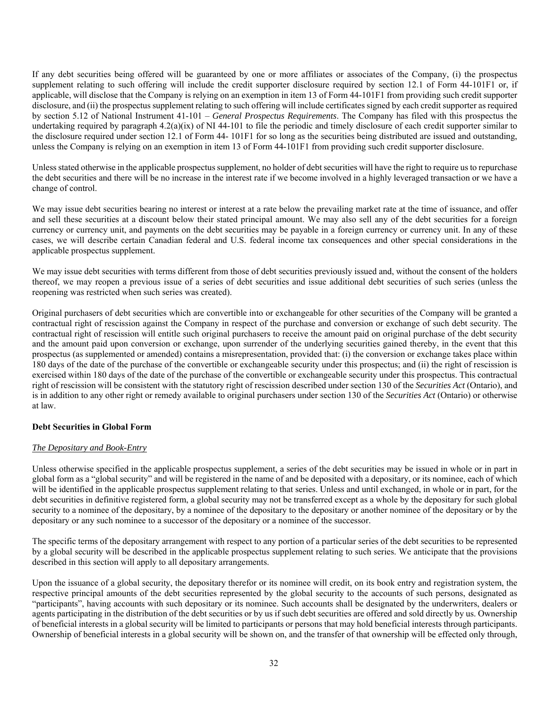If any debt securities being offered will be guaranteed by one or more affiliates or associates of the Company, (i) the prospectus supplement relating to such offering will include the credit supporter disclosure required by section 12.1 of Form 44-101F1 or, if applicable, will disclose that the Company is relying on an exemption in item 13 of Form 44-101F1 from providing such credit supporter disclosure, and (ii) the prospectus supplement relating to such offering will include certificates signed by each credit supporter as required by section 5.12 of National Instrument 41-101 – *General Prospectus Requirements*. The Company has filed with this prospectus the undertaking required by paragraph  $4.2(a)(ix)$  of NI 44-101 to file the periodic and timely disclosure of each credit supporter similar to the disclosure required under section 12.1 of Form 44- 101F1 for so long as the securities being distributed are issued and outstanding, unless the Company is relying on an exemption in item 13 of Form 44-101F1 from providing such credit supporter disclosure.

Unless stated otherwise in the applicable prospectus supplement, no holder of debt securities will have the right to require us to repurchase the debt securities and there will be no increase in the interest rate if we become involved in a highly leveraged transaction or we have a change of control.

We may issue debt securities bearing no interest or interest at a rate below the prevailing market rate at the time of issuance, and offer and sell these securities at a discount below their stated principal amount. We may also sell any of the debt securities for a foreign currency or currency unit, and payments on the debt securities may be payable in a foreign currency or currency unit. In any of these cases, we will describe certain Canadian federal and U.S. federal income tax consequences and other special considerations in the applicable prospectus supplement.

We may issue debt securities with terms different from those of debt securities previously issued and, without the consent of the holders thereof, we may reopen a previous issue of a series of debt securities and issue additional debt securities of such series (unless the reopening was restricted when such series was created).

Original purchasers of debt securities which are convertible into or exchangeable for other securities of the Company will be granted a contractual right of rescission against the Company in respect of the purchase and conversion or exchange of such debt security. The contractual right of rescission will entitle such original purchasers to receive the amount paid on original purchase of the debt security and the amount paid upon conversion or exchange, upon surrender of the underlying securities gained thereby, in the event that this prospectus (as supplemented or amended) contains a misrepresentation, provided that: (i) the conversion or exchange takes place within 180 days of the date of the purchase of the convertible or exchangeable security under this prospectus; and (ii) the right of rescission is exercised within 180 days of the date of the purchase of the convertible or exchangeable security under this prospectus. This contractual right of rescission will be consistent with the statutory right of rescission described under section 130 of the *Securities Act* (Ontario), and is in addition to any other right or remedy available to original purchasers under section 130 of the *Securities Act* (Ontario) or otherwise at law.

# **Debt Securities in Global Form**

# *The Depositary and Book-Entry*

Unless otherwise specified in the applicable prospectus supplement, a series of the debt securities may be issued in whole or in part in global form as a "global security" and will be registered in the name of and be deposited with a depositary, or its nominee, each of which will be identified in the applicable prospectus supplement relating to that series. Unless and until exchanged, in whole or in part, for the debt securities in definitive registered form, a global security may not be transferred except as a whole by the depositary for such global security to a nominee of the depositary, by a nominee of the depositary to the depositary or another nominee of the depositary or by the depositary or any such nominee to a successor of the depositary or a nominee of the successor.

The specific terms of the depositary arrangement with respect to any portion of a particular series of the debt securities to be represented by a global security will be described in the applicable prospectus supplement relating to such series. We anticipate that the provisions described in this section will apply to all depositary arrangements.

Upon the issuance of a global security, the depositary therefor or its nominee will credit, on its book entry and registration system, the respective principal amounts of the debt securities represented by the global security to the accounts of such persons, designated as "participants", having accounts with such depositary or its nominee. Such accounts shall be designated by the underwriters, dealers or agents participating in the distribution of the debt securities or by us if such debt securities are offered and sold directly by us. Ownership of beneficial interests in a global security will be limited to participants or persons that may hold beneficial interests through participants. Ownership of beneficial interests in a global security will be shown on, and the transfer of that ownership will be effected only through,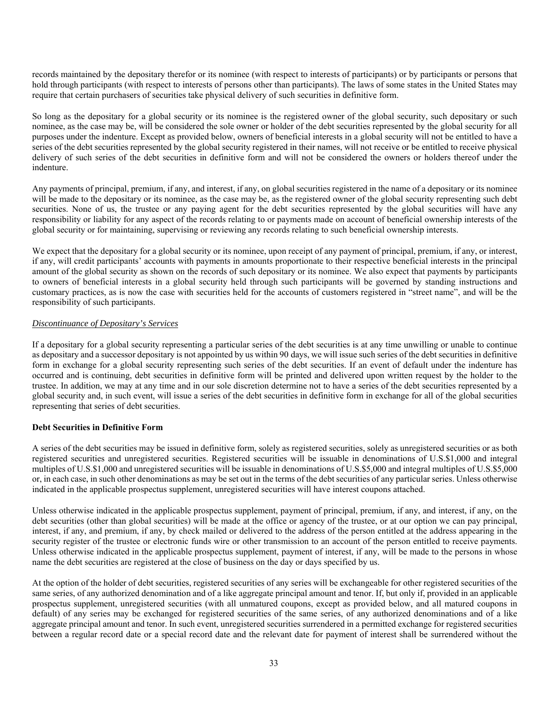records maintained by the depositary therefor or its nominee (with respect to interests of participants) or by participants or persons that hold through participants (with respect to interests of persons other than participants). The laws of some states in the United States may require that certain purchasers of securities take physical delivery of such securities in definitive form.

So long as the depositary for a global security or its nominee is the registered owner of the global security, such depositary or such nominee, as the case may be, will be considered the sole owner or holder of the debt securities represented by the global security for all purposes under the indenture. Except as provided below, owners of beneficial interests in a global security will not be entitled to have a series of the debt securities represented by the global security registered in their names, will not receive or be entitled to receive physical delivery of such series of the debt securities in definitive form and will not be considered the owners or holders thereof under the indenture.

Any payments of principal, premium, if any, and interest, if any, on global securities registered in the name of a depositary or its nominee will be made to the depositary or its nominee, as the case may be, as the registered owner of the global security representing such debt securities. None of us, the trustee or any paying agent for the debt securities represented by the global securities will have any responsibility or liability for any aspect of the records relating to or payments made on account of beneficial ownership interests of the global security or for maintaining, supervising or reviewing any records relating to such beneficial ownership interests.

We expect that the depositary for a global security or its nominee, upon receipt of any payment of principal, premium, if any, or interest, if any, will credit participants' accounts with payments in amounts proportionate to their respective beneficial interests in the principal amount of the global security as shown on the records of such depositary or its nominee. We also expect that payments by participants to owners of beneficial interests in a global security held through such participants will be governed by standing instructions and customary practices, as is now the case with securities held for the accounts of customers registered in "street name", and will be the responsibility of such participants.

### *Discontinuance of Depositary's Services*

If a depositary for a global security representing a particular series of the debt securities is at any time unwilling or unable to continue as depositary and a successor depositary is not appointed by us within 90 days, we will issue such series of the debt securities in definitive form in exchange for a global security representing such series of the debt securities. If an event of default under the indenture has occurred and is continuing, debt securities in definitive form will be printed and delivered upon written request by the holder to the trustee. In addition, we may at any time and in our sole discretion determine not to have a series of the debt securities represented by a global security and, in such event, will issue a series of the debt securities in definitive form in exchange for all of the global securities representing that series of debt securities.

# **Debt Securities in Definitive Form**

A series of the debt securities may be issued in definitive form, solely as registered securities, solely as unregistered securities or as both registered securities and unregistered securities. Registered securities will be issuable in denominations of U.S.\$1,000 and integral multiples of U.S.\$1,000 and unregistered securities will be issuable in denominations of U.S.\$5,000 and integral multiples of U.S.\$5,000 or, in each case, in such other denominations as may be set out in the terms of the debt securities of any particular series. Unless otherwise indicated in the applicable prospectus supplement, unregistered securities will have interest coupons attached.

Unless otherwise indicated in the applicable prospectus supplement, payment of principal, premium, if any, and interest, if any, on the debt securities (other than global securities) will be made at the office or agency of the trustee, or at our option we can pay principal, interest, if any, and premium, if any, by check mailed or delivered to the address of the person entitled at the address appearing in the security register of the trustee or electronic funds wire or other transmission to an account of the person entitled to receive payments. Unless otherwise indicated in the applicable prospectus supplement, payment of interest, if any, will be made to the persons in whose name the debt securities are registered at the close of business on the day or days specified by us.

At the option of the holder of debt securities, registered securities of any series will be exchangeable for other registered securities of the same series, of any authorized denomination and of a like aggregate principal amount and tenor. If, but only if, provided in an applicable prospectus supplement, unregistered securities (with all unmatured coupons, except as provided below, and all matured coupons in default) of any series may be exchanged for registered securities of the same series, of any authorized denominations and of a like aggregate principal amount and tenor. In such event, unregistered securities surrendered in a permitted exchange for registered securities between a regular record date or a special record date and the relevant date for payment of interest shall be surrendered without the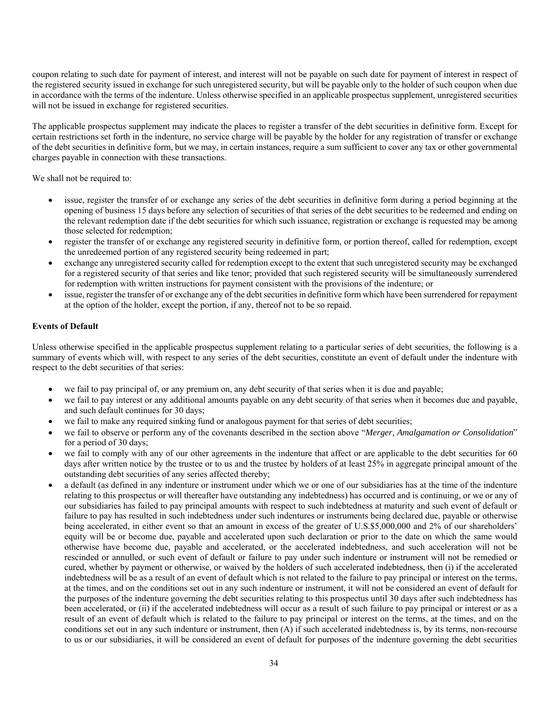coupon relating to such date for payment of interest, and interest will not be payable on such date for payment of interest in respect of the registered security issued in exchange for such unregistered security, but will be payable only to the holder of such coupon when due in accordance with the terms of the indenture. Unless otherwise specified in an applicable prospectus supplement, unregistered securities will not be issued in exchange for registered securities.

The applicable prospectus supplement may indicate the places to register a transfer of the debt securities in definitive form. Except for certain restrictions set forth in the indenture, no service charge will be payable by the holder for any registration of transfer or exchange of the debt securities in definitive form, but we may, in certain instances, require a sum sufficient to cover any tax or other governmental charges payable in connection with these transactions.

We shall not be required to:

- issue, register the transfer of or exchange any series of the debt securities in definitive form during a period beginning at the opening of business 15 days before any selection of securities of that series of the debt securities to be redeemed and ending on the relevant redemption date if the debt securities for which such issuance, registration or exchange is requested may be among those selected for redemption;
- register the transfer of or exchange any registered security in definitive form, or portion thereof, called for redemption, except the unredeemed portion of any registered security being redeemed in part;
- exchange any unregistered security called for redemption except to the extent that such unregistered security may be exchanged for a registered security of that series and like tenor; provided that such registered security will be simultaneously surrendered for redemption with written instructions for payment consistent with the provisions of the indenture; or
- issue, register the transfer of or exchange any of the debt securities in definitive form which have been surrendered for repayment at the option of the holder, except the portion, if any, thereof not to be so repaid.

# **Events of Default**

Unless otherwise specified in the applicable prospectus supplement relating to a particular series of debt securities, the following is a summary of events which will, with respect to any series of the debt securities, constitute an event of default under the indenture with respect to the debt securities of that series:

- we fail to pay principal of, or any premium on, any debt security of that series when it is due and payable;
- we fail to pay interest or any additional amounts payable on any debt security of that series when it becomes due and payable, and such default continues for 30 days;
- we fail to make any required sinking fund or analogous payment for that series of debt securities;
- we fail to observe or perform any of the covenants described in the section above "*Merger, Amalgamation or Consolidation*" for a period of 30 days;
- we fail to comply with any of our other agreements in the indenture that affect or are applicable to the debt securities for 60 days after written notice by the trustee or to us and the trustee by holders of at least 25% in aggregate principal amount of the outstanding debt securities of any series affected thereby;
- a default (as defined in any indenture or instrument under which we or one of our subsidiaries has at the time of the indenture relating to this prospectus or will thereafter have outstanding any indebtedness) has occurred and is continuing, or we or any of our subsidiaries has failed to pay principal amounts with respect to such indebtedness at maturity and such event of default or failure to pay has resulted in such indebtedness under such indentures or instruments being declared due, payable or otherwise being accelerated, in either event so that an amount in excess of the greater of U.S.\$5,000,000 and 2% of our shareholders' equity will be or become due, payable and accelerated upon such declaration or prior to the date on which the same would otherwise have become due, payable and accelerated, or the accelerated indebtedness, and such acceleration will not be rescinded or annulled, or such event of default or failure to pay under such indenture or instrument will not be remedied or cured, whether by payment or otherwise, or waived by the holders of such accelerated indebtedness, then (i) if the accelerated indebtedness will be as a result of an event of default which is not related to the failure to pay principal or interest on the terms, at the times, and on the conditions set out in any such indenture or instrument, it will not be considered an event of default for the purposes of the indenture governing the debt securities relating to this prospectus until 30 days after such indebtedness has been accelerated, or (ii) if the accelerated indebtedness will occur as a result of such failure to pay principal or interest or as a result of an event of default which is related to the failure to pay principal or interest on the terms, at the times, and on the conditions set out in any such indenture or instrument, then (A) if such accelerated indebtedness is, by its terms, non-recourse to us or our subsidiaries, it will be considered an event of default for purposes of the indenture governing the debt securities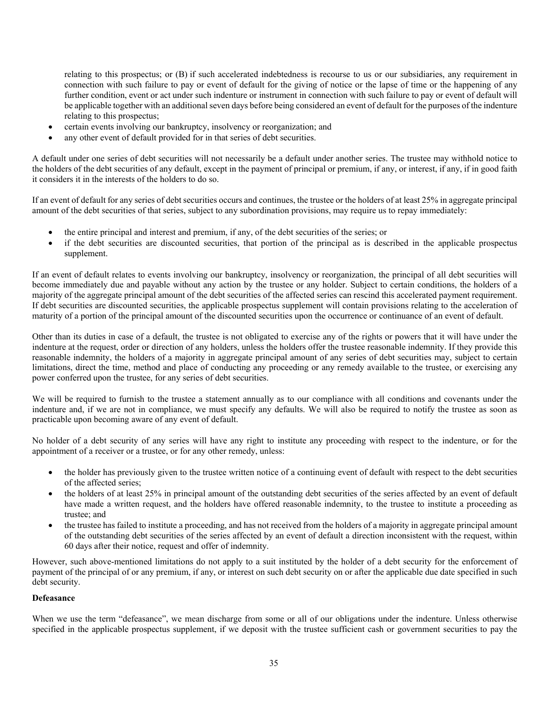relating to this prospectus; or (B) if such accelerated indebtedness is recourse to us or our subsidiaries, any requirement in connection with such failure to pay or event of default for the giving of notice or the lapse of time or the happening of any further condition, event or act under such indenture or instrument in connection with such failure to pay or event of default will be applicable together with an additional seven days before being considered an event of default for the purposes of the indenture relating to this prospectus;

- certain events involving our bankruptcy, insolvency or reorganization; and
- any other event of default provided for in that series of debt securities.

A default under one series of debt securities will not necessarily be a default under another series. The trustee may withhold notice to the holders of the debt securities of any default, except in the payment of principal or premium, if any, or interest, if any, if in good faith it considers it in the interests of the holders to do so.

If an event of default for any series of debt securities occurs and continues, the trustee or the holders of at least 25% in aggregate principal amount of the debt securities of that series, subject to any subordination provisions, may require us to repay immediately:

- the entire principal and interest and premium, if any, of the debt securities of the series; or
- if the debt securities are discounted securities, that portion of the principal as is described in the applicable prospectus supplement.

If an event of default relates to events involving our bankruptcy, insolvency or reorganization, the principal of all debt securities will become immediately due and payable without any action by the trustee or any holder. Subject to certain conditions, the holders of a majority of the aggregate principal amount of the debt securities of the affected series can rescind this accelerated payment requirement. If debt securities are discounted securities, the applicable prospectus supplement will contain provisions relating to the acceleration of maturity of a portion of the principal amount of the discounted securities upon the occurrence or continuance of an event of default.

Other than its duties in case of a default, the trustee is not obligated to exercise any of the rights or powers that it will have under the indenture at the request, order or direction of any holders, unless the holders offer the trustee reasonable indemnity. If they provide this reasonable indemnity, the holders of a majority in aggregate principal amount of any series of debt securities may, subject to certain limitations, direct the time, method and place of conducting any proceeding or any remedy available to the trustee, or exercising any power conferred upon the trustee, for any series of debt securities.

We will be required to furnish to the trustee a statement annually as to our compliance with all conditions and covenants under the indenture and, if we are not in compliance, we must specify any defaults. We will also be required to notify the trustee as soon as practicable upon becoming aware of any event of default.

No holder of a debt security of any series will have any right to institute any proceeding with respect to the indenture, or for the appointment of a receiver or a trustee, or for any other remedy, unless:

- the holder has previously given to the trustee written notice of a continuing event of default with respect to the debt securities of the affected series;
- the holders of at least 25% in principal amount of the outstanding debt securities of the series affected by an event of default have made a written request, and the holders have offered reasonable indemnity, to the trustee to institute a proceeding as trustee; and
- the trustee has failed to institute a proceeding, and has not received from the holders of a majority in aggregate principal amount of the outstanding debt securities of the series affected by an event of default a direction inconsistent with the request, within 60 days after their notice, request and offer of indemnity.

However, such above-mentioned limitations do not apply to a suit instituted by the holder of a debt security for the enforcement of payment of the principal of or any premium, if any, or interest on such debt security on or after the applicable due date specified in such debt security.

# **Defeasance**

When we use the term "defeasance", we mean discharge from some or all of our obligations under the indenture. Unless otherwise specified in the applicable prospectus supplement, if we deposit with the trustee sufficient cash or government securities to pay the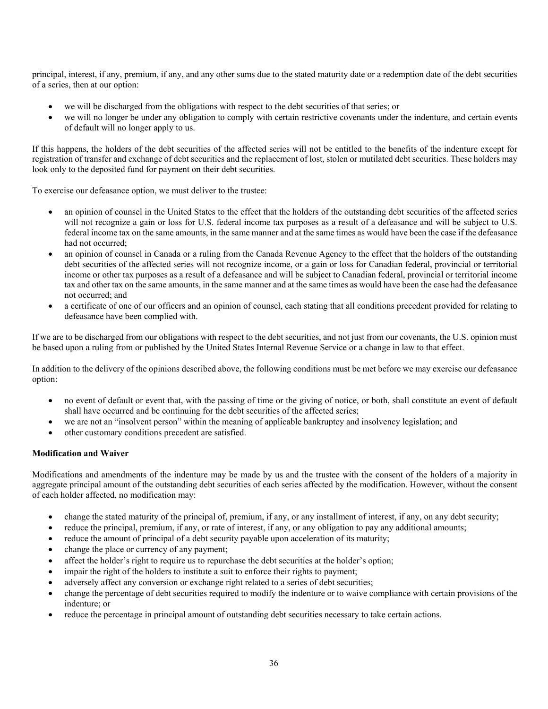principal, interest, if any, premium, if any, and any other sums due to the stated maturity date or a redemption date of the debt securities of a series, then at our option:

- we will be discharged from the obligations with respect to the debt securities of that series; or
- we will no longer be under any obligation to comply with certain restrictive covenants under the indenture, and certain events of default will no longer apply to us.

If this happens, the holders of the debt securities of the affected series will not be entitled to the benefits of the indenture except for registration of transfer and exchange of debt securities and the replacement of lost, stolen or mutilated debt securities. These holders may look only to the deposited fund for payment on their debt securities.

To exercise our defeasance option, we must deliver to the trustee:

- an opinion of counsel in the United States to the effect that the holders of the outstanding debt securities of the affected series will not recognize a gain or loss for U.S. federal income tax purposes as a result of a defeasance and will be subject to U.S. federal income tax on the same amounts, in the same manner and at the same times as would have been the case if the defeasance had not occurred;
- an opinion of counsel in Canada or a ruling from the Canada Revenue Agency to the effect that the holders of the outstanding debt securities of the affected series will not recognize income, or a gain or loss for Canadian federal, provincial or territorial income or other tax purposes as a result of a defeasance and will be subject to Canadian federal, provincial or territorial income tax and other tax on the same amounts, in the same manner and at the same times as would have been the case had the defeasance not occurred; and
- a certificate of one of our officers and an opinion of counsel, each stating that all conditions precedent provided for relating to defeasance have been complied with.

If we are to be discharged from our obligations with respect to the debt securities, and not just from our covenants, the U.S. opinion must be based upon a ruling from or published by the United States Internal Revenue Service or a change in law to that effect.

In addition to the delivery of the opinions described above, the following conditions must be met before we may exercise our defeasance option:

- no event of default or event that, with the passing of time or the giving of notice, or both, shall constitute an event of default shall have occurred and be continuing for the debt securities of the affected series;
- we are not an "insolvent person" within the meaning of applicable bankruptcy and insolvency legislation; and
- other customary conditions precedent are satisfied.

# **Modification and Waiver**

Modifications and amendments of the indenture may be made by us and the trustee with the consent of the holders of a majority in aggregate principal amount of the outstanding debt securities of each series affected by the modification. However, without the consent of each holder affected, no modification may:

- change the stated maturity of the principal of, premium, if any, or any installment of interest, if any, on any debt security;
- reduce the principal, premium, if any, or rate of interest, if any, or any obligation to pay any additional amounts;
- reduce the amount of principal of a debt security payable upon acceleration of its maturity;
- change the place or currency of any payment;
- affect the holder's right to require us to repurchase the debt securities at the holder's option;
- impair the right of the holders to institute a suit to enforce their rights to payment;
- adversely affect any conversion or exchange right related to a series of debt securities;
- change the percentage of debt securities required to modify the indenture or to waive compliance with certain provisions of the indenture; or
- reduce the percentage in principal amount of outstanding debt securities necessary to take certain actions.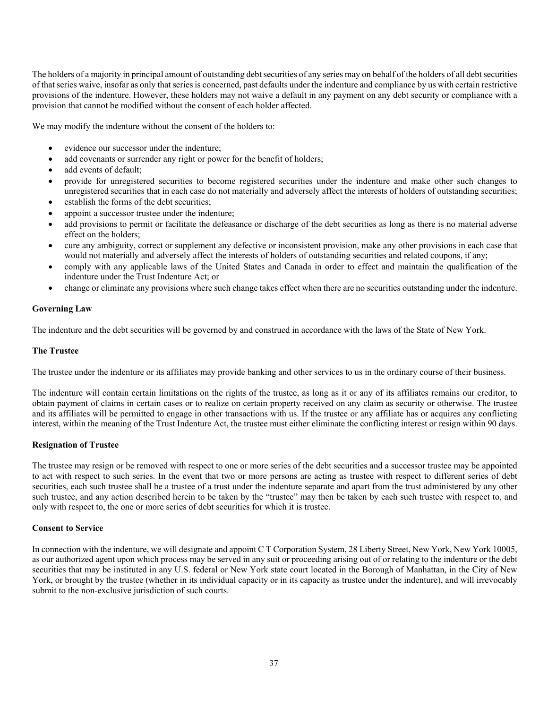The holders of a majority in principal amount of outstanding debt securities of any series may on behalf of the holders of all debt securities of that series waive, insofar as only that series is concerned, past defaults under the indenture and compliance by us with certain restrictive provisions of the indenture. However, these holders may not waive a default in any payment on any debt security or compliance with a provision that cannot be modified without the consent of each holder affected.

We may modify the indenture without the consent of the holders to:

- evidence our successor under the indenture;
- add covenants or surrender any right or power for the benefit of holders;
- add events of default;
- provide for unregistered securities to become registered securities under the indenture and make other such changes to unregistered securities that in each case do not materially and adversely affect the interests of holders of outstanding securities;
- establish the forms of the debt securities;
- appoint a successor trustee under the indenture;
- add provisions to permit or facilitate the defeasance or discharge of the debt securities as long as there is no material adverse effect on the holders;
- cure any ambiguity, correct or supplement any defective or inconsistent provision, make any other provisions in each case that would not materially and adversely affect the interests of holders of outstanding securities and related coupons, if any;
- comply with any applicable laws of the United States and Canada in order to effect and maintain the qualification of the indenture under the Trust Indenture Act; or
- change or eliminate any provisions where such change takes effect when there are no securities outstanding under the indenture.

### **Governing Law**

The indenture and the debt securities will be governed by and construed in accordance with the laws of the State of New York.

#### **The Trustee**

The trustee under the indenture or its affiliates may provide banking and other services to us in the ordinary course of their business.

The indenture will contain certain limitations on the rights of the trustee, as long as it or any of its affiliates remains our creditor, to obtain payment of claims in certain cases or to realize on certain property received on any claim as security or otherwise. The trustee and its affiliates will be permitted to engage in other transactions with us. If the trustee or any affiliate has or acquires any conflicting interest, within the meaning of the Trust Indenture Act, the trustee must either eliminate the conflicting interest or resign within 90 days.

#### **Resignation of Trustee**

The trustee may resign or be removed with respect to one or more series of the debt securities and a successor trustee may be appointed to act with respect to such series. In the event that two or more persons are acting as trustee with respect to different series of debt securities, each such trustee shall be a trustee of a trust under the indenture separate and apart from the trust administered by any other such trustee, and any action described herein to be taken by the "trustee" may then be taken by each such trustee with respect to, and only with respect to, the one or more series of debt securities for which it is trustee.

### **Consent to Service**

In connection with the indenture, we will designate and appoint C T Corporation System, 28 Liberty Street, New York, New York 10005, as our authorized agent upon which process may be served in any suit or proceeding arising out of or relating to the indenture or the debt securities that may be instituted in any U.S. federal or New York state court located in the Borough of Manhattan, in the City of New York, or brought by the trustee (whether in its individual capacity or in its capacity as trustee under the indenture), and will irrevocably submit to the non-exclusive jurisdiction of such courts.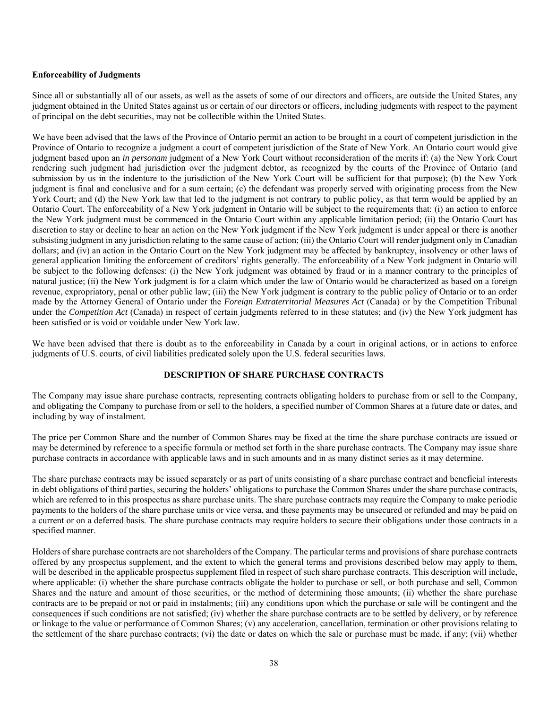#### **Enforceability of Judgments**

Since all or substantially all of our assets, as well as the assets of some of our directors and officers, are outside the United States, any judgment obtained in the United States against us or certain of our directors or officers, including judgments with respect to the payment of principal on the debt securities, may not be collectible within the United States.

We have been advised that the laws of the Province of Ontario permit an action to be brought in a court of competent jurisdiction in the Province of Ontario to recognize a judgment a court of competent jurisdiction of the State of New York. An Ontario court would give judgment based upon an *in personam* judgment of a New York Court without reconsideration of the merits if: (a) the New York Court rendering such judgment had jurisdiction over the judgment debtor, as recognized by the courts of the Province of Ontario (and submission by us in the indenture to the jurisdiction of the New York Court will be sufficient for that purpose); (b) the New York judgment is final and conclusive and for a sum certain; (c) the defendant was properly served with originating process from the New York Court; and (d) the New York law that led to the judgment is not contrary to public policy, as that term would be applied by an Ontario Court. The enforceability of a New York judgment in Ontario will be subject to the requirements that: (i) an action to enforce the New York judgment must be commenced in the Ontario Court within any applicable limitation period; (ii) the Ontario Court has discretion to stay or decline to hear an action on the New York judgment if the New York judgment is under appeal or there is another subsisting judgment in any jurisdiction relating to the same cause of action; (iii) the Ontario Court will render judgment only in Canadian dollars; and (iv) an action in the Ontario Court on the New York judgment may be affected by bankruptcy, insolvency or other laws of general application limiting the enforcement of creditors' rights generally. The enforceability of a New York judgment in Ontario will be subject to the following defenses: (i) the New York judgment was obtained by fraud or in a manner contrary to the principles of natural justice; (ii) the New York judgment is for a claim which under the law of Ontario would be characterized as based on a foreign revenue, expropriatory, penal or other public law; (iii) the New York judgment is contrary to the public policy of Ontario or to an order made by the Attorney General of Ontario under the *Foreign Extraterritorial Measures Act* (Canada) or by the Competition Tribunal under the *Competition Act* (Canada) in respect of certain judgments referred to in these statutes; and (iv) the New York judgment has been satisfied or is void or voidable under New York law.

We have been advised that there is doubt as to the enforceability in Canada by a court in original actions, or in actions to enforce judgments of U.S. courts, of civil liabilities predicated solely upon the U.S. federal securities laws.

# **DESCRIPTION OF SHARE PURCHASE CONTRACTS**

The Company may issue share purchase contracts, representing contracts obligating holders to purchase from or sell to the Company, and obligating the Company to purchase from or sell to the holders, a specified number of Common Shares at a future date or dates, and including by way of instalment.

The price per Common Share and the number of Common Shares may be fixed at the time the share purchase contracts are issued or may be determined by reference to a specific formula or method set forth in the share purchase contracts. The Company may issue share purchase contracts in accordance with applicable laws and in such amounts and in as many distinct series as it may determine.

The share purchase contracts may be issued separately or as part of units consisting of a share purchase contract and beneficial interests in debt obligations of third parties, securing the holders' obligations to purchase the Common Shares under the share purchase contracts, which are referred to in this prospectus as share purchase units. The share purchase contracts may require the Company to make periodic payments to the holders of the share purchase units or vice versa, and these payments may be unsecured or refunded and may be paid on a current or on a deferred basis. The share purchase contracts may require holders to secure their obligations under those contracts in a specified manner.

Holders of share purchase contracts are not shareholders of the Company. The particular terms and provisions of share purchase contracts offered by any prospectus supplement, and the extent to which the general terms and provisions described below may apply to them, will be described in the applicable prospectus supplement filed in respect of such share purchase contracts. This description will include, where applicable: (i) whether the share purchase contracts obligate the holder to purchase or sell, or both purchase and sell, Common Shares and the nature and amount of those securities, or the method of determining those amounts; (ii) whether the share purchase contracts are to be prepaid or not or paid in instalments; (iii) any conditions upon which the purchase or sale will be contingent and the consequences if such conditions are not satisfied; (iv) whether the share purchase contracts are to be settled by delivery, or by reference or linkage to the value or performance of Common Shares; (v) any acceleration, cancellation, termination or other provisions relating to the settlement of the share purchase contracts; (vi) the date or dates on which the sale or purchase must be made, if any; (vii) whether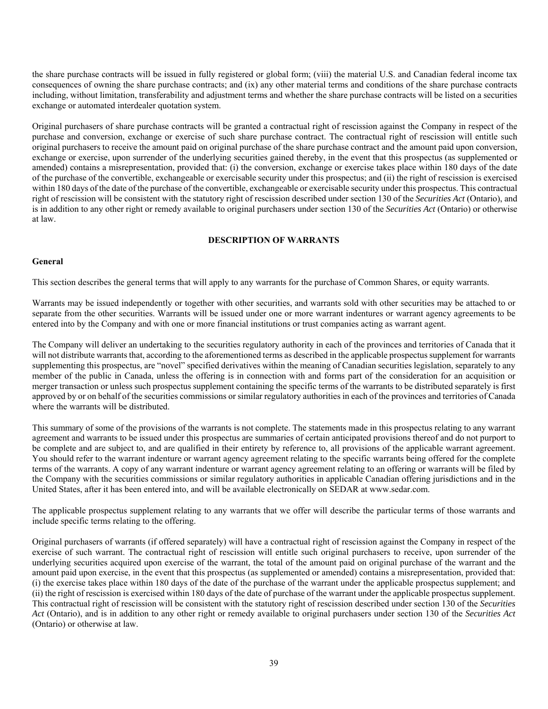the share purchase contracts will be issued in fully registered or global form; (viii) the material U.S. and Canadian federal income tax consequences of owning the share purchase contracts; and (ix) any other material terms and conditions of the share purchase contracts including, without limitation, transferability and adjustment terms and whether the share purchase contracts will be listed on a securities exchange or automated interdealer quotation system.

Original purchasers of share purchase contracts will be granted a contractual right of rescission against the Company in respect of the purchase and conversion, exchange or exercise of such share purchase contract. The contractual right of rescission will entitle such original purchasers to receive the amount paid on original purchase of the share purchase contract and the amount paid upon conversion, exchange or exercise, upon surrender of the underlying securities gained thereby, in the event that this prospectus (as supplemented or amended) contains a misrepresentation, provided that: (i) the conversion, exchange or exercise takes place within 180 days of the date of the purchase of the convertible, exchangeable or exercisable security under this prospectus; and (ii) the right of rescission is exercised within 180 days of the date of the purchase of the convertible, exchangeable or exercisable security under this prospectus. This contractual right of rescission will be consistent with the statutory right of rescission described under section 130 of the *Securities Act* (Ontario), and is in addition to any other right or remedy available to original purchasers under section 130 of the *Securities Act* (Ontario) or otherwise at law.

### **DESCRIPTION OF WARRANTS**

### **General**

This section describes the general terms that will apply to any warrants for the purchase of Common Shares, or equity warrants.

Warrants may be issued independently or together with other securities, and warrants sold with other securities may be attached to or separate from the other securities. Warrants will be issued under one or more warrant indentures or warrant agency agreements to be entered into by the Company and with one or more financial institutions or trust companies acting as warrant agent.

The Company will deliver an undertaking to the securities regulatory authority in each of the provinces and territories of Canada that it will not distribute warrants that, according to the aforementioned terms as described in the applicable prospectus supplement for warrants supplementing this prospectus, are "novel" specified derivatives within the meaning of Canadian securities legislation, separately to any member of the public in Canada, unless the offering is in connection with and forms part of the consideration for an acquisition or merger transaction or unless such prospectus supplement containing the specific terms of the warrants to be distributed separately is first approved by or on behalf of the securities commissions or similar regulatory authorities in each of the provinces and territories of Canada where the warrants will be distributed.

This summary of some of the provisions of the warrants is not complete. The statements made in this prospectus relating to any warrant agreement and warrants to be issued under this prospectus are summaries of certain anticipated provisions thereof and do not purport to be complete and are subject to, and are qualified in their entirety by reference to, all provisions of the applicable warrant agreement. You should refer to the warrant indenture or warrant agency agreement relating to the specific warrants being offered for the complete terms of the warrants. A copy of any warrant indenture or warrant agency agreement relating to an offering or warrants will be filed by the Company with the securities commissions or similar regulatory authorities in applicable Canadian offering jurisdictions and in the United States, after it has been entered into, and will be available electronically on SEDAR at www.sedar.com.

The applicable prospectus supplement relating to any warrants that we offer will describe the particular terms of those warrants and include specific terms relating to the offering.

Original purchasers of warrants (if offered separately) will have a contractual right of rescission against the Company in respect of the exercise of such warrant. The contractual right of rescission will entitle such original purchasers to receive, upon surrender of the underlying securities acquired upon exercise of the warrant, the total of the amount paid on original purchase of the warrant and the amount paid upon exercise, in the event that this prospectus (as supplemented or amended) contains a misrepresentation, provided that: (i) the exercise takes place within 180 days of the date of the purchase of the warrant under the applicable prospectus supplement; and (ii) the right of rescission is exercised within 180 days of the date of purchase of the warrant under the applicable prospectus supplement. This contractual right of rescission will be consistent with the statutory right of rescission described under section 130 of the *Securities Act* (Ontario), and is in addition to any other right or remedy available to original purchasers under section 130 of the *Securities Act* (Ontario) or otherwise at law.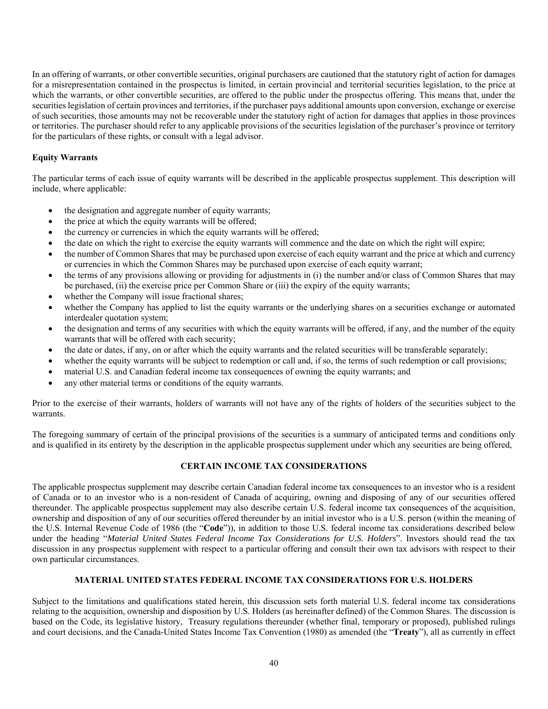In an offering of warrants, or other convertible securities, original purchasers are cautioned that the statutory right of action for damages for a misrepresentation contained in the prospectus is limited, in certain provincial and territorial securities legislation, to the price at which the warrants, or other convertible securities, are offered to the public under the prospectus offering. This means that, under the securities legislation of certain provinces and territories, if the purchaser pays additional amounts upon conversion, exchange or exercise of such securities, those amounts may not be recoverable under the statutory right of action for damages that applies in those provinces or territories. The purchaser should refer to any applicable provisions of the securities legislation of the purchaser's province or territory for the particulars of these rights, or consult with a legal advisor.

# **Equity Warrants**

The particular terms of each issue of equity warrants will be described in the applicable prospectus supplement. This description will include, where applicable:

- the designation and aggregate number of equity warrants;
- the price at which the equity warrants will be offered;
- the currency or currencies in which the equity warrants will be offered;
- the date on which the right to exercise the equity warrants will commence and the date on which the right will expire;
- the number of Common Shares that may be purchased upon exercise of each equity warrant and the price at which and currency or currencies in which the Common Shares may be purchased upon exercise of each equity warrant;
- the terms of any provisions allowing or providing for adjustments in (i) the number and/or class of Common Shares that may be purchased, (ii) the exercise price per Common Share or (iii) the expiry of the equity warrants;
- whether the Company will issue fractional shares;
- whether the Company has applied to list the equity warrants or the underlying shares on a securities exchange or automated interdealer quotation system;
- the designation and terms of any securities with which the equity warrants will be offered, if any, and the number of the equity warrants that will be offered with each security;
- the date or dates, if any, on or after which the equity warrants and the related securities will be transferable separately;
- whether the equity warrants will be subject to redemption or call and, if so, the terms of such redemption or call provisions;
- material U.S. and Canadian federal income tax consequences of owning the equity warrants; and
- any other material terms or conditions of the equity warrants.

Prior to the exercise of their warrants, holders of warrants will not have any of the rights of holders of the securities subject to the warrants.

The foregoing summary of certain of the principal provisions of the securities is a summary of anticipated terms and conditions only and is qualified in its entirety by the description in the applicable prospectus supplement under which any securities are being offered,

# **CERTAIN INCOME TAX CONSIDERATIONS**

The applicable prospectus supplement may describe certain Canadian federal income tax consequences to an investor who is a resident of Canada or to an investor who is a non-resident of Canada of acquiring, owning and disposing of any of our securities offered thereunder. The applicable prospectus supplement may also describe certain U.S. federal income tax consequences of the acquisition, ownership and disposition of any of our securities offered thereunder by an initial investor who is a U.S. person (within the meaning of the U.S. Internal Revenue Code of 1986 (the "**Code**")), in addition to those U.S. federal income tax considerations described below under the heading "*Material United States Federal Income Tax Considerations for U.S. Holders*". Investors should read the tax discussion in any prospectus supplement with respect to a particular offering and consult their own tax advisors with respect to their own particular circumstances.

#### **MATERIAL UNITED STATES FEDERAL INCOME TAX CONSIDERATIONS FOR U.S. HOLDERS**

Subject to the limitations and qualifications stated herein, this discussion sets forth material U.S. federal income tax considerations relating to the acquisition, ownership and disposition by U.S. Holders (as hereinafter defined) of the Common Shares. The discussion is based on the Code, its legislative history, Treasury regulations thereunder (whether final, temporary or proposed), published rulings and court decisions, and the Canada-United States Income Tax Convention (1980) as amended (the "**Treaty**"), all as currently in effect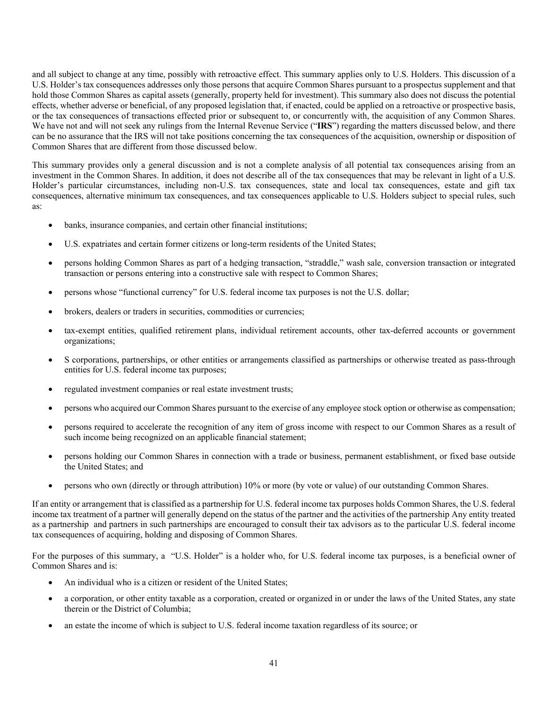and all subject to change at any time, possibly with retroactive effect. This summary applies only to U.S. Holders. This discussion of a U.S. Holder's tax consequences addresses only those persons that acquire Common Shares pursuant to a prospectus supplement and that hold those Common Shares as capital assets (generally, property held for investment). This summary also does not discuss the potential effects, whether adverse or beneficial, of any proposed legislation that, if enacted, could be applied on a retroactive or prospective basis, or the tax consequences of transactions effected prior or subsequent to, or concurrently with, the acquisition of any Common Shares. We have not and will not seek any rulings from the Internal Revenue Service ("IRS") regarding the matters discussed below, and there can be no assurance that the IRS will not take positions concerning the tax consequences of the acquisition, ownership or disposition of Common Shares that are different from those discussed below.

This summary provides only a general discussion and is not a complete analysis of all potential tax consequences arising from an investment in the Common Shares. In addition, it does not describe all of the tax consequences that may be relevant in light of a U.S. Holder's particular circumstances, including non-U.S. tax consequences, state and local tax consequences, estate and gift tax consequences, alternative minimum tax consequences, and tax consequences applicable to U.S. Holders subject to special rules, such as:

- banks, insurance companies, and certain other financial institutions;
- U.S. expatriates and certain former citizens or long-term residents of the United States;
- persons holding Common Shares as part of a hedging transaction, "straddle," wash sale, conversion transaction or integrated transaction or persons entering into a constructive sale with respect to Common Shares;
- persons whose "functional currency" for U.S. federal income tax purposes is not the U.S. dollar;
- brokers, dealers or traders in securities, commodities or currencies;
- tax-exempt entities, qualified retirement plans, individual retirement accounts, other tax-deferred accounts or government organizations;
- S corporations, partnerships, or other entities or arrangements classified as partnerships or otherwise treated as pass-through entities for U.S. federal income tax purposes;
- regulated investment companies or real estate investment trusts;
- persons who acquired our Common Shares pursuant to the exercise of any employee stock option or otherwise as compensation;
- persons required to accelerate the recognition of any item of gross income with respect to our Common Shares as a result of such income being recognized on an applicable financial statement;
- persons holding our Common Shares in connection with a trade or business, permanent establishment, or fixed base outside the United States; and
- persons who own (directly or through attribution) 10% or more (by vote or value) of our outstanding Common Shares.

If an entity or arrangement that is classified as a partnership for U.S. federal income tax purposes holds Common Shares, the U.S. federal income tax treatment of a partner will generally depend on the status of the partner and the activities of the partnership Any entity treated as a partnership and partners in such partnerships are encouraged to consult their tax advisors as to the particular U.S. federal income tax consequences of acquiring, holding and disposing of Common Shares.

For the purposes of this summary, a "U.S. Holder" is a holder who, for U.S. federal income tax purposes, is a beneficial owner of Common Shares and is:

- An individual who is a citizen or resident of the United States;
- a corporation, or other entity taxable as a corporation, created or organized in or under the laws of the United States, any state therein or the District of Columbia;
- an estate the income of which is subject to U.S. federal income taxation regardless of its source; or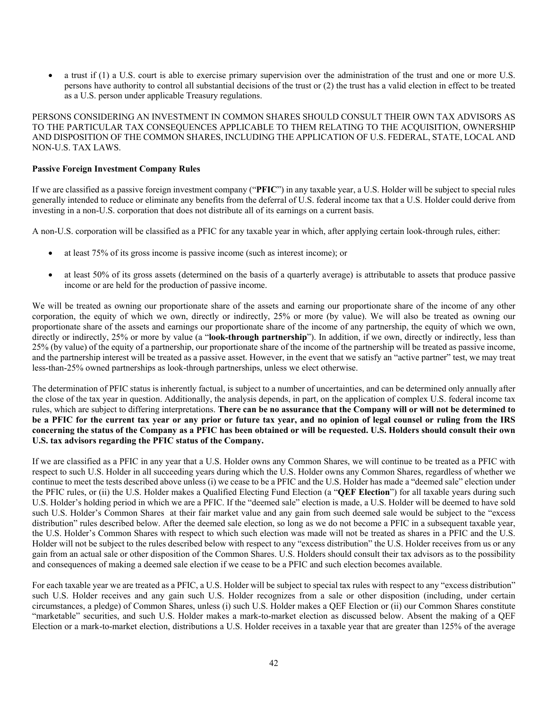a trust if (1) a U.S. court is able to exercise primary supervision over the administration of the trust and one or more U.S. persons have authority to control all substantial decisions of the trust or (2) the trust has a valid election in effect to be treated as a U.S. person under applicable Treasury regulations.

PERSONS CONSIDERING AN INVESTMENT IN COMMON SHARES SHOULD CONSULT THEIR OWN TAX ADVISORS AS TO THE PARTICULAR TAX CONSEQUENCES APPLICABLE TO THEM RELATING TO THE ACQUISITION, OWNERSHIP AND DISPOSITION OF THE COMMON SHARES, INCLUDING THE APPLICATION OF U.S. FEDERAL, STATE, LOCAL AND NON-U.S. TAX LAWS.

### **Passive Foreign Investment Company Rules**

If we are classified as a passive foreign investment company ("**PFIC**") in any taxable year, a U.S. Holder will be subject to special rules generally intended to reduce or eliminate any benefits from the deferral of U.S. federal income tax that a U.S. Holder could derive from investing in a non-U.S. corporation that does not distribute all of its earnings on a current basis.

A non-U.S. corporation will be classified as a PFIC for any taxable year in which, after applying certain look-through rules, either:

- at least 75% of its gross income is passive income (such as interest income); or
- at least 50% of its gross assets (determined on the basis of a quarterly average) is attributable to assets that produce passive income or are held for the production of passive income.

We will be treated as owning our proportionate share of the assets and earning our proportionate share of the income of any other corporation, the equity of which we own, directly or indirectly, 25% or more (by value). We will also be treated as owning our proportionate share of the assets and earnings our proportionate share of the income of any partnership, the equity of which we own, directly or indirectly, 25% or more by value (a "**look-through partnership**"). In addition, if we own, directly or indirectly, less than 25% (by value) of the equity of a partnership, our proportionate share of the income of the partnership will be treated as passive income, and the partnership interest will be treated as a passive asset. However, in the event that we satisfy an "active partner" test, we may treat less-than-25% owned partnerships as look-through partnerships, unless we elect otherwise.

The determination of PFIC status is inherently factual, is subject to a number of uncertainties, and can be determined only annually after the close of the tax year in question. Additionally, the analysis depends, in part, on the application of complex U.S. federal income tax rules, which are subject to differing interpretations. **There can be no assurance that the Company will or will not be determined to be a PFIC for the current tax year or any prior or future tax year, and no opinion of legal counsel or ruling from the IRS concerning the status of the Company as a PFIC has been obtained or will be requested. U.S. Holders should consult their own U.S. tax advisors regarding the PFIC status of the Company.**

If we are classified as a PFIC in any year that a U.S. Holder owns any Common Shares, we will continue to be treated as a PFIC with respect to such U.S. Holder in all succeeding years during which the U.S. Holder owns any Common Shares, regardless of whether we continue to meet the tests described above unless (i) we cease to be a PFIC and the U.S. Holder has made a "deemed sale" election under the PFIC rules, or (ii) the U.S. Holder makes a Qualified Electing Fund Election (a "**QEF Election**") for all taxable years during such U.S. Holder's holding period in which we are a PFIC. If the "deemed sale" election is made, a U.S. Holder will be deemed to have sold such U.S. Holder's Common Shares at their fair market value and any gain from such deemed sale would be subject to the "excess distribution" rules described below. After the deemed sale election, so long as we do not become a PFIC in a subsequent taxable year, the U.S. Holder's Common Shares with respect to which such election was made will not be treated as shares in a PFIC and the U.S. Holder will not be subject to the rules described below with respect to any "excess distribution" the U.S. Holder receives from us or any gain from an actual sale or other disposition of the Common Shares. U.S. Holders should consult their tax advisors as to the possibility and consequences of making a deemed sale election if we cease to be a PFIC and such election becomes available.

For each taxable year we are treated as a PFIC, a U.S. Holder will be subject to special tax rules with respect to any "excess distribution" such U.S. Holder receives and any gain such U.S. Holder recognizes from a sale or other disposition (including, under certain circumstances, a pledge) of Common Shares, unless (i) such U.S. Holder makes a QEF Election or (ii) our Common Shares constitute "marketable" securities, and such U.S. Holder makes a mark-to-market election as discussed below. Absent the making of a QEF Election or a mark-to-market election, distributions a U.S. Holder receives in a taxable year that are greater than 125% of the average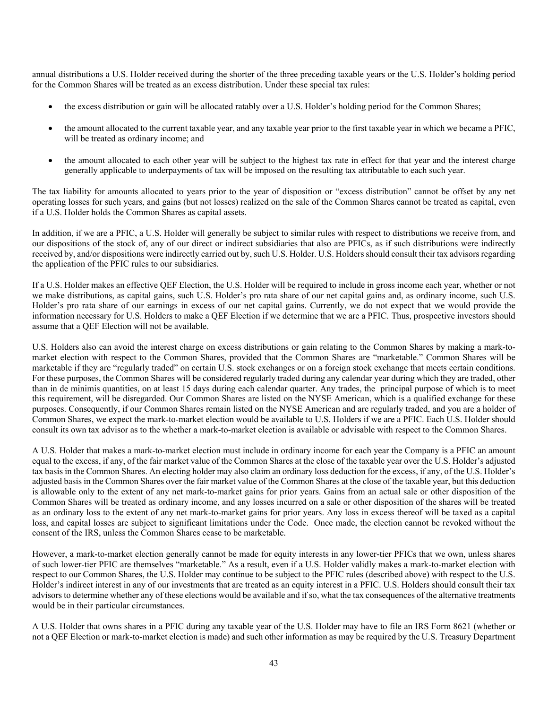annual distributions a U.S. Holder received during the shorter of the three preceding taxable years or the U.S. Holder's holding period for the Common Shares will be treated as an excess distribution. Under these special tax rules:

- the excess distribution or gain will be allocated ratably over a U.S. Holder's holding period for the Common Shares;
- the amount allocated to the current taxable year, and any taxable year prior to the first taxable year in which we became a PFIC, will be treated as ordinary income; and
- the amount allocated to each other year will be subject to the highest tax rate in effect for that year and the interest charge generally applicable to underpayments of tax will be imposed on the resulting tax attributable to each such year.

The tax liability for amounts allocated to years prior to the year of disposition or "excess distribution" cannot be offset by any net operating losses for such years, and gains (but not losses) realized on the sale of the Common Shares cannot be treated as capital, even if a U.S. Holder holds the Common Shares as capital assets.

In addition, if we are a PFIC, a U.S. Holder will generally be subject to similar rules with respect to distributions we receive from, and our dispositions of the stock of, any of our direct or indirect subsidiaries that also are PFICs, as if such distributions were indirectly received by, and/or dispositions were indirectly carried out by, such U.S. Holder. U.S. Holders should consult their tax advisors regarding the application of the PFIC rules to our subsidiaries.

If a U.S. Holder makes an effective QEF Election, the U.S. Holder will be required to include in gross income each year, whether or not we make distributions, as capital gains, such U.S. Holder's pro rata share of our net capital gains and, as ordinary income, such U.S. Holder's pro rata share of our earnings in excess of our net capital gains. Currently, we do not expect that we would provide the information necessary for U.S. Holders to make a QEF Election if we determine that we are a PFIC. Thus, prospective investors should assume that a QEF Election will not be available.

U.S. Holders also can avoid the interest charge on excess distributions or gain relating to the Common Shares by making a mark-tomarket election with respect to the Common Shares, provided that the Common Shares are "marketable." Common Shares will be marketable if they are "regularly traded" on certain U.S. stock exchanges or on a foreign stock exchange that meets certain conditions. For these purposes, the Common Shares will be considered regularly traded during any calendar year during which they are traded, other than in de minimis quantities, on at least 15 days during each calendar quarter. Any trades, the principal purpose of which is to meet this requirement, will be disregarded. Our Common Shares are listed on the NYSE American, which is a qualified exchange for these purposes. Consequently, if our Common Shares remain listed on the NYSE American and are regularly traded, and you are a holder of Common Shares, we expect the mark-to-market election would be available to U.S. Holders if we are a PFIC. Each U.S. Holder should consult its own tax advisor as to the whether a mark-to-market election is available or advisable with respect to the Common Shares.

A U.S. Holder that makes a mark-to-market election must include in ordinary income for each year the Company is a PFIC an amount equal to the excess, if any, of the fair market value of the Common Shares at the close of the taxable year over the U.S. Holder's adjusted tax basis in the Common Shares. An electing holder may also claim an ordinary loss deduction for the excess, if any, of the U.S. Holder's adjusted basis in the Common Shares over the fair market value of the Common Shares at the close of the taxable year, but this deduction is allowable only to the extent of any net mark-to-market gains for prior years. Gains from an actual sale or other disposition of the Common Shares will be treated as ordinary income, and any losses incurred on a sale or other disposition of the shares will be treated as an ordinary loss to the extent of any net mark-to-market gains for prior years. Any loss in excess thereof will be taxed as a capital loss, and capital losses are subject to significant limitations under the Code. Once made, the election cannot be revoked without the consent of the IRS, unless the Common Shares cease to be marketable.

However, a mark-to-market election generally cannot be made for equity interests in any lower-tier PFICs that we own, unless shares of such lower-tier PFIC are themselves "marketable." As a result, even if a U.S. Holder validly makes a mark-to-market election with respect to our Common Shares, the U.S. Holder may continue to be subject to the PFIC rules (described above) with respect to the U.S. Holder's indirect interest in any of our investments that are treated as an equity interest in a PFIC. U.S. Holders should consult their tax advisors to determine whether any of these elections would be available and if so, what the tax consequences of the alternative treatments would be in their particular circumstances.

A U.S. Holder that owns shares in a PFIC during any taxable year of the U.S. Holder may have to file an IRS Form 8621 (whether or not a QEF Election or mark-to-market election is made) and such other information as may be required by the U.S. Treasury Department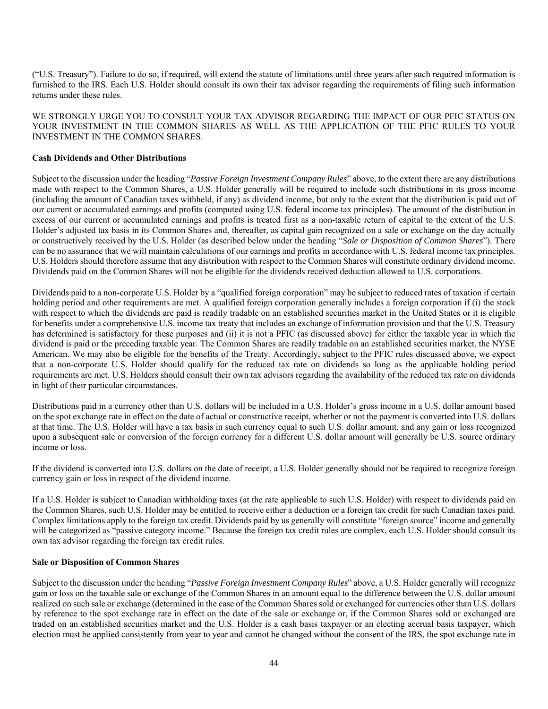("U.S. Treasury"). Failure to do so, if required, will extend the statute of limitations until three years after such required information is furnished to the IRS. Each U.S. Holder should consult its own their tax advisor regarding the requirements of filing such information returns under these rules.

WE STRONGLY URGE YOU TO CONSULT YOUR TAX ADVISOR REGARDING THE IMPACT OF OUR PFIC STATUS ON YOUR INVESTMENT IN THE COMMON SHARES AS WELL AS THE APPLICATION OF THE PFIC RULES TO YOUR INVESTMENT IN THE COMMON SHARES.

### **Cash Dividends and Other Distributions**

Subject to the discussion under the heading "*Passive Foreign Investment Company Rules*" above, to the extent there are any distributions made with respect to the Common Shares, a U.S. Holder generally will be required to include such distributions in its gross income (including the amount of Canadian taxes withheld, if any) as dividend income, but only to the extent that the distribution is paid out of our current or accumulated earnings and profits (computed using U.S. federal income tax principles). The amount of the distribution in excess of our current or accumulated earnings and profits is treated first as a non-taxable return of capital to the extent of the U.S. Holder's adjusted tax basis in its Common Shares and, thereafter, as capital gain recognized on a sale or exchange on the day actually or constructively received by the U.S. Holder (as described below under the heading "*Sale or Disposition of Common Shares*"). There can be no assurance that we will maintain calculations of our earnings and profits in accordance with U.S. federal income tax principles. U.S. Holders should therefore assume that any distribution with respect to the Common Shares will constitute ordinary dividend income. Dividends paid on the Common Shares will not be eligible for the dividends received deduction allowed to U.S. corporations.

Dividends paid to a non-corporate U.S. Holder by a "qualified foreign corporation" may be subject to reduced rates of taxation if certain holding period and other requirements are met. A qualified foreign corporation generally includes a foreign corporation if (i) the stock with respect to which the dividends are paid is readily tradable on an established securities market in the United States or it is eligible for benefits under a comprehensive U.S. income tax treaty that includes an exchange of information provision and that the U.S. Treasury has determined is satisfactory for these purposes and (ii) it is not a PFIC (as discussed above) for either the taxable year in which the dividend is paid or the preceding taxable year. The Common Shares are readily tradable on an established securities market, the NYSE American. We may also be eligible for the benefits of the Treaty. Accordingly, subject to the PFIC rules discussed above, we expect that a non-corporate U.S. Holder should qualify for the reduced tax rate on dividends so long as the applicable holding period requirements are met. U.S. Holders should consult their own tax advisors regarding the availability of the reduced tax rate on dividends in light of their particular circumstances.

Distributions paid in a currency other than U.S. dollars will be included in a U.S. Holder's gross income in a U.S. dollar amount based on the spot exchange rate in effect on the date of actual or constructive receipt, whether or not the payment is converted into U.S. dollars at that time. The U.S. Holder will have a tax basis in such currency equal to such U.S. dollar amount, and any gain or loss recognized upon a subsequent sale or conversion of the foreign currency for a different U.S. dollar amount will generally be U.S. source ordinary income or loss.

If the dividend is converted into U.S. dollars on the date of receipt, a U.S. Holder generally should not be required to recognize foreign currency gain or loss in respect of the dividend income.

If a U.S. Holder is subject to Canadian withholding taxes (at the rate applicable to such U.S. Holder) with respect to dividends paid on the Common Shares, such U.S. Holder may be entitled to receive either a deduction or a foreign tax credit for such Canadian taxes paid. Complex limitations apply to the foreign tax credit. Dividends paid by us generally will constitute "foreign source" income and generally will be categorized as "passive category income." Because the foreign tax credit rules are complex, each U.S. Holder should consult its own tax advisor regarding the foreign tax credit rules.

#### **Sale or Disposition of Common Shares**

Subject to the discussion under the heading "*Passive Foreign Investment Company Rules*" above, a U.S. Holder generally will recognize gain or loss on the taxable sale or exchange of the Common Shares in an amount equal to the difference between the U.S. dollar amount realized on such sale or exchange (determined in the case of the Common Shares sold or exchanged for currencies other than U.S. dollars by reference to the spot exchange rate in effect on the date of the sale or exchange or, if the Common Shares sold or exchanged are traded on an established securities market and the U.S. Holder is a cash basis taxpayer or an electing accrual basis taxpayer, which election must be applied consistently from year to year and cannot be changed without the consent of the IRS, the spot exchange rate in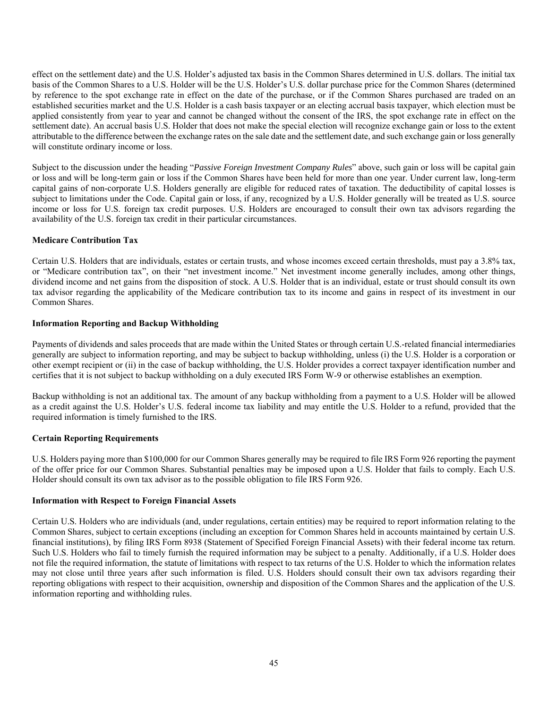effect on the settlement date) and the U.S. Holder's adjusted tax basis in the Common Shares determined in U.S. dollars. The initial tax basis of the Common Shares to a U.S. Holder will be the U.S. Holder's U.S. dollar purchase price for the Common Shares (determined by reference to the spot exchange rate in effect on the date of the purchase, or if the Common Shares purchased are traded on an established securities market and the U.S. Holder is a cash basis taxpayer or an electing accrual basis taxpayer, which election must be applied consistently from year to year and cannot be changed without the consent of the IRS, the spot exchange rate in effect on the settlement date). An accrual basis U.S. Holder that does not make the special election will recognize exchange gain or loss to the extent attributable to the difference between the exchange rates on the sale date and the settlement date, and such exchange gain or loss generally will constitute ordinary income or loss.

Subject to the discussion under the heading "*Passive Foreign Investment Company Rules*" above, such gain or loss will be capital gain or loss and will be long-term gain or loss if the Common Shares have been held for more than one year. Under current law, long-term capital gains of non-corporate U.S. Holders generally are eligible for reduced rates of taxation. The deductibility of capital losses is subject to limitations under the Code. Capital gain or loss, if any, recognized by a U.S. Holder generally will be treated as U.S. source income or loss for U.S. foreign tax credit purposes. U.S. Holders are encouraged to consult their own tax advisors regarding the availability of the U.S. foreign tax credit in their particular circumstances.

# **Medicare Contribution Tax**

Certain U.S. Holders that are individuals, estates or certain trusts, and whose incomes exceed certain thresholds, must pay a 3.8% tax, or "Medicare contribution tax", on their "net investment income." Net investment income generally includes, among other things, dividend income and net gains from the disposition of stock. A U.S. Holder that is an individual, estate or trust should consult its own tax advisor regarding the applicability of the Medicare contribution tax to its income and gains in respect of its investment in our Common Shares.

### **Information Reporting and Backup Withholding**

Payments of dividends and sales proceeds that are made within the United States or through certain U.S.-related financial intermediaries generally are subject to information reporting, and may be subject to backup withholding, unless (i) the U.S. Holder is a corporation or other exempt recipient or (ii) in the case of backup withholding, the U.S. Holder provides a correct taxpayer identification number and certifies that it is not subject to backup withholding on a duly executed IRS Form W-9 or otherwise establishes an exemption.

Backup withholding is not an additional tax. The amount of any backup withholding from a payment to a U.S. Holder will be allowed as a credit against the U.S. Holder's U.S. federal income tax liability and may entitle the U.S. Holder to a refund, provided that the required information is timely furnished to the IRS.

# **Certain Reporting Requirements**

U.S. Holders paying more than \$100,000 for our Common Shares generally may be required to file IRS Form 926 reporting the payment of the offer price for our Common Shares. Substantial penalties may be imposed upon a U.S. Holder that fails to comply. Each U.S. Holder should consult its own tax advisor as to the possible obligation to file IRS Form 926.

#### **Information with Respect to Foreign Financial Assets**

Certain U.S. Holders who are individuals (and, under regulations, certain entities) may be required to report information relating to the Common Shares, subject to certain exceptions (including an exception for Common Shares held in accounts maintained by certain U.S. financial institutions), by filing IRS Form 8938 (Statement of Specified Foreign Financial Assets) with their federal income tax return. Such U.S. Holders who fail to timely furnish the required information may be subject to a penalty. Additionally, if a U.S. Holder does not file the required information, the statute of limitations with respect to tax returns of the U.S. Holder to which the information relates may not close until three years after such information is filed. U.S. Holders should consult their own tax advisors regarding their reporting obligations with respect to their acquisition, ownership and disposition of the Common Shares and the application of the U.S. information reporting and withholding rules.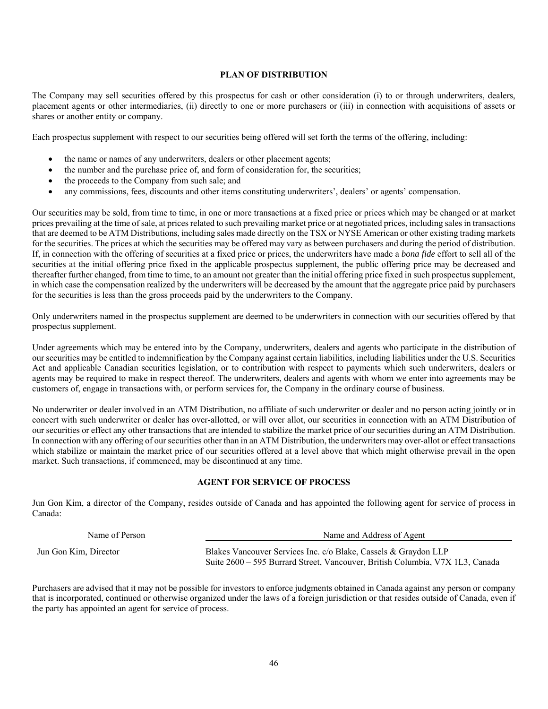### **PLAN OF DISTRIBUTION**

The Company may sell securities offered by this prospectus for cash or other consideration (i) to or through underwriters, dealers, placement agents or other intermediaries, (ii) directly to one or more purchasers or (iii) in connection with acquisitions of assets or shares or another entity or company.

Each prospectus supplement with respect to our securities being offered will set forth the terms of the offering, including:

- the name or names of any underwriters, dealers or other placement agents;
- the number and the purchase price of, and form of consideration for, the securities;
- the proceeds to the Company from such sale; and
- any commissions, fees, discounts and other items constituting underwriters', dealers' or agents' compensation.

Our securities may be sold, from time to time, in one or more transactions at a fixed price or prices which may be changed or at market prices prevailing at the time of sale, at prices related to such prevailing market price or at negotiated prices, including sales in transactions that are deemed to be ATM Distributions, including sales made directly on the TSX or NYSE American or other existing trading markets for the securities. The prices at which the securities may be offered may vary as between purchasers and during the period of distribution. If, in connection with the offering of securities at a fixed price or prices, the underwriters have made a *bona fide* effort to sell all of the securities at the initial offering price fixed in the applicable prospectus supplement, the public offering price may be decreased and thereafter further changed, from time to time, to an amount not greater than the initial offering price fixed in such prospectus supplement, in which case the compensation realized by the underwriters will be decreased by the amount that the aggregate price paid by purchasers for the securities is less than the gross proceeds paid by the underwriters to the Company.

Only underwriters named in the prospectus supplement are deemed to be underwriters in connection with our securities offered by that prospectus supplement.

Under agreements which may be entered into by the Company, underwriters, dealers and agents who participate in the distribution of our securities may be entitled to indemnification by the Company against certain liabilities, including liabilities under the U.S. Securities Act and applicable Canadian securities legislation, or to contribution with respect to payments which such underwriters, dealers or agents may be required to make in respect thereof. The underwriters, dealers and agents with whom we enter into agreements may be customers of, engage in transactions with, or perform services for, the Company in the ordinary course of business.

No underwriter or dealer involved in an ATM Distribution, no affiliate of such underwriter or dealer and no person acting jointly or in concert with such underwriter or dealer has over-allotted, or will over allot, our securities in connection with an ATM Distribution of our securities or effect any other transactions that are intended to stabilize the market price of our securities during an ATM Distribution. In connection with any offering of our securities other than in an ATM Distribution, the underwriters may over-allot or effect transactions which stabilize or maintain the market price of our securities offered at a level above that which might otherwise prevail in the open market. Such transactions, if commenced, may be discontinued at any time.

# **AGENT FOR SERVICE OF PROCESS**

Jun Gon Kim, a director of the Company, resides outside of Canada and has appointed the following agent for service of process in Canada:

| Name of Person        | Name and Address of Agent                                                     |  |  |
|-----------------------|-------------------------------------------------------------------------------|--|--|
| Jun Gon Kim, Director | Blakes Vancouver Services Inc. c/o Blake, Cassels & Graydon LLP               |  |  |
|                       | Suite 2600 – 595 Burrard Street, Vancouver, British Columbia, V7X 1L3, Canada |  |  |

Purchasers are advised that it may not be possible for investors to enforce judgments obtained in Canada against any person or company that is incorporated, continued or otherwise organized under the laws of a foreign jurisdiction or that resides outside of Canada, even if the party has appointed an agent for service of process.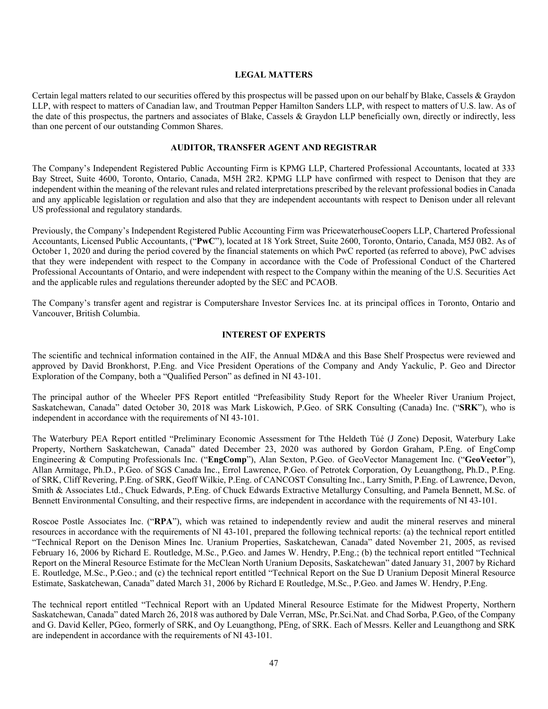#### **LEGAL MATTERS**

Certain legal matters related to our securities offered by this prospectus will be passed upon on our behalf by Blake, Cassels & Graydon LLP, with respect to matters of Canadian law, and Troutman Pepper Hamilton Sanders LLP, with respect to matters of U.S. law. As of the date of this prospectus, the partners and associates of Blake, Cassels & Graydon LLP beneficially own, directly or indirectly, less than one percent of our outstanding Common Shares.

# **AUDITOR, TRANSFER AGENT AND REGISTRAR**

The Company's Independent Registered Public Accounting Firm is KPMG LLP, Chartered Professional Accountants, located at 333 Bay Street, Suite 4600, Toronto, Ontario, Canada, M5H 2R2. KPMG LLP have confirmed with respect to Denison that they are independent within the meaning of the relevant rules and related interpretations prescribed by the relevant professional bodies in Canada and any applicable legislation or regulation and also that they are independent accountants with respect to Denison under all relevant US professional and regulatory standards.

Previously, the Company's Independent Registered Public Accounting Firm was PricewaterhouseCoopers LLP, Chartered Professional Accountants, Licensed Public Accountants, ("**PwC**"), located at 18 York Street, Suite 2600, Toronto, Ontario, Canada, M5J 0B2. As of October 1, 2020 and during the period covered by the financial statements on which PwC reported (as referred to above), PwC advises that they were independent with respect to the Company in accordance with the Code of Professional Conduct of the Chartered Professional Accountants of Ontario, and were independent with respect to the Company within the meaning of the U.S. Securities Act and the applicable rules and regulations thereunder adopted by the SEC and PCAOB.

The Company's transfer agent and registrar is Computershare Investor Services Inc. at its principal offices in Toronto, Ontario and Vancouver, British Columbia.

#### **INTEREST OF EXPERTS**

The scientific and technical information contained in the AIF, the Annual MD&A and this Base Shelf Prospectus were reviewed and approved by David Bronkhorst, P.Eng. and Vice President Operations of the Company and Andy Yackulic, P. Geo and Director Exploration of the Company, both a "Qualified Person" as defined in NI 43-101.

The principal author of the Wheeler PFS Report entitled "Prefeasibility Study Report for the Wheeler River Uranium Project, Saskatchewan, Canada" dated October 30, 2018 was Mark Liskowich, P.Geo. of SRK Consulting (Canada) Inc. ("**SRK**"), who is independent in accordance with the requirements of NI 43-101.

The Waterbury PEA Report entitled "Preliminary Economic Assessment for Tthe Heldeth Túé (J Zone) Deposit, Waterbury Lake Property, Northern Saskatchewan, Canada" dated December 23, 2020 was authored by Gordon Graham, P.Eng. of EngComp Engineering & Computing Professionals Inc. ("**EngComp**"), Alan Sexton, P.Geo. of GeoVector Management Inc. ("**GeoVector**"), Allan Armitage, Ph.D., P.Geo. of SGS Canada Inc., Errol Lawrence, P.Geo. of Petrotek Corporation, Oy Leuangthong, Ph.D., P.Eng. of SRK, Cliff Revering, P.Eng. of SRK, Geoff Wilkie, P.Eng. of CANCOST Consulting Inc., Larry Smith, P.Eng. of Lawrence, Devon, Smith & Associates Ltd., Chuck Edwards, P.Eng. of Chuck Edwards Extractive Metallurgy Consulting, and Pamela Bennett, M.Sc. of Bennett Environmental Consulting, and their respective firms, are independent in accordance with the requirements of NI 43-101.

Roscoe Postle Associates Inc. ("**RPA**"), which was retained to independently review and audit the mineral reserves and mineral resources in accordance with the requirements of NI 43-101, prepared the following technical reports: (a) the technical report entitled "Technical Report on the Denison Mines Inc. Uranium Properties, Saskatchewan, Canada" dated November 21, 2005, as revised February 16, 2006 by Richard E. Routledge, M.Sc., P.Geo. and James W. Hendry, P.Eng.; (b) the technical report entitled "Technical Report on the Mineral Resource Estimate for the McClean North Uranium Deposits, Saskatchewan" dated January 31, 2007 by Richard E. Routledge, M.Sc., P.Geo.; and (c) the technical report entitled "Technical Report on the Sue D Uranium Deposit Mineral Resource Estimate, Saskatchewan, Canada" dated March 31, 2006 by Richard E Routledge, M.Sc., P.Geo. and James W. Hendry, P.Eng.

The technical report entitled "Technical Report with an Updated Mineral Resource Estimate for the Midwest Property, Northern Saskatchewan, Canada" dated March 26, 2018 was authored by Dale Verran, MSc, Pr.Sci.Nat. and Chad Sorba, P.Geo, of the Company and G. David Keller, PGeo, formerly of SRK, and Oy Leuangthong, PEng, of SRK. Each of Messrs. Keller and Leuangthong and SRK are independent in accordance with the requirements of NI 43-101.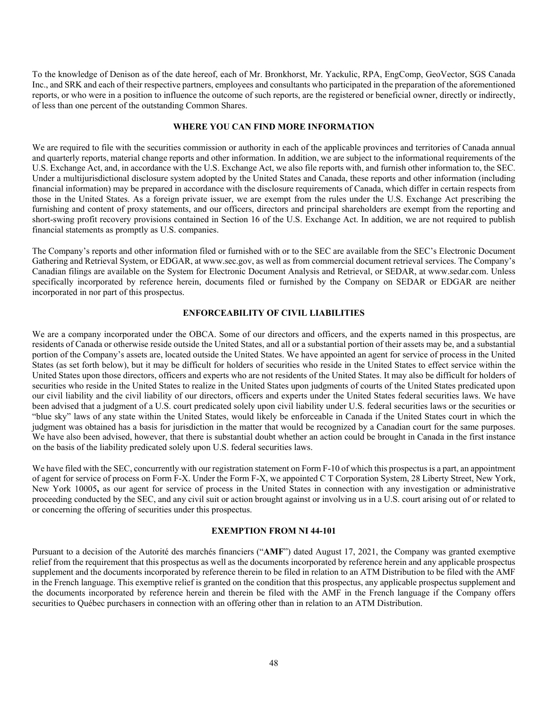To the knowledge of Denison as of the date hereof, each of Mr. Bronkhorst, Mr. Yackulic, RPA, EngComp, GeoVector, SGS Canada Inc., and SRK and each of their respective partners, employees and consultants who participated in the preparation of the aforementioned reports, or who were in a position to influence the outcome of such reports, are the registered or beneficial owner, directly or indirectly, of less than one percent of the outstanding Common Shares.

#### **WHERE YOU CAN FIND MORE INFORMATION**

We are required to file with the securities commission or authority in each of the applicable provinces and territories of Canada annual and quarterly reports, material change reports and other information. In addition, we are subject to the informational requirements of the U.S. Exchange Act, and, in accordance with the U.S. Exchange Act, we also file reports with, and furnish other information to, the SEC. Under a multijurisdictional disclosure system adopted by the United States and Canada, these reports and other information (including financial information) may be prepared in accordance with the disclosure requirements of Canada, which differ in certain respects from those in the United States. As a foreign private issuer, we are exempt from the rules under the U.S. Exchange Act prescribing the furnishing and content of proxy statements, and our officers, directors and principal shareholders are exempt from the reporting and short-swing profit recovery provisions contained in Section 16 of the U.S. Exchange Act. In addition, we are not required to publish financial statements as promptly as U.S. companies.

The Company's reports and other information filed or furnished with or to the SEC are available from the SEC's Electronic Document Gathering and Retrieval System, or EDGAR, at www.sec.gov, as well as from commercial document retrieval services. The Company's Canadian filings are available on the System for Electronic Document Analysis and Retrieval, or SEDAR, at www.sedar.com. Unless specifically incorporated by reference herein, documents filed or furnished by the Company on SEDAR or EDGAR are neither incorporated in nor part of this prospectus.

#### **ENFORCEABILITY OF CIVIL LIABILITIES**

We are a company incorporated under the OBCA. Some of our directors and officers, and the experts named in this prospectus, are residents of Canada or otherwise reside outside the United States, and all or a substantial portion of their assets may be, and a substantial portion of the Company's assets are, located outside the United States. We have appointed an agent for service of process in the United States (as set forth below), but it may be difficult for holders of securities who reside in the United States to effect service within the United States upon those directors, officers and experts who are not residents of the United States. It may also be difficult for holders of securities who reside in the United States to realize in the United States upon judgments of courts of the United States predicated upon our civil liability and the civil liability of our directors, officers and experts under the United States federal securities laws. We have been advised that a judgment of a U.S. court predicated solely upon civil liability under U.S. federal securities laws or the securities or "blue sky" laws of any state within the United States, would likely be enforceable in Canada if the United States court in which the judgment was obtained has a basis for jurisdiction in the matter that would be recognized by a Canadian court for the same purposes. We have also been advised, however, that there is substantial doubt whether an action could be brought in Canada in the first instance on the basis of the liability predicated solely upon U.S. federal securities laws.

We have filed with the SEC, concurrently with our registration statement on Form F-10 of which this prospectus is a part, an appointment of agent for service of process on Form F-X. Under the Form F-X, we appointed C T Corporation System, 28 Liberty Street, New York, New York 10005**,** as our agent for service of process in the United States in connection with any investigation or administrative proceeding conducted by the SEC, and any civil suit or action brought against or involving us in a U.S. court arising out of or related to or concerning the offering of securities under this prospectus.

#### **EXEMPTION FROM NI 44-101**

Pursuant to a decision of the Autorité des marchés financiers ("**AMF**") dated August 17, 2021, the Company was granted exemptive relief from the requirement that this prospectus as well as the documents incorporated by reference herein and any applicable prospectus supplement and the documents incorporated by reference therein to be filed in relation to an ATM Distribution to be filed with the AMF in the French language. This exemptive relief is granted on the condition that this prospectus, any applicable prospectus supplement and the documents incorporated by reference herein and therein be filed with the AMF in the French language if the Company offers securities to Québec purchasers in connection with an offering other than in relation to an ATM Distribution.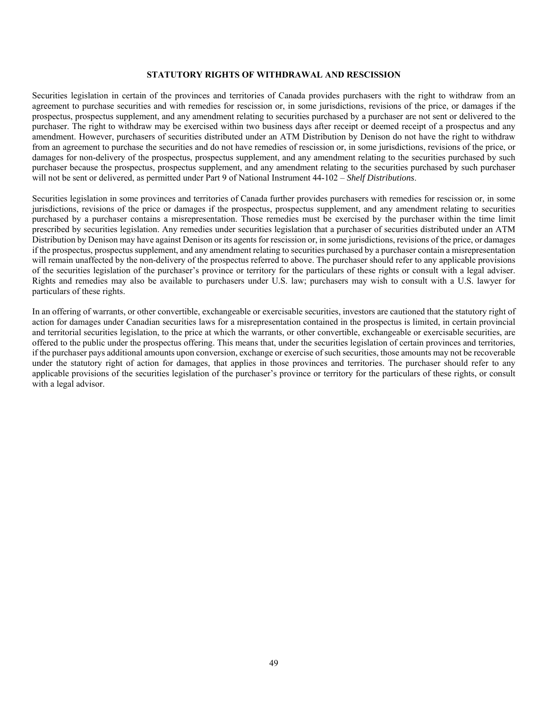#### **STATUTORY RIGHTS OF WITHDRAWAL AND RESCISSION**

Securities legislation in certain of the provinces and territories of Canada provides purchasers with the right to withdraw from an agreement to purchase securities and with remedies for rescission or, in some jurisdictions, revisions of the price, or damages if the prospectus, prospectus supplement, and any amendment relating to securities purchased by a purchaser are not sent or delivered to the purchaser. The right to withdraw may be exercised within two business days after receipt or deemed receipt of a prospectus and any amendment. However, purchasers of securities distributed under an ATM Distribution by Denison do not have the right to withdraw from an agreement to purchase the securities and do not have remedies of rescission or, in some jurisdictions, revisions of the price, or damages for non-delivery of the prospectus, prospectus supplement, and any amendment relating to the securities purchased by such purchaser because the prospectus, prospectus supplement, and any amendment relating to the securities purchased by such purchaser will not be sent or delivered, as permitted under Part 9 of National Instrument 44-102 – *Shelf Distributions*.

Securities legislation in some provinces and territories of Canada further provides purchasers with remedies for rescission or, in some jurisdictions, revisions of the price or damages if the prospectus, prospectus supplement, and any amendment relating to securities purchased by a purchaser contains a misrepresentation. Those remedies must be exercised by the purchaser within the time limit prescribed by securities legislation. Any remedies under securities legislation that a purchaser of securities distributed under an ATM Distribution by Denison may have against Denison or its agents for rescission or, in some jurisdictions, revisions of the price, or damages if the prospectus, prospectus supplement, and any amendment relating to securities purchased by a purchaser contain a misrepresentation will remain unaffected by the non-delivery of the prospectus referred to above. The purchaser should refer to any applicable provisions of the securities legislation of the purchaser's province or territory for the particulars of these rights or consult with a legal adviser. Rights and remedies may also be available to purchasers under U.S. law; purchasers may wish to consult with a U.S. lawyer for particulars of these rights.

In an offering of warrants, or other convertible, exchangeable or exercisable securities, investors are cautioned that the statutory right of action for damages under Canadian securities laws for a misrepresentation contained in the prospectus is limited, in certain provincial and territorial securities legislation, to the price at which the warrants, or other convertible, exchangeable or exercisable securities, are offered to the public under the prospectus offering. This means that, under the securities legislation of certain provinces and territories, if the purchaser pays additional amounts upon conversion, exchange or exercise of such securities, those amounts may not be recoverable under the statutory right of action for damages, that applies in those provinces and territories. The purchaser should refer to any applicable provisions of the securities legislation of the purchaser's province or territory for the particulars of these rights, or consult with a legal advisor.